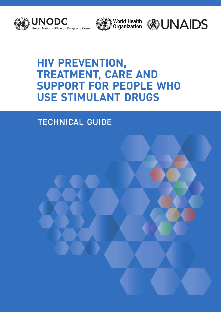





# **HIV PREVENTION, TREATMENT, CARE AND SUPPORT FOR PEOPLE WHO USE STIMULANT DRUGS**

# TECHNICAL GUIDE

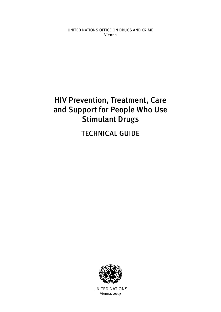UNITED NATIONS OFFICE ON DRUGS AND CRIME Vienna

# HIV Prevention, Treatment, Care and Support for People Who Use Stimulant Drugs

TECHNICAL GUIDE



UNITED NATIONS Vienna, 2019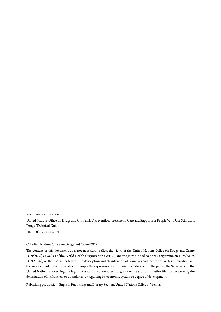Recommended citation

United Nations Office on Drugs and Crime. HIV Prevention, Treatment, Care and Support for People Who Use Stimulant Drugs. Technical Guide UNODC; Vienna 2019.

### © United Nations Office on Drugs and Crime 2019

The content of this document does not necessarily reflect the views of the United Nations Office on Drugs and Crime (UNODC) as well as of the World Health Organization (WHO) and the Joint United Nations Programme on HIV/AIDS (UNAIDS), or their Member States. The description and classification of countries and territories in this publication and the arrangement of the material do not imply the expression of any opinion whatsoever on the part of the Secretariat of the United Nations concerning the legal status of any country, territory, city or area, or of its authorities, or concerning the delimitation of its frontiers or boundaries, or regarding its economic system or degree of development.

Publishing production: English, Publishing and Library Section, United Nations Office at Vienna.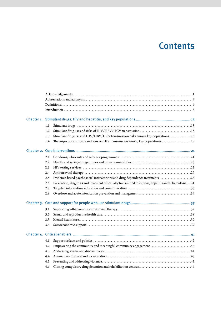# **Contents**

| Chapter 1. |     |                                                                                                      |  |  |  |
|------------|-----|------------------------------------------------------------------------------------------------------|--|--|--|
|            | 1.1 |                                                                                                      |  |  |  |
|            | 1.2 |                                                                                                      |  |  |  |
|            | 1.3 | Stimulant drug use and HIV/HBV/HCV transmission risks among key populations 16                       |  |  |  |
|            | 1.4 | The impact of criminal sanctions on HIV transmission among key populations 18                        |  |  |  |
|            |     |                                                                                                      |  |  |  |
|            | 2.1 |                                                                                                      |  |  |  |
|            | 2.2 |                                                                                                      |  |  |  |
|            | 2.3 |                                                                                                      |  |  |  |
|            | 2.4 |                                                                                                      |  |  |  |
|            | 2.5 | Evidence-based psychosocial interventions and drug dependence treatments 28                          |  |  |  |
|            | 2.6 | Prevention, diagnosis and treatment of sexually transmitted infections, hepatitis and tuberculosis31 |  |  |  |
|            | 2.7 |                                                                                                      |  |  |  |
|            | 2.8 |                                                                                                      |  |  |  |
|            |     |                                                                                                      |  |  |  |
|            | 3.1 |                                                                                                      |  |  |  |
|            | 3.2 |                                                                                                      |  |  |  |
|            | 3.3 |                                                                                                      |  |  |  |
|            | 3.4 |                                                                                                      |  |  |  |
|            |     |                                                                                                      |  |  |  |
|            | 4.1 |                                                                                                      |  |  |  |
|            | 4.2 |                                                                                                      |  |  |  |
|            | 4.3 |                                                                                                      |  |  |  |
|            | 4.4 |                                                                                                      |  |  |  |
|            | 4.5 |                                                                                                      |  |  |  |
|            | 4.6 |                                                                                                      |  |  |  |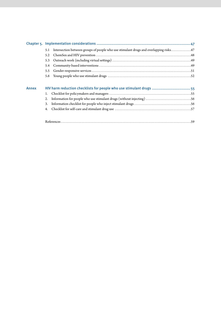|              | 5.1                                                                  | Intersection between groups of people who use stimulant drugs and overlapping risks47 |  |
|--------------|----------------------------------------------------------------------|---------------------------------------------------------------------------------------|--|
|              | 5.2                                                                  |                                                                                       |  |
|              | 5.3                                                                  |                                                                                       |  |
|              | 5.4                                                                  |                                                                                       |  |
|              | 5.5                                                                  |                                                                                       |  |
|              | 5.6                                                                  |                                                                                       |  |
| <b>Annex</b> | HIV harm reduction checklists for people who use stimulant drugs  55 |                                                                                       |  |
|              | 1.                                                                   |                                                                                       |  |
|              | 2.                                                                   |                                                                                       |  |
|              | 3.                                                                   |                                                                                       |  |
|              | 4.                                                                   |                                                                                       |  |
|              |                                                                      |                                                                                       |  |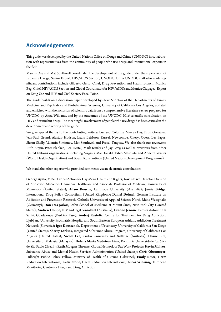# <span id="page-6-0"></span>**Acknowledgements**

This guide was developed by the United Nations Office on Drugs and Crime (UNODC) in collaboration with representatives from the community of people who use drugs and international experts in the field.

Marcus Day and Mat Southwell coordinated the development of the guide under the supervision of Fabienne Hariga, Senior Expert, HIV/AIDS Section, UNODC. Other UNODC staff who made significant contributions include Gilberto Gerra, Chief, Drug Prevention and Health Branch; Monica Beg, Chief, HIV/AIDS Section and Global Coordinator for HIV/AIDS; and Monica Ciupagea, Expert on Drug Use and HIV and Civil Society Focal Point.

The guide builds on a discussion paper developed by Steve Shoptaw of the Departments of Family Medicine and Psychiatry and Biobehavioral Sciences, University of California Los Angeles, updated and enriched with the inclusion of scientific data from a comprehensive literature review prepared for UNODC by Anna Williams, and by the outcomes of the UNODC 2016 scientific consultation on HIV and stimulant drugs. The meaningful involvement of people who use drugs has been critical in the development and writing of this guide.

We give special thanks to the contributing writers: Luciano Colonna, Marcus Day, Brun González, Jean-Paul Grund, Alastair Hudson, Laura LeMoon, Russell Newcombe, Cheryl Overs, Les Papas, Shaun Shelly, Valentin Simionov, Mat Southwell and Pascal Tanguay. We also thank our reviewers: Ruth Birgin, Peter Blanken, Lee Hertel, Mark Kinzly and Jay Levy, as well as reviewers from other United Nations organizations, including Virginia MacDonald, Fabio Mesquita and Annette Verster (World Health Organization) and Boyan Konstantinov (United Nations Development Programme).

We thank the other experts who provided comments via an electronic consultation:

**George Ayala**, MPact Global Action for Gay Men's Health and Rights; **Gavin Bart**, Director, Division of Addiction Medicine, Hennepin Healthcare and Associate Professor of Medicine, University of Minnesota (United States); **Adam Bourne**, La Trobe University (Australia); **Jamie Bridge**, International Drug Policy Consortium (United Kingdom); **Daniel Deimel**, German Institute on Addiction and Prevention Research, Catholic University of Applied Science North-Rhine Westphalia (Germany); **Don Des Jarlais**, Icahn School of Medicine at Mount Sinai, New York City (United States); **Andrew Doupe**, HIV and legal consultant (Australia); **Evanno Jerome**, Paroles Autour de la Santé, Guadeloupe (Burkina Faso); **Andrej Kastelic**, Centre for Treatment for Drug Addiction, Ljubljana University Psychiatric Hospital and South Eastern European Adriatic Addiction Treatment Network (Slovenia); **Igor Koutsenok**, Department of Psychiatry, University of California San Diego (United States); **Sherry Larkins**, Integrated Substance Abuse Program, University of California Los Angeles (United States); **Nicole Lee**, Curtin University and 360Edge (Australia); **Howie Lim**, University of Malaysia (Malaysia); **Helena Maria Medeiros Lima**, Pontifícia Universidade Católica de São Paulo (Brazil); **Ruth Morgan Thomas**, Global Network of Sex Work Projects; **Kevin Mulvey**, Substance Abuse and Mental Health Services Administration (United States); **Chris Obermeyer**, Fulbright Public Policy Fellow, Ministry of Health of Ukraine (Ukraine); **Emily Rowe**, Harm Reduction International; **Katie Stone**, Harm Reduction International; **Lucas Wiessing**, European Monitoring Centre for Drugs and Drug Addiction.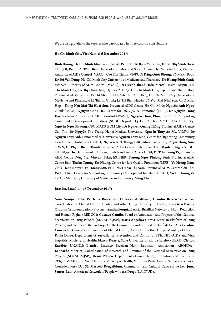We are also grateful to the experts who participated in three country consultations:

#### **Ho Chi Minh City, Viet Nam, 5-6 December 2017:**

**Bình Dương**; **Dr Bùi Mình Kha**, Provincial AIDS Centre Bà Rịa – Vũng Tàu; **Dr Bùi Thị Minh Hiền**, FHI 360; **Prof. Bùi Tôn Hiến**, University of Labor and Social Affairs; **Dr Cao Kim Thoa**, Vietnam Authority of AIDS Control (VAAC); **Cao Tan Thanh,** VNPUD; **Đặng Quốc Phong,** VNMSM; **Prof. Dr Đỗ Văn Dũng**, Ho Chi Minh City University of Medicine and Pharmacy; **Dr Hoàng Đình Cảnh**, Vietnam Authority of AIDS Control (VAAC); **Dr Huỳnh Thanh Hiển**, Mental Health Hospital, Ho Chi Minh City; **La Thị Hồng Lan**, Đại học Y Dược Ho Chi Minh City**; Lại Phước Thanh Huy**, Provincial AIDS Centre Hồ Chí Minh; Lê Huỳnh Thị Cẩm Hồng, Ho Chi Minh City University of Medicine and Pharmacy; Lê Thành, G-link; Lê Thị Bích Huyền, VNSW**; Mai Như Sơn**, CBO Xuân Hợp – Đồng Nai**; Mai Thị Hoài Sơn**, Provincial AIDS Centre Ho Chi Minh; **Nguyễn Anh Ngọc**, G-link (MSM); **Nguyễn Công Hậu** Centre for Life Quality Promotion (LIFE); **Dr Nguyễn Hồng Hải**, Vietnam Authority of AIDS Control (VAAC); **Nguyễn Hồng Phúc**, Centre for Supporting Community Development Initiatives (SCDI); **Nguyễn Ly Lai**, Đại học Mở Ho Chi Minh City; **Nguyễn Ngọc Phương**,CBO MARS HCM City; **Dr Nguyễn Quang Thông**, Provincial AIDS Centre Cần Thơ; **Dr Nguyễn Thu Trang**, Hanoi Medical University; **Nguyễn Thụy An My**, VNSW; **Dr Nguyễn Thùy Anh**, Hanoi Medical University; **Nguyễn Thùy Linh**,Centre for Supporting Community Development Initiatives (SCDI); **Nguyễn Viết Hùng,** CBO Muối Trắng BR; **Phạm Hồng Sơn**, G3VN; **Dr Phạm Thanh Thành**, Provincial AIDS Centre Bình Thuận; **Trần Mạnh Thắng**, VNPUD; **Trần Ngọc Du**, Department of Labour, Invalids and Social Affairs HCM; **Dr Trần Trung Tá**, Provincial AIDS Centre Đồng Nai; **Vincent Trias**, ESTHER; **Trương Ngọc Phương Bình**, Provincial AIDS Centre Bình Thuận; **Trương Thị Nhung**, Centre for Life Quality Promotion (LIFE); **Võ Hoàng Nam**, CBO Trăng Khuyết; **Võ Hoàng Sơn**, FHI 360; **Dr Võ Thị Năm**, Provincial AIDS Centre Cần Thơ; **Vũ Thị Hiền**, Centre for Supporting Community Development Initiatives (SCDI); **Vũ Thị Tường Vi**, Ho Chi Minh City University of Medicine and Pharmacy; **Vũng Tàu**.

#### **Bras**í**lia, Brazil, 14-15 December 2017:**

**Nara Araújo**, UNAIDS; **Irina Bacci**, LGBTI National Alliance; **Cláudio Barreiros**, General Coordination of Mental Health, Alcohol and other Drugs, Ministry of Health; **Francisco Bastos**, Oswaldo Cruz Foundation (Fiocruz); **Sandra Fergutz Batista**, Brazilian Network of Harm Reduction and Human Rights (REDUC); **Gustavo Camilo**, Board of Articulation and Projects of the National Secretariat on Drug Policies (SENAD-MJSP); **Maria Angélica Comis**, Brazilian Platform of Drug Policies, and member of *Respire* Project of the Community and Cultural Centre É de Lei; **Ana Carolina Conceição**, General Coordination of Mental Health, Alcohol and other Drugs, Ministry of Health; **Paula Dame**, Department of Surveillance, Prevention and Control of STIs, HIV/AIDS and Viral Hepatitis, Ministry of Health; **Marco Duarte**, State University of Rio de Janeiro (UERJ); **Cleiton Euzébio**, UNAIDS; **Liandro Lindner**, Brazilian Harm Reduction Association (ABORDA); **Leonardo Moreira**, Coordination of Research and Training of the National Secretariat on Drug Policies (SENAD-MJSP); **Dênis Petuco**, Department of Surveillance, Prevention and Control of STIs, HIV/AIDS and Viral Hepatitis, Ministry of Health; **Monique Prata**, Central Sex Workers Union Confederation (CUTS); **Marcelo Ryngelblum**, Community and Cultural Centre É de Lei; **Juma Santos**, Latin American Network of People who use Drugs (LANPUD).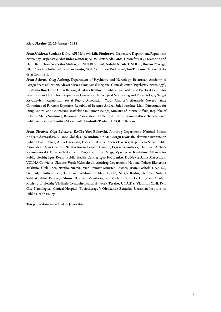#### **Kiev, Ukraine, 22-23 January 2018**

*From Moldova:* **Svetlana Doltu**,AFI Moldova; **Lilia Fiodorova**,Dispensary Department, Republican Narcology Dispensary; **Alexander Goncear**, AIDS Centre; **Ala Latco**, Union for HIV Prevention and Harm Reduction; **Veaceslav Mulear**,GENDERDOC-M; **Natalia Nicula**,UNODC; **Ruslan Poverga**, NGO "Positive Initiative"; **Roman Sandu**, NGO "Zdorovoe Budushee"; **Ion Turcanu**, National Antidrug Commission.

*From Belarus:* **Oleg Aizberg**, Department of Psychiatry and Narcology, Belarusian Academy of Postgraduate Education; **Alexei Alexandrov**, Minsk Regional Clinical Centre "Psychiatry-Narcology"; **Liudmila Buzel**, Red Cross Belarus; **Aliaksei Kralko**, Republican Scientific and Practical Centre for Psychiatry and Addiction, Republican Centre for Narcological Monitoring and Preventology; **Sergei Kryzhevich**, Republican Social Public Association "Your Chance"; **Alexandr Nevero**, State Committee of Forensic Expertise, Republic of Belarus; **Andrei Saladounikav**, Main Directorate for Drug Control and Countering Trafficking in Human Beings, Ministry of Internal Affairs, Republic of Belarus; **Alena Smirnova**, Belarusian Association of UNESCO Clubs; **Iryna Statkevich**, Belarusian Public Association "Positive Movement"; **Liudmila Truhan**, UNODC Belarus.

*From Ukraine:* **Olga Belyaeva**, EACB; **Yuri Bukovski**, Antidrug Department, National Police; **Andrei Chernyshev**, Alliance Global; **Olga Dudina**, USAID; **Sergii Dvoriak**, Ukrainian Institute on Public Health Policy; **Anna Garkusha**, Users of Ukraine; **Sergei Gartsev**, Republican Social Public Association "Your Chance"; **Natalia Isaeva**, Legalife Ukraine; **Evgen Krivosheev**,Club Enei; **Aleksei Kurmanaevski**, Eurasian Network of People who use Drugs; **Vyacheslav Kushakov**, Alliance for Public Health; **Igor Kyzin**, Public Health Centre; **Igor Kyzmenko**, DUNews; **Anna Martyniuk**, VOLNA Convictus Ukraine; **Vasili Melnichyuk**, Antidrug Department, National Police; **Ekaterina Mikhina**, Club Enei; **Natalia Nizova**, Vice Premier Minister Adviser; **Iryna Pashek**, UNAIDS; **Gennady Roshchupkin**, Eurasian Coalition on Male Health; **Sergei Rudoi**, Deloitte; **Natalia Salabai**, UNAIDS; **Sergii Shum**, Ukrainian Monitoring and Medical Centre for Drugs and Alcohol, Ministry of Health; **Vladimir Tymoshenko,** EIH; **Jacek Tyszko**, UNAIDS; **Vladimir Yarii**, Kyiv City Narcological Clinical Hospital "Sociotherapy"; **Oleksandr Zeziulin**, Ukrainian Institute on Public Health Policy.

This publication was edited by James Baer.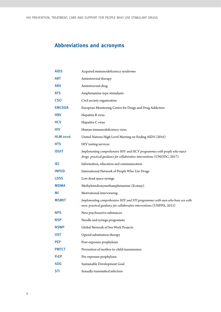# <span id="page-9-0"></span>**Abbreviations and acronyms**

| <b>AIDS</b>     | Acquired immunodeficiency syndrome                                                                                                                    |
|-----------------|-------------------------------------------------------------------------------------------------------------------------------------------------------|
| ART             | Antiretroviral therapy                                                                                                                                |
| <b>ARV</b>      | Antiretroviral drug                                                                                                                                   |
| <b>ATS</b>      | Amphetamine-type stimulants                                                                                                                           |
| <b>CSO</b>      | Civil society organization                                                                                                                            |
| <b>EMCDDA</b>   | European Monitoring Centre for Drugs and Drug Addiction                                                                                               |
| <b>HBV</b>      | Hepatitis B virus                                                                                                                                     |
| <b>HCV</b>      | Hepatitis C virus                                                                                                                                     |
| HIV             | Human immunodeficiency virus                                                                                                                          |
| <b>HLM 2016</b> | United Nations High Level Meeting on Ending AIDS (2016)                                                                                               |
| <b>HTS</b>      | HIV testing services                                                                                                                                  |
| <b>IDUIT</b>    | Implementing comprehensive HIV and HCV programmes with people who inject<br>drugs: practical guidance for collaborative interventions (UNODC, 2017)   |
| IEC             | Information, education and communication                                                                                                              |
| <b>INPUD</b>    | International Network of People Who Use Drugs                                                                                                         |
| <b>LDSS</b>     | Low dead-space syringe                                                                                                                                |
| <b>MDMA</b>     | Methylenedioxymethamphetamine (Ecstasy)                                                                                                               |
| ΜI              | Motivational interviewing                                                                                                                             |
| <b>MSMIT</b>    | Implementing comprehensive HIV and STI programmes with men who have sex with<br>men: practical guidance for collaborative interventions (UNFPA, 2015) |
| <b>NPS</b>      | New psychoactive substances                                                                                                                           |
| <b>NSP</b>      | Needle and syringe programme                                                                                                                          |
| <b>NSWP</b>     | Global Network of Sex Work Projects                                                                                                                   |
| 0ST             | Opioid substitution therapy                                                                                                                           |
| <b>PEP</b>      | Post-exposure prophylaxis                                                                                                                             |
| <b>PMTCT</b>    | Prevention of mother-to-child transmission                                                                                                            |
| <b>PrEP</b>     | Pre-exposure prophylaxis                                                                                                                              |
| <b>SDG</b>      | Sustainable Development Goal                                                                                                                          |
| <b>STI</b>      | Sexually transmitted infection                                                                                                                        |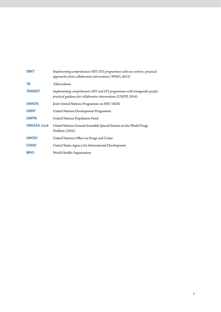| <b>SWIT</b>        | Implementing comprehensive HIV/STI programmes with sex workers: practical<br>approaches from collaborative interventions (WHO, 2013)          |
|--------------------|-----------------------------------------------------------------------------------------------------------------------------------------------|
| <b>TB</b>          | Tuberculosis                                                                                                                                  |
| <b>TRANSIT</b>     | Implementing comprehensive HIV and STI programmes with transgender people:<br>practical guidance for collaborative interventions (UNDP, 2016) |
| <b>UNAIDS</b>      | Joint United Nations Programme on HIV/AIDS                                                                                                    |
| <b>UNDP</b>        | United Nations Development Programme                                                                                                          |
| <b>UNFPA</b>       | United Nations Population Fund                                                                                                                |
| <b>UNGASS 2016</b> | United Nations General Assembly Special Session on the World Drugs<br>Problem $(2016)$                                                        |
| <b>UNODC</b>       | United Nations Office on Drugs and Crime                                                                                                      |
| <b>USAID</b>       | United States Agency for International Development                                                                                            |
| <b>WHO</b>         | World Health Organization                                                                                                                     |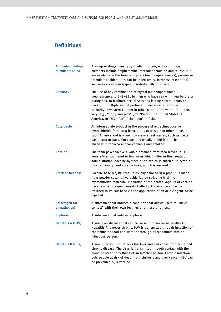# <span id="page-11-0"></span>**Definitions**

| Amphetamine-type<br>stimulants (ATS) | A group of drugs, mostly synthetic in origin, whose principal<br>members include amphetamine, methamphetamine and MDMA. ATS<br>are available in the form of crystals (methamphetamines), powder or<br>formulated tablets. ATS can be taken orally, intranasally (snorted),<br>smoked as a vapour (pipe), inserted anally or injected.                                                                                                               |
|--------------------------------------|-----------------------------------------------------------------------------------------------------------------------------------------------------------------------------------------------------------------------------------------------------------------------------------------------------------------------------------------------------------------------------------------------------------------------------------------------------|
| <b>ChemSex</b>                       | The use of any combination of crystal methamphetamine,<br>mephedrone and GHB/GBL by men who have sex with men before or<br>during sex, to facilitate sexual sessions lasting several hours or<br>days with multiple sexual partners. ChemSex is a term used<br>primarily in western Europe; in other parts of the world, the terms<br>vary, e.g., "party and play" (PNP/PnP) in the United States of<br>America, or "high-fun", "chem-fun" in Asia. |
| Coca paste                           | An intermediate product in the process of extracting cocaine<br>hydrochloride from coca leaves. It is accessible in urban areas in<br>Latin America and is known by many street names, such as pasta<br>base, coca or paco. Coca paste is usually rolled into a cigarette<br>mixed with tobacco and/or cannabis and smoked.                                                                                                                         |
| Cocaine                              | The main psychoactive alkaloid obtained from coca leaves. It is<br>generally encountered in two forms which differ in their route of<br>administration: cocaine hydrochloride, which is snorted, injected or<br>inserted anally; and cocaine base, which is smoked.                                                                                                                                                                                 |
| <b>Crack or freebase</b>             | Cocaine base (crystal) that is usually smoked in a pipe. It is made<br>from powder cocaine hydrochloride by stripping it of the<br>hydrochloride molecule. Inhalation of the heated vapours of cocaine<br>base results in a quick onset of effects. Cocaine base may be<br>returned to its salt base via the application of an acidic agent, to be<br>injected.                                                                                     |
| <b>Entactogen</b> (or<br>empathogen) | A substance that induces a condition that allows users to "make<br>contact" with their own feelings and those of others.                                                                                                                                                                                                                                                                                                                            |
| <b>Euphoriant</b>                    | A substance that induces euphoria.                                                                                                                                                                                                                                                                                                                                                                                                                  |
| <b>Hepatitis A (HAV)</b>             | A viral liver disease that can cause mild to severe acute illness.<br>Hepatitis A is never chronic. HAV is transmitted through ingestion of<br>contaminated food and water or through direct contact with an<br>infectious person.                                                                                                                                                                                                                  |
| <b>Hepatitis B (HBV)</b>             | A viral infection that attacks the liver and can cause both acute and<br>chronic disease. The virus is transmitted through contact with the<br>blood or other body fluids of an infected person. Chronic infection<br>puts people at risk of death from cirrhosis and liver cancer. HBV can<br>be prevented by a vaccine.                                                                                                                           |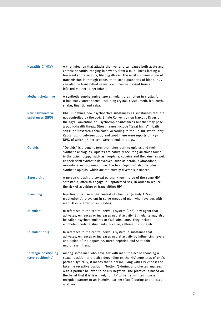| <b>Hepatitis C (HCV)</b>                           | A viral infection that attacks the liver and can cause both acute and<br>chronic hepatitis, ranging in severity from a mild illness lasting a<br>few weeks to a serious, lifelong illness. The most common mode of<br>transmission is through exposure to small quantities of blood. HCV<br>can also be transmitted sexually and can be passed from an<br>infected mother to her infant.                                                                                                                              |
|----------------------------------------------------|-----------------------------------------------------------------------------------------------------------------------------------------------------------------------------------------------------------------------------------------------------------------------------------------------------------------------------------------------------------------------------------------------------------------------------------------------------------------------------------------------------------------------|
| Methamphetamine                                    | A synthetic amphetamine-type stimulant drug, often in crystal form.<br>It has many street names, including crystal, crystal meth, ice, meth,<br>shabu, tina, tic and yaba.                                                                                                                                                                                                                                                                                                                                            |
| <b>New psychoactive</b><br>substances (NPS)        | UNODC defines new psychoactive substances as substances that are<br>not controlled by the 1961 Single Convention on Narcotic Drugs or<br>the 1971 Convention on Psychotropic Substances but that may pose<br>a public-health threat. Street names include "legal highs", "bath<br>salts" or "research chemicals". According to the UNODC World Drug<br>Report 2017, between 2009 and 2016 there were reports on 739<br>NPS, of which 36 per cent were stimulant drugs.                                                |
| <b>Opioids</b>                                     | "Opioids" is a generic term that refers both to opiates and their<br>synthetic analogues. Opiates are naturally occurring alkaloids found<br>in the opium poppy, such as morphine, codeine and thebaine, as well<br>as their semi-synthetic derivatives, such as heroin, hydrocodone,<br>oxycodone and buprenorphine. The term "opioids" also includes<br>synthetic opioids, which are structurally diverse substances.                                                                                               |
| <b>Serosorting</b>                                 | A person choosing a sexual partner known to be of the same HIV<br>serostatus, often to engage in unprotected sex, in order to reduce<br>the risk of acquiring or transmitting HIV.                                                                                                                                                                                                                                                                                                                                    |
| <b>Slamming</b>                                    | Injecting drug use in the context of ChemSex (mainly ATS and<br>mephedrone), prevalent in some groups of men who have sex with<br>men. Also referred to as blasting.                                                                                                                                                                                                                                                                                                                                                  |
| <b>Stimulant</b>                                   | In reference to the central nervous system (CNS), any agent that<br>activates, enhances or increases neural activity. Stimulants may also<br>be called psychostimulants or CNS stimulants. They include<br>amphetamine-type stimulants, cocaine, caffeine, nicotine etc.                                                                                                                                                                                                                                              |
| <b>Stimulant drug</b>                              | In reference to the central nervous system, a substance that<br>activates, enhances or increases neural activity by influencing levels<br>and action of the dopamine, norepinephrine and serotonin<br>neurotransmitters.                                                                                                                                                                                                                                                                                              |
| <b>Strategic positioning</b><br>(sero-positioning) | Among some men who have sex with men, the act of choosing a<br>sexual position or practice depending on the HIV serostatus of one's<br>partner. Typically, it means that a person living with HIV chooses to<br>take the receptive position ("bottom") during unprotected anal sex<br>with a partner believed to be HIV negative. The practice is based on<br>the belief that it is less likely for HIV to be transmitted from a<br>receptive partner to an insertive partner ("top") during unprotected<br>anal sex. |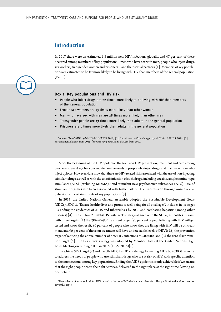# <span id="page-13-0"></span>**Introduction**

In 2017 there were an estimated 1.8 million new HIV infections globally, and 47 per cent of these occurred among members of key populations – men who have sex with men, people who inject drugs, [sex workers, transgender women and prisoners – and their sexual partners \[1\]. Members of key popula](#page-64-0)tions are estimated to be far more likely to be living with HIV than members of the general population (Box 1).



- People who inject drugs are 22 times more likely to be living with HIV than members of the general population
- Female sex workers are 13 times more likely than other women
- Men who have sex with men are 28 times more likely than other men
- Transgender people are 13 times more likely than adults in the general population
- Prisoners are 5 times more likely than adults in the general population

Sources: *Global AIDS update 2018* (UNAIDS, 2018) [1]; for prisoners – *Prevention gap report 2016* (UNAIDS, 2016) [\[2\].](#page-64-0) For prisoners, data are from 2015; for other key populations, data are from 2017.

Since the beginning of the HIV epidemic, the focus on HIV prevention, treatment and care among people who use drugs has concentrated on the needs of people who inject drugs, and mainly on those who inject opioids. However, data show that there are HIV-related risks associated with the use of non-injecting stimulant drugs, as well as with the unsafe injection of such drugs, including cocaine, amphetamine-type stimulants (ATS) (excluding MDMA),<sup>1</sup> and stimulant new psychoactive substances (NPS). Use of stimulant drugs has also been associated with higher risk of HIV transmission through unsafe sexual [behaviours in certain subsets of key populations \[3\].](#page-64-0) 

In 2015, the United Nations General Assembly adopted the Sustainable Development Goals (SDGs). SDG 3, "Ensure healthy lives and promote well-being for all at all ages", includes in its target 3.3 ending the epidemics of AIDS and tuberculosis by 2030 and combating hepatitis (among other [diseases\) \[4\]](#page-64-0)*.* The 2016-2021 UNAIDS Fast-Track strategy, aligned with the SDGs, articulates this aim with three targets: (1) the "90–90–90" treatment target (90 per cent of people living with HIV will get tested and know the result, 90 per cent of people who know they are living with HIV will be on treatment, and 90 per cent of those on treatment will have undetectable levels of HIV); (2) the prevention target of reducing the annual number of new HIV infections to 500,000; and (3) the zero discrimina[tion target \[5\]. The Fast-Track strategy was adopted by Member States at the United Nations High](#page-64-0)  [Level Meeting on Ending AIDS in 2016 \(HLM 2016\)\[6\].](#page-64-0)

To achieve SDG target 3.3 and the UNAIDS Fast-Track strategy for ending AIDS by 2030, it is crucial to address the needs of people who use stimulant drugs who are at risk of HIV, with specific attention to the intersections among key populations. Ending the AIDS epidemic is only achievable if we ensure that the right people access the right services, delivered in the right place at the right time, leaving no one behind.

<sup>1</sup>No evidence of increased risk for HIV related to the use of MDMA has been identified. This publication therefore does not cover this topic.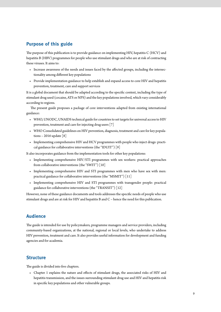# **Purpose of this guide**

The purpose of this publication is to provide guidance on implementing HIV, hepatitis C (HCV) and hepatitis B (HBV) programmes for people who use stimulant drugs and who are at risk of contracting these viruses. It aims to:

- Increase awareness of the needs and issues faced by the affected groups, including the intersectionality among different key populations
- Provide implementation guidance to help establish and expand access to core HIV and hepatitis prevention, treatment, care and support services

It is a global document that should be adapted according to the specific context, including the type of stimulant drug used (cocaine, ATS or NPS) and the key populations involved, which vary considerably according to regions.

The present guide proposes a package of core interventions adapted from existing international guidance:

- [WHO, UNODC, UNAIDS technical guide for countries to set targets for universal access to HIV](http://apps.who.int/iris/bitstream/10665/77969/1/9789241504379_eng.pdf)  [prevention, treatment and care for injecting drug users](http://apps.who.int/iris/bitstream/10665/77969/1/9789241504379_eng.pdf)[\[7\]](#page-64-0)
- [WHO Consolidated guidelines on HIV prevention, diagnosis, treatment and care for key popula](https://www.who.int/hiv/pub/guidelines/keypopulations-2016/en/)tions - 2016 update  $\lceil 8 \rceil$
- [Implementing comprehensive HIV and HCV programmes with people who inject drugs: practi](http://www.unodc.org/documents/hiv-aids/publications/Implementing_Comprehensive_HIV_and_HCV_Programmes_with_People_Who_Inject_Drugs_PRACTICAL_GUIDANCE_FOR_COLLABORATIVE_INTERVENTIONS.pdf,)[cal guidance for collaborative intervention](http://www.unodc.org/documents/hiv-aids/publications/Implementing_Comprehensive_HIV_and_HCV_Programmes_with_People_Who_Inject_Drugs_PRACTICAL_GUIDANCE_FOR_COLLABORATIVE_INTERVENTIONS.pdf,)[s \(the "IDUIT"\) \[9\]](#page-64-0)

It also incorporates guidance from the implementation tools for other key populations:

- [Implementing comprehensive HIV/STI programmes with sex workers: practical approaches](https://www.who.int/hiv/pub/sti/sex_worker_implementation/en/)  [from collaborative interventions](https://www.who.int/hiv/pub/sti/sex_worker_implementation/en/) [\(the "SWIT"\) \[10\]](#page-64-0)
- [Implementing comprehensive HIV and STI programmes with men who have sex with men:](https://www.unfpa.org/publications/implementing-comprehensive-hiv-and-sti-programmes-men-who-have-sex-men)  [practical guidance for collaborative interventions](https://www.unfpa.org/publications/implementing-comprehensive-hiv-and-sti-programmes-men-who-have-sex-men) [\(the "MSMIT"\) \[11\]](#page-64-0)
- [Implementing comprehensive HIV and STI programmes with transgender people: practical](https://www.unfpa.org/publications/implementing-comprehensive-hiv-and-sti-programmes-transgender-people-practical-guidance)  [guidance for collaborative intervention](https://www.unfpa.org/publications/implementing-comprehensive-hiv-and-sti-programmes-transgender-people-practical-guidance)[s \(the "TRANSIT"\) \[12\]](#page-64-0)

However, none of these guidance documents and tools addresses the specific needs of people who use stimulant drugs and are at risk for HIV and hepatitis B and C – hence the need for this publication.

# **Audience**

The guide is intended for use by policymakers, programme managers and service providers, including community-based organizations, at the national, regional or local levels, who undertake to address HIV prevention, treatment and care. It also provides useful information for development and funding agencies and for academia.

# **Structure**

The guide is divided into five chapters.

• Chapter 1 explains the nature and effects of stimulant drugs, the associated risks of HIV and hepatitis transmission, and the issues surrounding stimulant drug use and HIV and hepatitis risk in specific key populations and other vulnerable groups.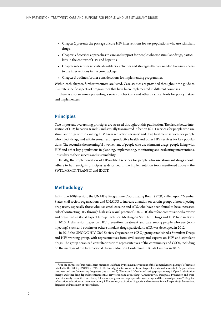- Chapter 2 presents the package of core HIV interventions for key populations who use stimulant drugs.
- Chapter 3 describes approaches to care and support for people who use stimulant drugs, particularly in the context of HIV and hepatitis.
- Chapter 4 describes six critical enablers activities and strategies that are needed to ensure access to the interventions in the core package.
- Chapter 5 outlines further considerations for implementing programmes.

Within each chapter, further resources are listed. Case studies are provided throughout the guide to illustrate specific aspects of programmes that have been implemented in different countries.

There is also an annex presenting a series of checklists and other practical tools for policymakers and implementers.

# **Principles**

Two important overarching principles are stressed throughout this publication. The first is better integration of HIV, hepatitis B and C and sexually transmitted infection (STI) services for people who use stimulant drugs within existing HIV harm reduction services<sup>2</sup> and drug treatment services for people who inject drugs*,* and within sexual and reproductive health and other HIV services for key populations. The second is the meaningful involvement of people who use stimulant drugs, people living with HIV and other key populations in planning, implementing, monitoring and evaluating interventions. This is key to their success and sustainability.

Finally, the implementation of HIV-related services for people who use stimulant drugs should adhere to human-rights principles as described in the implementation tools mentioned above – the SWIT, MSMIT, TRANSIT and IDUIT.

# **Methodology**

In its June 2009 session, the UNAIDS Programme Coordinating Board (PCB) called upon "Member States, civil society organizations and UNAIDS to increase attention on certain groups of non-injecting drug users, especially those who use crack cocaine and ATS, who have been found to have increased risk of contracting HIV through high-risk sexual practices". UNODC therefore commissioned a review and organized a Global Expert Group Technical Meeting on Stimulant Drugs and HIV, held in Brazil in 2010. A discussion paper on HIV prevention, treatment and care among people who use (noninjecting) crack and cocaine or other stimulant drugs, particularly ATS, was developed in 2012.

In 2013 the UNODC HIV Civil Society Organization (CSO) group established a Stimulant Drugs and HIV working group, with representatives from civil society and experts on HIV and stimulant drugs. The group organized consultations with representatives of the community and CSOs, including on the margins of the International Harm Reduction Conference in Kuala Lumpur in 2015.

<sup>&</sup>lt;sup>2</sup> For the purposes of this guide, harm reduction is defined by the nine interventions of the "comprehensive package" of services detailed in the [WHO, UNODC, UNAIDS Technical guide for countries to set targets for universal access to HIV prevention,](http://apps.who.int/iris/bitstream/10665/77969/1/9789241504379_eng.pdf) [treatment and care for injecting drug users](http://apps.who.int/iris/bitstream/10665/77969/1/9789241504379_eng.pdf) (see citation 7). These are: 1. Needle and syringe programmes; 2. Opioid substitution therapy and other drug dependence treatment; 3. HIV testing and counselling; 4. Antiretroviral therapy; 5. Prevention and treatment of sexually transmitted infections; 6. Condom programmes for people who inject drugs and their sexual partners; 7. Targeted information, education and communication; 8. Prevention, vaccination, diagnosis and treatment for viral hepatitis; 9. Prevention, diagnosis and treatment of tuberculosis.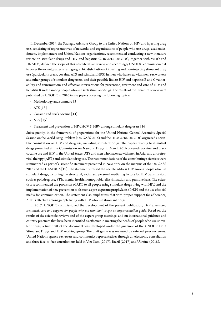In December 2014, the Strategic Advisory Group to the United Nations on HIV and injecting drug use, consisting of representatives of networks and organizations of people who use drugs, academics, donors, implementers and United Nations organizations, recommended conducting a new literature review on stimulant drugs and HIV and hepatitis C. In 2015 UNODC, together with WHO and UNAIDS, defined the scope of this new literature review, and accordingly UNODC commissioned it to cover the extent, patterns and geographic distribution of injecting and non-injecting stimulant drug use (particularly crack, cocaine, ATS and stimulant NPS) in men who have sex with men, sex workers and other groups of stimulant drug users, and their possible link to HIV and hepatitis B and C vulnerability and transmission; and effective interventions for prevention, treatment and care of HIV and hepatitis B and C among people who use such stimulant drugs. The results of the literature review were published by UNODC in 2016 in five papers covering the following topics:

- [Methodology and summary](http://www.unodc.org/documents/hiv-aids/2017/1_Stim_HIV_Syst_Lit_rev_Part_1_methodology_and_summary.pdf) [3]
- [ATS \[13\]](#page-64-0)
- [Cocaine and crack cocaine](http://www.unodc.org/documents/hiv-aids/2017/2_Stim_HIV_Syst_Lit_Rev_Part_2_ATS.pdf) [\[14\]](#page-64-0)
- [NPS](http://www.unodc.org/documents/hiv-aids/2017/4_Stim_HIV_Syst_Lit_Rev_Part_4_-_New_Psychoactive_Substances.pdf)  $[15]$
- [Treatment and prevention of HIV, HCV & HBV among stimulant drug users](http://www.unodc.org/documents/hiv-aids/2017/5_Stim_HIV_Syst_Lit_rev_Part_5_Prevention_and_treatment.pdf) [\[16\].](#page-65-0)

Subsequently, in the framework of preparations for the United Nations General Assembly Special Session on the World Drug Problem (UNGASS 2016) and the HLM 2016, UNODC organized a scientific consultation on HIV and drug use, including stimulant drugs. The papers relating to stimulant drugs presented at the Commission on Narcotic Drugs in March 2016 covered: cocaine and crack cocaine use and HIV in the United States; ATS and men who have sex with men in Asia; and antiretroviral therapy (ART) and stimulant drug use. The recommendations of the contributing scientists were summarized as part of a scientific statement presented in New York on the margins of the UNGASS 2016 and the HLM 2016 [17]. The statement stressed the need to address HIV among people who use stimulant drugs, including the structural, social and personal mediating factors for HIV transmission, such as polydrug use, STIs, mental health, homophobia, discrimination and punitive laws. The scientists recommended the provision of ART to all people using stimulant drugs living with HIV, and the implementation of new prevention tools such as pre-exposure prophylaxis (PrEP) and the use of social media for communication. The statement also emphasizes that with proper support for adherence, ART is effective among people living with HIV who use stimulant drugs.

In 2017, UNODC commissioned the development of the present publication, *HIV prevention, treatment, care and support for people who use stimulant drugs: an implementation guide.* Based on the results of the scientific reviews and of the expert group meetings, and on international guidance and country practices that have been identified as effective in meeting the needs of people who use stimulant drugs, a first draft of the document was developed under the guidance of the UNODC CSO Stimulant Drugs and HIV working group. The draft guide was reviewed by external peer reviewers, United Nations agency reviewers and community representatives through an electronic consultation and three face-to-face consultations held in Viet Nam (2017), Brazil (2017) and Ukraine (2018).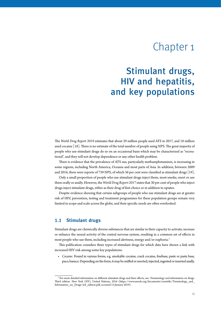# Chapter 1

# <span id="page-18-0"></span> Stimulant drugs, HIV and hepatitis, and key populations

The *World Drug Report 2019* estimates that about 29 million people used ATS in 2017, and 18 million [used cocaine \[18\]. There is no estimate of the total number of people using NPS. The great majority of](#page-65-0)  people who use stimulant drugs do so on an occasional basis which may be characterized as "recreational", and they will not develop dependence or any other health problem.

There is evidence that the prevalence of ATS use, particularly methamphetamines, is increasing in some regions, including North America, Oceania and most parts of Asia. In addition, between 2009 [and 2016, there were reports of 739 NPS, of which 36 per cent were classified as stimulant drugs \[19\].](#page-65-0) 

Only a small proportion of people who use stimulant drugs inject them; most smoke, snort or use them orally or anally. However, the *World Drug Report 2017* states that 30 per cent of people who inject drugs inject stimulant drugs, either as their drug of first choice or in addition to opiates.

Despite evidence showing that certain subgroups of people who use stimulant drugs are at greater risk of HIV, prevention, testing and treatment programmes for these population groups remain very limited in scope and scale across the globe, and their specific needs are often overlooked.

# **1.1 Stimulant drugs**

Stimulant drugs are chemically diverse substances that are similar in their capacity to activate, increase or enhance the neural activity of the central nervous system, resulting in a common set of effects in most people who use them, including increased alertness, energy and/or euphoria.3

This publication considers three types of stimulant drugs for which data have shown a link with increased HIV risk among some key populations:

• *Cocaine:* Found in various forms, e.g. smokable cocaine, crack cocaine, freebase, paste or pasta base, paco, basuco. Depending on the form, it may be sniffed or snorted, injected, ingested or inserted anally.

<sup>&</sup>lt;sup>3</sup> For more detailed information on different stimulant drugs and their effects, see: Terminology and information on drugs. Third edition. New York (NY), United Nations, 2016 (https://www.unodc.org/documents/scientific/Terminology\_and\_ Information\_on\_Drugs-3rd\_edition.pdf, accessed 15 January 2019).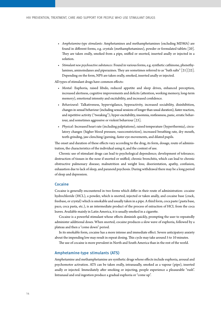- *Amphetamine-type stimulants:* Amphetamines and methamphetamines (excluding MDMA) are [found in different forms, e.g. crystals \(methamphetamines\), powder or formulated tablets \[20\].](#page-65-0)  They are taken orally, smoked from a pipe, sniffed or snorted, inserted anally or injected in a solution.
- *Stimulant new psychoactive substances:* Found in various forms, e.g.synthetic cathinone, phenethylamines, aminoindanes and piperazines. They are sometimes referred to as "bath salts" [21][22]. Depending on the form, NPS are taken orally, smoked, inserted anally or injected.

All types of stimulant drugs have common effects:

- *Mental:* Euphoria, raised libido, reduced appetite and sleep drives, enhanced perception, increased alertness, cognitive improvements and deficits (attention, working memory, long-term memory), emotional intensity and excitability, and increased confidence.
- *Behavioural:* Talkativeness, hypervigilance, hyperactivity, increased sociability, disinhibition, changes in sexual behaviour (including sexual sessions of longer than usual duration), faster reaction, and repetitive activity ("tweaking"); hyper-excitability, insomnia, restlessness, panic, erratic behav-iour, and sometimes aggressive or violent behaviour [\[23\].](#page-65-0)
- *Physical:* Increased heart rate (including palpitations), raised temperature (hyperthermia), circulatory changes (higher blood pressure, vasoconstriction), increased breathing rate, dry mouth, teeth-grinding, jaw-clenching/gurning, faster eye-movements, and dilated pupils.

The onset and duration of these effects vary according to the drug, its form, dosage, route of administration, the characteristics of the individual using it, and the context of use.

Chronic use of stimulant drugs can lead to psychological dependence; development of tolerance; destruction of tissues in the nose if snorted or sniffed; chronic bronchitis, which can lead to chronic obstructive pulmonary disease; malnutrition and weight loss; disorientation, apathy, confusion, exhaustion due to lack of sleep, and paranoid psychosis. During withdrawal there may be a long period of sleep and depression.

### Cocaine

Cocaine is generally encountered in two forms which differ in their route of administration: cocaine hydrochloride (HCL), a powder, which is snorted, injected or taken anally, and cocaine base (crack, freebase, or crystal) which is smokable and usually taken in a pipe. A third form, coca paste (pasta base, paco, coca pasta, etc.), is an intermediate product of the process of extraction of HCL from the coca leaves. Available mainly in Latin America, it is usually smoked in a cigarette.

Cocaine is a powerful stimulant whose effects diminish quickly, prompting the user to repeatedly administer additional doses. When snorted, cocaine produces a slow wave of euphoria, followed by a plateau and then a "come down" period.

In its smokable form, cocaine has a more intense and immediate effect. Severe anticipatory anxiety about the impending low may result in repeat dosing. This cycle may take around 5 to 10 minutes.

The use of cocaine is more prevalent in North and South America than in the rest of the world.

# Amphetamine-type stimulants (ATS)

Amphetamine and methamphetamine are synthetic drugs whose effects include euphoria, arousal and psychomotor activation. ATS can be taken orally, intranasally, smoked as a vapour (pipe), inserted anally or injected. Immediately after smoking or injecting, people experience a pleasurable "rush". Intranasal and oral ingestion produce a gradual euphoria or "come up".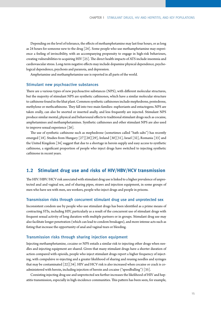<span id="page-20-0"></span>Depending on the level of tolerance, the effects of methamphetamine may last four hours, or as long [as 24 hours for someone new to the drug \[24\]. Some people who use methamphetamine may experi](#page-65-0)ence a feeling of invincibility, with an accompanying propensity to engage in high-risk behaviours, [creating vulnerabilities to acquiring HIV \[25\]. The direct health impacts of ATS include insomnia and](#page-65-0)  cardiovascular stress. Long-term negative effects may include dopamine physical dependence, psychological dependence, psychosis and paranoia, and depression.

Amphetamine and methamphetamine use is reported in all parts of the world.

### Stimulant new psychoactive substances

There are a various types of new psychoactive substances (NPS), with different molecular structures, but the majority of stimulant NPS are synthetic cathinones, which have a similar molecular structure to cathinone found in the khat plant. Common synthetic cathinones include mephedrone, pentedrone, methylone or methcathinone. They fall into two main families: euphoriants and entactogens.NPS are taken orally, can also be snorted or inserted anally, and less frequently are injected. Stimulant NPS produce similar mental, physical and behavioural effects to traditional stimulant drugs such as cocaine, amphetamines and methamphetamines. Synthetic cathinones and other stimulant NPS are also used [to improve sexual experience \[26\].](#page-65-0) 

The use of synthetic cathinone such as mephedrone (sometimes called "bath salts") has recently emerged [18]. [Studies from Hungary \[27\]\[28\]\[29\], Ireland \[30\]\[31\], Israel \[32\], Romania \[33\] and](#page-65-0)  [the United Kingdom \[34\] suggest that due to a shortage in heroin supply and easy access to synthetic](#page-66-0)  cathinone, a significant proportion of people who inject drugs have switched to injecting synthetic cathinone in recent years.

# **1.2 Stimulant drug use and risks of HIV/HBV/HCV transmission**

The HIV/HBV/HCV risk associated with stimulant drug use is linked to a higher prevalence of unprotected anal and vaginal sex, and of sharing pipes, straws and injection equipment, in some groups of men who have sex with men, sex workers, people who inject drugs and people in prisons.

### Transmission risks through concurrent stimulant drug use and unprotected sex

Inconsistent condom use by people who use stimulant drugs has been identified as a prime means of contracting STIs, including HIV, particularly as a result of the concurrent use of stimulant drugs with frequent sexual activity of long duration with multiple partners or in groups. Stimulant drug use may also facilitate longer penetration (which can lead to condom breakages), and more intense acts such as fisting that increase the opportunity of anal and vaginal tears or bleeding.

# Transmission risks through sharing injection equipment

Injecting methamphetamine, cocaine or NPS entails a similar risk to injecting other drugs when needles and injecting equipment are shared. Given that many stimulant drugs have a shorter duration of action compared with opioids, people who inject stimulant drugs report a higher frequency of injecting, with compulsive re-injecting and a greater likelihood of sharing and reusing needles and syringes that may be contaminated [22][34]. HIV and HCV risk is also increased when cocaine or crack is co[administered with heroin, including injection of heroin and cocaine \("speedballing"\) \[35\].](#page-66-0) 

Coexisting injecting drug use and unprotected sex further increases the likelihood of HIV and hepatitis transmission, especially in high-incidence communities. This pattern has been seen, for example,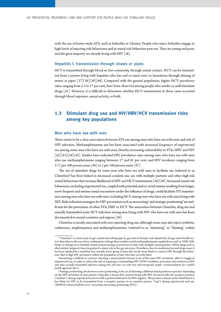<span id="page-21-0"></span>with the use of home-made ATS, such as *boltushka* in Ukraine. People who inject *boltushka* engage in high levels of injecting risk behaviours and in sexual risk behaviour post use. They are young and poor, [and the great majority are already living with HIV \[36\].](#page-66-0)

### Hepatitis C transmission through straws or pipes

HCV is transmitted through blood or, less commonly, through sexual contact. HCV can be transmitted from a person living with hepatitis who has oral or nasal sores or lacerations through sharing of [straws or pipes \[37\]\[38\]\[39\]\[40\]. Compared with the general population, higher HCV prevalence](#page-66-0)  rates, ranging from 2.3 to 17 per cent, have been observed among people who smoke or sniff stimulant [drugs \[41\]. However, it is difficult to determine whether HCV transmission in these cases occurred](#page-66-0)  through blood exposure, sexual activity, or both.

# **1.3 Stimulant drug use and HIV/HBV/HCV transmission risks among key populations**

### Men who have sex with men

There seems to be a clear association between ATS use among men who have sex with men and risk of HIV infection. Methamphetamine use has been associated with increased frequency of unprotected sex among some men who have sex with men, thereby increasing vulnerability to STIs, HBV and HIV [\[42\]\[43\]\[44\]\[45\]. Studies have indicated HIV prevalence rates among men who have sex with men](#page-66-0)  who use methamphetamine ranging between 17 and 61 per cent, and HIV incidence ranging from [2.71 per 100 person-years \[46\] to 5 per 100 person-years \[47\].](#page-66-0)

The use of stimulant drugs by some men who have sex with men to facilitate sex (referred to as ChemSex)4 has been linked to decreased condom use, sex with multiple partners and other high-risk [sexual behaviours that increase likelihood of HIV and HCV transmission \[48\]\[49\]. Increased sexual risk](#page-66-0)  behaviours, including unprotected sex, coupled with potential anal or rectal trauma resulting from longer, more frequent and intense sexual encounters under the influence of drugs, could facilitate STI transmission among men who have sex with men, including HCV among men who have sex with men living with HIV. Risk-reduction strategies for HIV prevention such as serosorting<sup>s</sup> and strategic positioning<sup>6</sup> are inefficient for the prevention of other STIs, HBV or HCV. The association between ChemSex, drug use and sexually transmitted acute HCV infection among men living with HIV who have sex with men has been [documented in several countries and regions \[50\].](#page-67-0)

ChemSex is mostly associated with non-injecting drug use, although some may also inject synthetic cathinones, amphetamines and methamphetamines (referred to as "slamming" or "blasting" within

<sup>4</sup> "ChemSex" is a term used on geo-sexual networking apps by gay men in Europe (and adopted by the gay men's health sector) that refers to the use of any combination of drugs that includes crystal methamphetamine, mephedrone and/or GHB/GBL before or during sex to facilitate sexual sessions lasting several hours or days with multiple sexual partners. While drugs such as alkyl nitrites (poppers) have long played a minor role in the gay sex scene, ChemSex is less of a traditional sex and drugs issue; it has been adopted by a small but very sexually active group of men who are far more likely to contract HIV through this behaviour (due to high HIV prevalence within the population of men who have sex with men).

<sup>&</sup>lt;sup>5</sup>Serosorting is defined as a person choosing a sexual partner known to be of the same HIV serostatus, often to engage in unprotected sex, in order to reduce the risk of acquiring or transmitting HIV (*[WHO Guidelines: prevention and treatment of HIV](https://www.who.int/hiv/pub/guidelines/msm_guidelines2011/en/) [and other sexually transmitted infections among men who have sex with men and transgender people: recommendations for a public](https://www.who.int/hiv/pub/guidelines/msm_guidelines2011/en/) [health approach 2011](https://www.who.int/hiv/pub/guidelines/msm_guidelines2011/en/)*)

<sup>6</sup> Strategic positioning, also known as sero-positioning, is the act of choosing a different sexual position or practice depending on the HIV serostatus of one's partner. Typically, it means that a person living with HIV chooses to take the receptive position ("bottom") during unprotected anal sex with a partner believed to be HIV-negative. The practice is based on the belief that it is less likely for HIV to be transmitted from a receptive partner to an insertive partner ("top") during unprotected anal sex. (*[MSMGF technical bulletin series: serosorting and strategic positioning](http://msmgf.org/files/msmgf/documents/TechBulletins/EN/Sec5MSMGF_TechBulletins2012.pdf)*, 2012).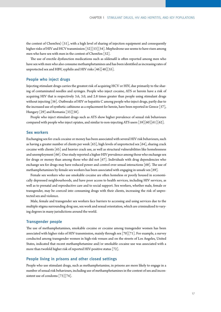[the context of ChemSex\) \[51\], with a high level of sharing of injection equipment and consequently](#page-67-0)  higher risks of HIV and HCV transmission [52][53][54]. Mephedrone use seems to have risen among men who have sex with men in the context of ChemSex [52].

The use of erectile dysfunction medications such as sildenafil is often reported among men who have sex with men who also consume methamphetamines and has been identified as increasing rates of unprotected sex and HBV, syphilis and HIV risks [46][48][55].

# People who inject drugs

Injecting stimulant drugs carries the greatest risk of acquiring HCV or HIV, due primarily to the sharing of contaminated needles and syringes. People who inject cocaine, ATS or heroin have a risk of acquiring HIV that is respectively 3.6, 3.0, and 2.8 times greater than people using stimulant drugs [without injecting \[56\]. Outbreaks of HIV or hepatitis C among people who inject drugs, partly due to](#page-67-0)  [the increased use of synthetic cathinone as a replacement for heroin, have been reported in Greece \[57\],](#page-67-0)  [Hungary \[29\] and Romania \[33\]\[58\].](#page-67-0)

People who inject stimulant drugs such as ATS show higher prevalence of sexual risk behaviours [compared with people who inject opiates, and similar to non-injecting ATS users \[59\]\[60\]\[61\]\[62\].](#page-67-0)

## Sex workers

Exchanging sex for crack cocaine or money has been associated with several HIV risk behaviours, such [as having a greater number of clients per week \[63\], high levels of unprotected sex \[64\], sharing crack](#page-67-0)  [cocaine with clients \[65\] and heavier crack use, as well as structural vulnerabilities like homelessness](#page-68-0)  [and unemployment \[66\]. One study reported a higher HIV prevalence among those who exchange sex](#page-68-0)  [for drugs or money than among those who did not \[67\]. Individuals with drug dependencies who](#page-68-0)  [exchange sex for drugs may have reduced power and control over sexual interactions \[68\]. The use of](#page-68-0)  [methamphetamines by female sex workers has been associated with engaging in unsafe sex \[69\].](#page-68-0) 

Female sex workers who use smokable cocaine are often homeless or poorly housed in economically depressed neighbourhoods, and have poor access to health services, including HIV services, as well as to prenatal and reproductive care and to social support. Sex workers, whether male, female or transgender, may be coerced into consuming drugs with their clients, increasing the risk of unprotected sex and violence.

Male, female and transgender sex workers face barriers to accessing and using services due to the multiple stigma surrounding drug use, sex work and sexual orientation, which are criminalized to varying degrees in many jurisdictions around the world.

### Transgender people

The use of methamphetamines, smokable cocaine or cocaine among transgender women has been [associated with higher risks of HIV transmission, mainly through sex \[70\]\[71\]. For example, a survey](#page-68-0)  conducted among transgender women in high-risk venues and on the streets of Los Angeles, United States, indicated that recent methamphetamine and/or smokable cocaine use was associated with a [more than twofold higher risk of reported HIV-positive status \[72\].](#page-68-0)

# People living in prisons and other closed settings

People who use stimulant drugs, such as methamphetamine, in prisons are more likely to engage in a number of sexual risk behaviours, including use of methamphetamines in the context of sex and incon[sistent use of condoms \[73\]\[74\].](#page-68-0)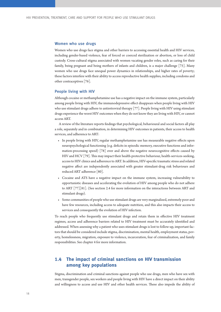### <span id="page-23-0"></span>Women who use drugs

Women who use drugs face stigma and other barriers to accessing essential health and HIV services, including gender-based violence, fear of forced or coerced sterilization or abortion, or loss of child custody. Cross-cultural stigma associated with women vacating gender roles, such as caring for their [family, being pregnant and being mothers of infants and children, is a major challenge \[75\]. Many](#page-68-0)  women who use drugs face unequal power dynamics in relationships, and higher rates of poverty; these factors interfere with their ability to access reproductive health supplies, including condoms and [other contraceptives \[76\].](#page-68-0) 

### People living with HIV

Although cocaine or methamphetamine use has a negative impact on the immune system, particularly among people living with HIV, the immunodepressive effect disappears when people living with HIV [who use stimulant drugs adhere to antiretroviral therapy \[77\]. People living with HIV using stimulant](#page-68-0)  drugs experience the worst HIV outcomes when they do not know they are living with HIV, or cannot access ART.

A review of the literature reports findings that psychological, behavioural and social factors all play a role, separately and in combination, in determining HIV outcomes in patients, their access to health services, and adherence to ART:

- In people living with HIV, regular methamphetamine use has measurable negative effects upon neuropsychological functioning (e.g. deficits in episodic memory, executive functions and infor[mation-processing speed\) \[78\] over and above the negative neurocognitive effects caused by](#page-68-0)  [HIV and HCV \[79\]. This may impact their health-protective behaviour, health-services-seeking,](#page-68-0)  access to HIV clinics and adherence to ART. In addition, HIV-specific traumatic stress and related negative affect are independently associated with greater stimulant-drug risk behaviours and [reduced ART adherence \[80\].](#page-68-0)
- Cocaine and ATS have a negative impact on the immune system, increasing vulnerability to opportunistic diseases and accelerating the evolution of HIV among people who do not adhere [to ART \[77\]\[81\]. \(See section 2.4 for more information on the interactions between ART and](#page-69-0)  stimulant drugs).
- Some communities of people who use stimulant drugs are very marginalized, extremely poor and have few resources, including access to adequate nutrition, and this also impacts their access to services and consequently the evolution of HIV infection.

To reach people who frequently use stimulant drugs and retain them in effective HIV treatment regimes, access and adherence barriers related to HIV treatment must be accurately identified and addressed. When assessing why a patient who uses stimulant drugs is lost to follow-up, important factors that should be considered include stigma, discrimination, mental health, employment status, poverty, homelessness, migration, exposure to violence, incarceration, fear of criminalization, and family responsibilities. See chapter 4 for more information.

# **1.4 The impact of criminal sanctions on HIV transmission among key populations**

Stigma, discrimination and criminal sanctions against people who use drugs, men who have sex with men, transgender people, sex workers and people living with HIV have a direct impact on their ability and willingness to access and use HIV and other health services. These also impede the ability of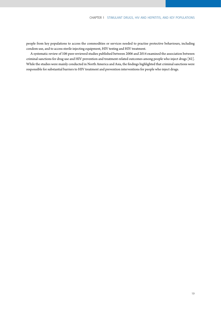people from key populations to access the commodities or services needed to practise protective behaviours, including condom use, and to access sterile injecting equipment, HIV testing and HIV treatment.

A systematic review of 106 peer-reviewed studies published between 2006 and 2014 examined the association between [criminal sanctions for drug use and HIV prevention and treatment-related outcomes among people who inject drugs \[82\].](#page-69-0)  While the studies were mainly conducted in North America and Asia, the findings highlighted that criminal sanctions were responsible for substantial barriers to HIV treatment and prevention interventions for people who inject drugs.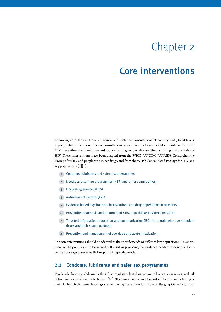# Chapter 2

# <span id="page-26-0"></span>Core interventions

Following an extensive literature review and technical consultations at country and global levels, expert participants in a number of consultations agreed on a package of eight core interventions for HIV prevention, treatment, care and support among people who use stimulant drugs and are at risk of HIV. These interventions have been adapted from the WHO/UNODC/UNAIDS Comprehensive Package for HIV and people who inject drugs, and from the WHO Consolidated Package for HIV and key populations [7][8].

- **1** Condoms, lubricants and safer sex programmes
- **2** Needle and syringe programmes (NSP) and other commodities
- **3** HIV testing services (HTS)
- **4** Antiretroviral therapy (ART)
- **5** Evidence-based psychosocial interventions and drug dependence treatments
- **6** Prevention, diagnosis and treatment of STIs, hepatitis and tuberculosis (TB)
- **7** Targeted information, education and communication (IEC) for people who use stimulant drugs and their sexual partners
- **8** Prevention and management of overdose and acute intoxication

The core interventions should be adapted to the specific needs of different key populations. An assessment of the population to be served will assist in providing the evidence needed to design a clientcentred package of services that responds to specific needs.

# **2.1 Condoms, lubricants and safer sex programmes**

People who have sex while under the influence of stimulant drugs are more likely to engage in sexual risk [behaviours, especially unprotected sex \[83\]. They may have reduced sexual inhibitions and a feeling of](#page-69-0)  invincibility, which makes choosing or remembering to use a condom more challenging. Other factors that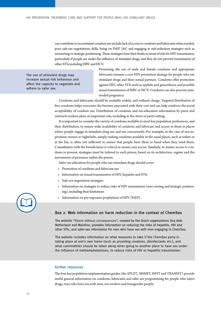can contribute to inconsistent condom use include lack of access to condoms and lubricants when needed, [poor safe-sex negotiations skills, being on PrEP \[84\] and engaging in risk-reduction strategies such as](#page-69-0)  serosorting or strategic positioning. These strategies have their limits in terms of risk for HIV transmission, particularly if people are under the influence of stimulant drugs, and they do not prevent transmission of other STIs including HBV and HCV.

The use of stimulant drugs may increase sexual risk behaviour and affect the capacity to negotiate and adhere to safer sex.

Promoting the use of male and female condoms and appropriate lubricants remains a core HIV prevention strategy for people who use stimulant drugs and their sexual partners. Condoms offer protection against HIV, other STIs such as syphilis and gonorrhoea, and possible sexual transmission of HBV or HCV. Condoms can also prevent unintended pregnancy.

Condoms and lubricants should be available widely, and without charge. Targeted distribution of free condoms helps overcome the barriers associated with their cost and can help reinforce the social acceptability of condom use. Distribution of condoms and sex-education information by peers and outreach workers plays an important role, including in the street or party setting.

It is important to consider the variety of condoms available to meet key population preferences, and their distribution, to ensure wide availability of condoms and lubricant and access to them in places where people engage in stimulant drug use and sex concurrently. For example, in the case of sex-onpremises venues or nightclubs, simply making condoms available in the usual places, such as toilets or at the bar, is often not sufficient to ensure that people have them to hand when they need them. Consultation with the beneficiaries is critical to ensure easy access. Similarly, to ensure access to condoms in prisons, strategies must be tailored to each prison, based on its architecture, regime and the movements of prisoners within the prison.

Safer-sex education for people who use stimulant drugs should cover:

- Promotion of condoms and lubricant use
- Information on sexual transmission of HIV, hepatitis and STIs
- Safe-sex negotiation strategies
- Information on strategies to reduce risks of HIV transmission (sero-sorting and strategic positioning), including their limitations
- Information on pre-exposure prophylaxis of HIV (PrEP)

# Box 2. Web information on harm reduction in the context of ChemSex

The website "[Sleaze without consequences](https://sexntina.nl/en/sleazen-zonder-nasleep/)", created by the Dutch organizations Soa Aids Netherland and Mainline, provides information on reducing the risks of hepatitis, HIV and other STIs, and safer-sex information for men who have sex with men engaging in ChemSex.

The website includes information on what measures to take if the ChemSex party is taking place at one's own home (such as providing condoms, disinfectants etc.), and what commodities should be taken along when going to another place to have sex under the influence of methamphetamines, to reduce risks of HIV or hepatitis transmission.

#### Further resources

The four key population implementation guides (the [IDUIT](http://www.unodc.org/documents/hiv-aids/publications/Implementing_Comprehensive_HIV_and_HCV_Programmes_with_People_Who_Inject_Drugs_PRACTICAL_GUIDANCE_FOR_COLLABORATIVE_INTERVENTIONS.pdf,), [MSMIT](https://www.unfpa.org/publications/implementing-comprehensive-hiv-and-sti-programmes-men-who-have-sex-men), [SWIT](https://www.who.int/hiv/pub/sti/sex_worker_implementation/en/) and [TRANSIT\)](https://www.unfpa.org/publications/implementing-comprehensive-hiv-and-sti-programmes-transgender-people-practical-guidance) provide useful general information on condoms, lubricants and safer sex programming for people who inject drugs, men who have sex with men, sex workers and transgender people.

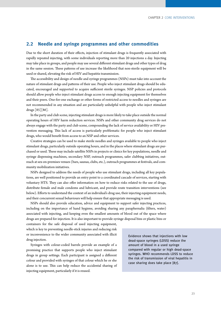# <span id="page-28-0"></span>**2.2 Needle and syringe programmes and other commodities**

Due to the short duration of their effects, injection of stimulant drugs is frequently associated with rapidly repeated injecting, with some individuals reporting more than 20 injections a day. Injecting may take place in groups, and people may use several different stimulant drugs and other types of drug in the same session. These patterns of use increase the likelihood that non-sterile equipment will be used or shared, elevating the risk of HIV and hepatitis transmission.

The accessibility and design of needle and syringe programmes (NSPs) must take into account the nature of stimulant drugs and patterns of their use. People who inject stimulant drugs should be educated, encouraged and supported to acquire sufficient sterile syringes. NSP policies and protocols should allow people who inject stimulant drugs access to enough injecting equipment for themselves and their peers. One-for-one exchange or other forms of restricted access to needles and syringes are not recommended in any situation and are particularly unhelpful with people who inject stimulant [drugs \[85\]\[86\].](#page-69-0) 

In the party and club scene, injecting stimulant drugs is more likely to take place outside the normal operating hours of HIV harm reduction services. NSPs and other community drug services do not always engage with the party and club scene, compounding the lack of service availability or HIV prevention messaging. This lack of access is particularly problematic for people who inject stimulant drugs, who would benefit from access to an NSP and other services.

Creative strategies can be used to make sterile needles and syringes available to people who inject stimulant drugs, particularly outside operating hours, and in the places where stimulant drugs are purchased or used. These may include satellite NSPs in projects or clinics for key populations, needle and syringe dispensing machines, secondary NSP, outreach programmes, safer clubbing initiatives, outreach at sex-on-premises venues (bars, saunas, clubs, etc.), outreach programmes at festivals, and community mobilization initiatives.

NSPs designed to address the needs of people who use stimulant drugs, including all key populations, are well positioned to provide an entry point to a coordinated cascade of services, starting with voluntary HTS. They can also offer information on how to reduce risks related to the use of drugs, distribute female and male condoms and lubricant, and provide route transition interventions (see below). Efforts to understand the context of an individual's drug use, their injecting equipment needs, and their concurrent sexual behaviours will help ensure that appropriate messaging is used.

NSPs should also provide education, advice and equipment to support safer injecting practices, including on the importance of hand hygiene, avoiding sharing any paraphernalia (filters, water) associated with injecting, and keeping even the smallest amounts of blood out of the space where drugs are prepared for injection. It is also important to provide syringe disposal bins or plastic bins or

containers for the safe disposal of used injecting equipment, which is key to preventing needle-stick injuries and reducing risk or inconvenience to the wider community associated with illicit drug injection.

Syringes with colour-coded barrels provide an example of a promising practice that supports people who inject stimulant drugs in group settings. Each participant is assigned a different colour and provided with syringes of that colour which he or she alone is to use. This can help reduce the accidental sharing of injecting equipment, particularly if it is reused.

[Evidence shows that injections with](#page-69-0) low dead-space syringes (LDSS) reduce the amount of blood in a used syringe compared with regular or high dead-space syringes. WHO recommends LDSS to reduce the risk of transmission of viral hepatitis in case sharing does take place [87].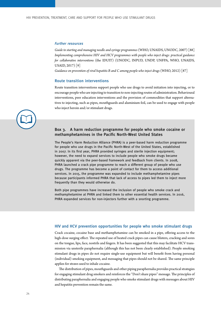#### Further resources

*[Guide to starting and managing needle and syringe programmes](https://www.who.int/hiv/pub/idu/needleprogram/en/)* [\(WHO, UNAIDS, UNODC, 2007\) \[88\]](#page-69-0) *[Implementing comprehensive HIV and HCV programmes with people who inject drugs: practical guidance](http://www.unodc.org/documents/hiv-aids/publications/Implementing_Comprehensive_HIV_and_HCV_Programmes_with_People_Who_Inject_Drugs_PRACTICAL_GUIDANCE_FOR_COLLABORATIVE_INTERVENTIONS.pdf,) [for collaborative interventions](http://www.unodc.org/documents/hiv-aids/publications/Implementing_Comprehensive_HIV_and_HCV_Programmes_with_People_Who_Inject_Drugs_PRACTICAL_GUIDANCE_FOR_COLLABORATIVE_INTERVENTIONS.pdf,)* (the IDUIT) (UNODC, INPUD, UNDP, UNFPA, WHO, UNAIDS, USAID, 2017) [9]

*[Guidance on prevention of viral hepatitis B and C among people who inject drugs](http://www.who.int/hiv/pub/guidelines/hepatitis/en/)* (WHO, 2012) [87]

#### Route transition interventions

Route transition interventions support people who use drugs to avoid initiation into injecting, or to encourage people who are injecting to transition to non-injecting routes of administration. Behavioural interventions, peer education interventions and the provision of commodities that support alternatives to injecting, such as pipes, mouthguards and aluminium foil, can be used to engage with people who inject heroin and/or stimulant drugs.



# Box 3. A harm reduction programme for people who smoke cocaine or methamphetamines in the Pacific North-West United States

The People's Harm Reduction Alliance (PHRA) is a peer-based harm reduction programme for people who use drugs in the Pacific North-West of the United States, established in 2007. In its first year, PHRA provided syringes and sterile injection equipment; however, the need to expand services to include people who smoke drugs became quickly apparent via the peer-based framework and feedback from clients. In 2008, PHRA launched a crack pipe programme to reach a different group of people who use drugs. The programme has become a point of contact for them to access additional services. In 2015, the programme was expanded to include methamphetamine pipes because participants informed PHRA that lack of access to pipes led them to inject more frequently than they would otherwise do.

Both pipe programmes have increased the inclusion of people who smoke crack and methamphetamine at PHRA and linked them to other essential health services. In 2016, PHRA expanded services for non-injectors further with a snorting programme.

# HIV and HCV prevention opportunities for people who smoke stimulant drugs

Crack cocaine, cocaine base and methamphetamine can be smoked in a pipe, offering access to the high-dose surging effect. The repeated use of heated crack pipes can cause blisters, cracking and sores on the tongue, lips, face, nostrils and fingers. It has been suggested that this may facilitate HCV transmission via unsterile paraphernalia (although this has not been clearly established). People smoking stimulant drugs in pipes do not require single-use equipment but will benefit from having personal (individual) smoking equipment, and messaging that pipes should not be shared. The same principle applies for straws used to inhale cocaine.

The distribution of pipes, mouthguards and other piping paraphernalia provides practical strategies for engaging stimulant drug smokers and reinforces the "Don't share pipes" message. The principles of distributing paraphernalia and engaging people who smoke stimulant drugs with messages about HIV and hepatitis prevention remain the same.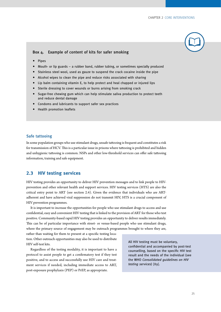

### <span id="page-30-0"></span>Box 4. Example of content of kits for safer smoking

- Pipes
- Mouth- or lip guards a rubber band, rubber tubing, or sometimes specially produced
- Stainless steel wool, used as gauze to suspend the crack cocaine inside the pipe
- Alcohol wipes to clean the pipe and reduce risks associated with sharing
- Lip balm containing vitamin E, to help protect and heal chapped or injured lips
- Sterile dressing to cover wounds or burns arising from smoking crack
- Sugar-free chewing gum which can help stimulate saliva production to protect teeth and reduce dental damage
- Condoms and lubricants to support safer sex practices
- Health promotion leaflets

## Safe tattooing

In some population groups who use stimulant drugs, unsafe tattooing is frequent and constitutes a risk for transmission of HCV. This is a particular issue in prisons where tattooing is prohibited and hidden and unhygienic tattooing is common. NSPs and other low-threshold services can offer safe tattooing information, training and safe equipment.

# **2.3 HIV testing services**

HIV testing provides an opportunity to deliver HIV prevention messages and to link people to HIVprevention and other relevant health and support services. HIV testing services (HTS) are also the critical entry point to ART (see section 2.4). Given the evidence that individuals who are ARTadherent and have achieved viral suppression do not transmit HIV, HTS is a crucial component of HIV prevention programmes.

It is important to increase the opportunities for people who use stimulant drugs to access and use confidential, easy and convenient HIV testing that is linked to the provision of ART for those who test positive. Community-based rapid HIV testing provides an opportunity to deliver results immediately. This can be of particular importance with street- or venue-based people who use stimulant drugs, where the primary source of engagement may be outreach programmes brought to where they are,

rather than waiting for them to present at a specific testing location. Other outreach opportunities may also be used to distribute HIV self-test kits.

Regardless of the testing modality, it is important to have a protocol to assist people to get a confirmatory test if they test positive, and to access and successfully use HIV care and treatment services if needed, including immediate access to ART, post-exposure prophylaxis (PEP) or PrEP, as appropriate.

All HIV testing must be voluntary, confidential and accompanied by post-test counselling, based on the specific HIV test result and the needs of the individual (see the WHO [Consolidated guidelines on HIV](https://www.who.int/hiv/pub/guidelines/hiv-testing-services/en/)  [testing services](https://www.who.int/hiv/pub/guidelines/hiv-testing-services/en/)) [\[89\]](#page-69-0).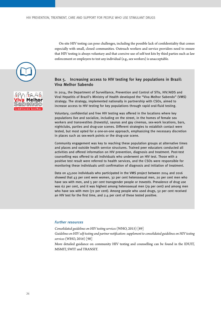On-site HIV testing can pose challenges, including the possible lack of confidentiality that comes especially with small, closed communities. Outreach workers and service providers need to ensure that HIV testing is always voluntary and that coercive use of self-test kits by third parties such as law enforcement or employers to test any individual (e.g., sex workers) is unacceptable.





# Box 5. Increasing access to HIV testing for key populations in Brazil: Viva Melhor Sabendo

In 2014, the Department of Surveillance, Prevention and Control of STIs, HIV/AIDS and Viral Hepatitis of Brazil's Ministry of Health developed the "Viva Melhor Sabendo" (VMS) strategy. The strategy, implemented nationally in partnership with CSOs, aimed to increase access to HIV testing for key populations through rapid oral-fluid testing.

Voluntary, confidential and free HIV testing was offered in the locations where key populations live and socialize, including on the street, in the homes of female sex workers and transvestites (travestis), saunas and gay cinemas, sex-work locations, bars, nightclubs, parties and drug-use scenes. Different strategies to establish contact were tested, but most opted for a one-on-one approach, emphasizing the necessary discretion in places such as sex-work points or the drug-use scene.

Community engagement was key to reaching these population groups at alternative times and places and outside health service structures. Trained peer educators conducted all activities and offered information on HIV prevention, diagnosis and treatment. Post-test counselling was offered to all individuals who underwent an HIV test. Those with a positive test result were referred to health services, and the CSOs were responsible for monitoring these individuals until confirmation of diagnosis and initiation of treatment.

Data on 43,000 individuals who participated in the VMS project between 2014 and 2016 showed that 43 per cent were women, 32 per cent heterosexual men, 20 per cent men who have sex with men, and 5 per cent transgender people or *travestis*. Prevalence of drug use was 62 per cent, and it was highest among heterosexual men (79 per cent) and among men who have sex with men (72 per cent). Among people who used drugs, 52 per cent received an HIV test for the first time, and 2.4 per cent of these tested positive.

# Further resources

*[Consolidated guidelines on HIV testing services](https://www.who.int/hiv/pub/guidelines/hiv-testing-services/en/)* (WHO, 2015) [89]

*[Guidelines on HIV self-testing and partner notification: supplement to consolidated guidelines on HIV testing](https://www.who.int/hiv/pub/vct/hiv-self-testing-guidelines/en/) [services](https://www.who.int/hiv/pub/vct/hiv-self-testing-guidelines/en/)* [\(WHO, 2016\) \[90\]](#page-69-0)

More detailed guidance on community HIV testing and counselling can be found in the [IDUIT](http://www.unodc.org/documents/hiv-aids/publications/Implementing_Comprehensive_HIV_and_HCV_Programmes_with_People_Who_Inject_Drugs_PRACTICAL_GUIDANCE_FOR_COLLABORATIVE_INTERVENTIONS.pdf,), [MSMIT,](https://www.unfpa.org/publications/implementing-comprehensive-hiv-and-sti-programmes-men-who-have-sex-men) [SWIT](https://www.who.int/hiv/pub/sti/sex_worker_implementation/en/) and [TRANSIT](https://www.unfpa.org/publications/implementing-comprehensive-hiv-and-sti-programmes-transgender-people-practical-guidance).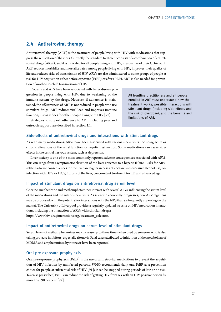# <span id="page-32-0"></span>**2.4 Antiretroviral therapy**

Antiretroviral therapy (ART) is the treatment of people living with HIV with medications that suppress the replication of the virus. Currently the standard treatment consists of a combination of antiretroviral drugs (ARVs), and it is indicated for all people living with HIV, irrespective of their CD4 count. ART reduces morbidity and mortality rates among people living with HIV, improves their quality of life and reduces risks of transmission of HIV. ARVs are also administered to some groups of people at risk for HIV acquisition either before exposure (PrEP) or after (PEP). ART is also needed for prevention of mother-to-child transmission of HIV.

Cocaine and ATS have been associated with faster disease progression in people living with HIV, due to weakening of the immune system by the drugs. However, if adherence is maintained, the effectiveness of ART is not reduced in people who use stimulant drugs: ART reduces viral load and improves immune function, just as it does for other people living with HIV [77].

All frontline practitioners and all people enrolled in ART must understand how the treatment works, possible interactions with stimulant drugs (including side-effects and the risk of overdose), and the benefits and limitations of ART.

Strategies to support adherence to ART, including peer and outreach support, are described in section 3.1.

# Side-effects of antiretroviral drugs and interactions with stimulant drugs

As with many medications, ARVs have been associated with various side-effects, including acute or chronic alterations of the renal function, or hepatic dysfunction. Some medications can cause sideeffects in the central nervous system, such as depression.

Liver toxicity is one of the most commonly reported adverse consequences associated with ARVs. This can range from asymptomatic elevation of the liver enzymes to a hepatic failure. Risks for ARVrelated adverse consequences for the liver are higher in cases of cocaine use, excessive alcohol use, coinfection with HBV or HCV, fibrosis of the liver, concomitant treatment for TB and advanced age.

# Impact of stimulant drugs on antiretroviral drug serum level

Cocaine, mephedrone and methamphetamines interact with several ARVs, influencing the serum level of the medications and the risk of side-effects. As scientific knowledge progresses, new ARV regimens may be proposed, with the potential for interactions with the NPS that are frequently appearing on the market. The University of Liverpool provides a regularly updated website on HIV medication interactions, including the interaction of ARVs with stimulant drugs:

[https://www.hiv-druginteractions.org/treatment\\_selectors.](https://www.hiv-druginteractions.org/treatment_selectors)

### Impact of antiretroviral drugs on serum level of stimulant drugs

Serum levels of methamphetamines may increase up to three times when used by someone who is also taking protease inhibitors, especially ritonavir. Fatal cases attributed to inhibition of the metabolism of MDMA and amphetamines by ritonavir have been reported.

# Oral pre-exposure prophylaxis

Oral pre-exposure prophylaxis (PrEP) is the use of antiretroviral medications to prevent the acquisition of HIV infection by uninfected persons. WHO recommends daily oral PrEP as a prevention [choice for people at substantial risk of HIV \[91\]; it can be stopped during periods of low or no risk.](#page-69-0)  Taken as prescribed, PrEP can reduce the risk of getting HIV from sex with an HIV-positive person by [more than 90 per cent \[92\].](#page-69-0)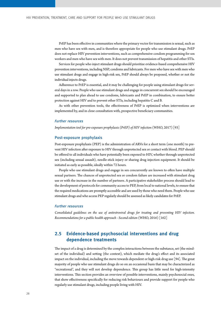<span id="page-33-0"></span>PrEP has been effective in communities where the primary vector for transmission is sexual, such as men who have sex with men, and is therefore appropriate for people who use stimulant drugs. PrEP does not replace HIV prevention interventions, such as comprehensive condom programming for sex workers and men who have sex with men. It does not prevent transmission of hepatitis and other STIs.

Services for people who inject stimulant drugs should prioritize evidence-based comprehensive HIV prevention interventions, including NSP, condoms and lubricants. For men who have sex with men who use stimulant drugs and engage in high-risk sex, PrEP should always be proposed, whether or not the individual injects drugs.

Adherence to PrEP is essential, and it may be challenging for people using stimulant drugs for several days in a row. People who use stimulant drugs and engage in concurrent sex should be encouraged and supported to plan ahead to use condoms, lubricants and PrEP in combination, to ensure better protection against HIV and to prevent other STIs, including hepatitis C and B.

As with other prevention tools, the effectiveness of PrEP is optimized when interventions are implemented by, and in close consultation with, prospective beneficiary communities.

### Further resources

*[Implementation tool for pre-exposure prophylaxis \(PrEP\) of HIV infection](https://www.who.int/hiv/pub/prep/prep-implementation-tool/en/)* [\(WHO, 2017\) \[93\]](#page-69-0)

### Post-exposure prophylaxis

Post-exposure prophylaxis (PEP) is the administration of ARVs for a short term (one month) to prevent HIV infection after exposure to HIV through unprotected sex or contact with blood. PEP should be offered to all individuals who have potentially been exposed to HIV, whether through unprotected sex (including sexual assault), needle-stick injury or sharing drug injection equipment. It should be initiated as early as possible, ideally within 72 hours.

People who use stimulant drugs and engage in sex concurrently are known to often have multiple sexual partners. The chances of unprotected sex or condom failure are increased with stimulant drug use or with the increase in the number of partners. A participative stakeholder process should lead to the development of protocols for community access to PEP, from local to national levels, to ensure that the required medications are promptly accessible and are used by those who need them. People who use stimulant drugs and who access PEP regularly should be assessed as likely candidates for PrEP.

# Further resources

*[Consolidated guidelines on the use of antiretroviral drugs for treating and preventing HIV infection.](https://www.who.int/hiv/pub/arv/arv-2016/en/ ) [Recommendations for a public health approach - Second edition](https://www.who.int/hiv/pub/arv/arv-2016/en/ )* (WHO, 2016) [162]

# **2.5 Evidence-based psychosocial interventions and drug dependence treatments**

The impact of a drug is determined by the complex interactions between the substance, set (the mindset of the individual) and setting (the context), which mediate the drug's effect and its associated [impact on the individual, including the move towards dependent or high-risk drug use \[94\]. The great](#page-69-0)  majority of people who use stimulant drugs do so on an occasional basis that may be characterized as "recreational", and they will not develop dependence. This group has little need for high-intensity interventions. This section provides an overview of possible interventions, mainly psychosocial ones, that show effectiveness specifically for reducing risk behaviours and provide support for people who regularly use stimulant drugs, including people living with HIV.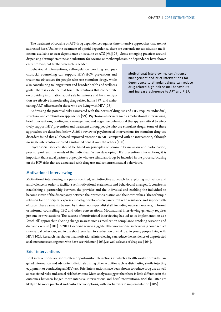The treatment of cocaine or ATS drug dependence requires time-intensive approaches that are not addressed here. Unlike the treatment of opioid dependence, there are currently no substitution medi[cations available to treat dependence on cocaine or ATS \[95\]\[96\]. Some emerging practices around](#page-69-0)  dispensing dexamphetamine as a substitute for cocaine or methamphetamine dependence have shown early promise, but further research is needed.

Behavioural interventions, self-regulation coaching and psychosocial counselling can support HIV/HCV prevention and treatment objectives for people who use stimulant drugs, while also contributing to longer-term and broader health and wellness goals. There is evidence that brief interventions that concentrate on providing information about safe behaviours and harm mitiga[tion are effective in moderating drug-related harms \[97\] and main](#page-69-0)[taining ART adherence for those who are living with HIV \[98\].](#page-69-0) 

Motivational interviewing, contingency management and brief interventions for dependence to stimulant drugs can reduce drug-related high-risk sexual behaviours and increase adherence to ART and PrEP.

Addressing the potential risks associated with the nexus of drug use and HIV requires individual, [structural and combination approaches \[99\]. Psychosocial services such as motivational interviewing,](#page-69-0)  brief interventions, contingency management and cognitive behavioural therapy are critical to effectively support HIV prevention and treatment among people who use stimulant drugs. Some of these approaches are described below. A 2016 review of psychosocial interventions for stimulant drug-use disorders found that all showed improved retention in ART compared with no intervention, although [no single intervention showed a sustained benefit over the others \[100\].](#page-70-0)

Psychosocial services should be based on principles of community inclusion and participation, peer support and the needs of the individual. When developing HIV prevention interventions, it is important that sexual partners of people who use stimulant drugs be included in the process, focusing on the HIV risks that are associated with drug use and concurrent sexual behaviours.

# Motivational interviewing

Motivational interviewing is a person-centred, semi-directive approach for exploring motivation and ambivalence in order to facilitate self-motivational statements and behavioural changes. It consists in establishing a partnership between the provider and the individual and enabling the individual to become aware of the discrepancy between their present situation and their own values. The technique relies on four principles: express empathy, develop discrepancy, roll with resistance and support selfefficacy. These can easily be used by trained non-specialist staff, including outreach workers, in formal or informal counselling, IEC and other conversations. Motivational interviewing generally requires just one or two sessions. The success of motivational interviewing has led to its implementation as a "catch-all" approach to eliciting change in areas such as medication compliance, smoking cessation and [diet and exercise \[101\]. A 2012 Cochrane review suggested that motivational interviewing could reduce](#page-70-0)  risky sexual behaviour, and in the short term lead to a reduction of viral load in young people living with [HIV \[102\]. Research has shown that motivational interviewing can reduce the incidence of unprotected](#page-70-0)  anal intercourse among men who have sex with men  $\lceil 103 \rceil$ , as well as levels of drug use  $\lceil 104 \rceil$ .

### Brief interventions

Brief interventions are short, often opportunistic interactions in which a health worker provides targeted information and advice to individuals during other activities such as distributing sterile injecting equipment or conducting an HIV test. Brief interventions have been shown to reduce drug use as well as associated risks and sexual risk behaviours. Meta-analyses suggest that there is little difference in the outcomes between longer, more intensive interventions and brief interventions, and the latter are [likely to be more practical and cost-effective options, with few barriers to implementation \[105\].](#page-70-0)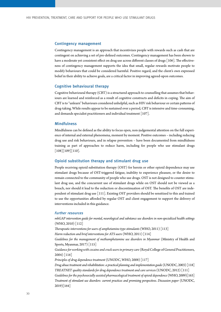### Contingency management

Contingency management is an approach that incentivizes people with rewards such as cash that are contingent on achieving a set of pre-defined outcomes. Contingency management has been shown to [have a moderate yet consistent effect on drug use across different classes of drugs \[106\]. The effective](#page-70-0)ness of contingency management supports the idea that small, regular rewards motivate people to modify behaviours that could be considered harmful. Positive regard, and the client's own expressed belief in their ability to achieve goals, are a critical factor in improving agreed-upon outcomes.

### Cognitive behavioural therapy

Cognitive behavioural therapy (CBT) is a structured approach to counselling that assumes that behaviours are learned and reinforced as a result of cognitive constructs and deficits in coping. The aim of CBT is to "unlearn" behaviours considered unhelpful, such as HIV risk behaviour or certain patterns of drug-taking. While results appear to be sustained over a period, CBT is intensive and time-consuming, [and demands specialist practitioners and individual treatment \[107\].](#page-70-0)

### **Mindfulness**

Mindfulness can be defined as the ability to focus open, non-judgemental attention on the full experience of internal and external phenomena, moment by moment. Positive outcomes – including reducing drug use and risk behaviours, and in relapse prevention – have been documented from mindfulness training as part of approaches to reduce harm, including for people who use stimulant drugs  $[108][109][110]$ .

# Opioid substitution therapy and stimulant drug use

People receiving opioid substitution therapy (OST) for heroin or other opioid dependence may use stimulant drugs because of OST-triggered fatigue, inability to experience pleasure, or the desire to remain connected to the community of people who use drugs. OST is not designed to counter stimulant drug use, and the concurrent use of stimulant drugs while on OST should not be viewed as a breach, nor should it lead to the reduction or discontinuation of OST. The benefits of OST are inde[pendent of stimulant drug use \[111\]. Existing OST providers should be sensitized to this and trained](#page-70-0)  to use the opportunities afforded by regular OST and client engagement to support the delivery of interventions included in this guidance.

#### Further resources

*[mhGAP intervention guide for mental, neurological and substance use disorders in non-specialized health settings](http://www.who.int/mental_health/publications/mhGAP_intervention_guide/en/)* [\(WHO, 2010\) \[112\]](#page-70-0) *[Therapeutic interventions for users of amphetamine-type stimulants](http://www.wpro.who.int/hiv/documents/docs/Brief4forweb_7DF1.pdf?ua=1&ua=1)* [\(WHO, 2011\) \[113\]](#page-70-0) *[Harm reduction and brief interventions for ATS users](http://www.who.int/hiv/pub/idu/ats_brief2.pdf)* (WHO, 2011) [\[114\]](#page-70-0) *[Guidelines for the management of methamphetamine use disorders in Myanmar](https://idpc.net/publications/2018/01/guidelines-for-the-management-of-methamphetamine-use-disorders-in-myanmar)* (Ministry of Health and [Sports, Myanmar, 2017\) \[115\]](#page-70-0) *[Guidance for working with cocaine and crack users in primary care](http://www.rcgp.org.uk/-/media/Files/CIRC/Clinical-resources-S/RCGP-Guidance-working-with-cocaine-and-crack-users-in-primary-care-2004xx.ashx?la=en)* (Royal College of General Practitioners, [2004\) \[116\]](#page-70-0) *[Principles of drug dependence treatment](https://www.unodc.org/documents/drug-treatment/UNODC-WHO-Principles-of-Drug-Dependence-Treatment-March08.pdf)* (UNODC, WHO, 200[8\) \[117\]](#page-71-0) *[Drug abuse treatment and rehabilitation: a practical planning and implementation guide](https://www.unodc.org/pdf/report_2003-07-17_1.pdf)* (UNODC, 2003) [\[118\]](#page-71-0) *[TREATNET quality standards for drug dependence treatment and care service](https://www.unodc.org/docs/treatment/treatnet_quality_standards.pdf)*s (UNODC, 2012) [111] *[Guidelines for the psychosocially assisted pharmacological treatment of opioid dependence](https://www.who.int/hiv/pub/idu/opioid/en/)* (WHO, 2009)[163] *[Treatment of stimulant use disorders: current practices and promising perspectives. Discussion paper](https://www.unodc.org/documents/drug-prevention-and-treatment/Treatment_of_PSUD_for_website_24.05.19.pdf)* (UNODC, 2019)[164]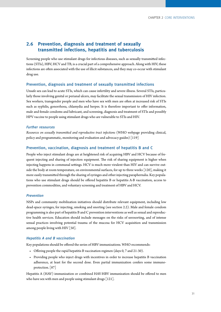## <span id="page-36-0"></span>**2.6 Prevention, diagnosis and treatment of sexually transmitted infections, hepatitis and tuberculosis**

Screening people who use stimulant drugs for infectious diseases, such as sexually transmitted infections (STIs), HBV, HCV and TB, is a crucial part of a comprehensive approach. Along with HIV, these infections are often associated with the use of illicit substances, and they may co-occur with stimulant drug use.

#### Prevention, diagnosis and treatment of sexually transmitted infections

Unsafe sex can lead to acute STIs, which can cause infertility and severe illness. Several STIs, particularly those involving genital or perianal ulcers, may facilitate the sexual transmission of HIV infection. Sex workers, transgender people and men who have sex with men are often at increased risk of STIs such as syphilis, gonorrhoea, chlamydia and herpes. It is therefore important to offer information, male and female condoms and lubricant, and screening, diagnosis and treatment of STIs and possibly HPV vaccine to people using stimulant drugs who are vulnerable to STIs and HIV.

#### Further resources

*[Resources on sexually transmitted and reproductive tract infections](https://www.who.int/reproductivehealth/publications/rtis/en/)* (WHO webpage providing clinical, policy and programmatic, [monitoring and evaluation](https://www.who.int/entity/reproductivehealth/publications/rtis/monitoring/en/index.html) and [advocacy](https://www.who.int/entity/reproductivehealth/publications/rtis/advocacy/en/index.html) guides) [\[119\]](#page-71-0)

#### Prevention, vaccination, diagnosis and treatment of hepatitis B and C

People who inject stimulant drugs are at heightened risk of acquiring HBV and HCV because of frequent injecting and sharing of injection equipment. The risk of sharing equipment is higher when injecting happens in communal settings. HCV is much more virulent than HIV and can survive out[side the body at room temperature, on environmental surfaces, for up to three weeks \[120\], making it](#page-71-0)  more easily transmitted through the sharing of syringes and other injecting paraphernalia. Key populations who use stimulant drugs should be offered hepatitis B or hepatitis A-B vaccination, access to prevention commodities, and voluntary screening and treatment of HBV and HCV.

#### Prevention

NSPs and community mobilization initiatives should distribute relevant equipment, including low dead-space syringes, for injecting, smoking and snorting (see section 2.2). Male and female condom programming is also part of hepatitis B and C prevention interventions as well as sexual and reproductive health services. Education should include messages on the risks of serosorting, and of intense sexual practices involving potential trauma of the mucosa for HCV acquisition and transmission among people living with HIV [50].

#### Hepatitis A and B vaccination

Key populations should be offered the series of HBV immunizations. WHO recommends:

- Offering people the rapid hepatitis B vaccination regimen (days 0, 7 and 21-30).
- Providing people who inject drugs with incentives in order to increase hepatitis B vaccination adherence, at least for the second dose. Even partial immunization confers some immunoprotection. [87]

Hepatitis A (HAV) immunization or combined HAV-HBV immunization should be offered to men [who have sex with men and people using stimulant drugs \[121\].](#page-71-0)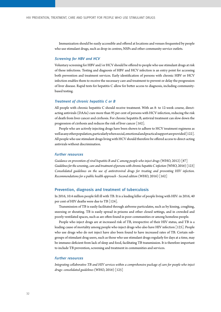<span id="page-37-0"></span>Immunization should be easily accessible and offered at locations and venues frequented by people who use stimulant drugs, such as drop-in centres, NSPs and other community service outlets.

#### Screening for HBV and HCV

Voluntary screening for HBV and/or HCV should be offered to people who use stimulant drugs at risk of these infections. Testing and diagnosis of HBV and HCV infection is an entry point for accessing both prevention and treatment services. Early identification of persons with chronic HBV or HCV infection enables them to receive the necessary care and treatment to prevent or delay the progression of liver disease. Rapid tests for hepatitis C allow for better access to diagnosis, including communitybased testing.

#### Treatment of chronic hepatitis C or B

All people with chronic hepatitis C should receive treatment. With an 8- to 12-week course, directacting antivirals (DAAs) cure more than 95 per cent of persons with HCV infection, reducing the risk of death from liver cancer and cirrhosis. For chronic hepatitis B, antiviral treatment can slow down the progression of cirrhosis and reduces the risk of liver cancer [162].

People who are actively injecting drugs have been shown to adhere to HCV treatment regimens as [well as any other population, particularly when social, emotional and practical support are provided \[122\].](#page-71-0)  All people who use stimulant drugs living with HCV should therefore be offered access to direct-acting antivirals without discrimination.

#### Further resources

*[Guidance on prevention of viral hepatitis B and C among people who inject drugs](http://www.who.int/hiv/pub/guidelines/hepatitis/en/)* (WHO, 2012) [87] *[Guidelines for the screening, care and treatment of persons with chronic hepatitis C infection](https://www.who.int/hepatitis/publications/hepatitis-c-guidelines-2016/en/)* [\(WHO, 2016\) \[123\]](#page-71-0) *[Consolidated guidelines on the use of antiretroviral drugs for treating and preventing HIV infection.](https://apps.who.int/iris/bitstream/handle/10665/208825/9789241549684_eng.pdf;jsessionid=7A8D2949C0412903C86295A3B6BCE893?sequence=1) [Recommendations for a public health approach - Second edition](https://apps.who.int/iris/bitstream/handle/10665/208825/9789241549684_eng.pdf;jsessionid=7A8D2949C0412903C86295A3B6BCE893?sequence=1)* (WHO, 2016) [162]

#### Prevention, diagnosis and treatment of tuberculosis

In 2016, 10.4 million people fell ill with TB. It is a leading killer of people living with HIV: in 2016, 40 [per cent of HIV deaths were due to TB \[124\].](#page-71-0)

Transmission of TB is easily facilitated through airborne particulates, such as by kissing, coughing, sneezing or shouting. TB is easily spread in prisons and other closed settings, and in crowded and poorly ventilated spaces, such as are often found in poor communities or among homeless people.

People who inject drugs are at increased risk of TB, irrespective of their HIV status, and TB is a [leading cause of mortality among people who inject drugs who also have HIV infection \[125\]. People](#page-71-0)  who use drugs who do not inject have also been found to have increased rates of TB. Certain subgroups of stimulant drug users, such as those who use stimulant drugs regularly for days at a time, may be immuno-deficient from lack of sleep and food, facilitating TB transmission. It is therefore important to include TB prevention, screening and treatment in communities and services.

#### Further resources

*[Integrating collaborative TB and HIV services within a comprehensive package of care for people who inject](http://www.who.int/tb/publications/integrating-collaborative-tb-and-hiv_services_for_pwid/en/) [drugs: consolidated guidelines](http://www.who.int/tb/publications/integrating-collaborative-tb-and-hiv_services_for_pwid/en/)* (WHO, 2016) [125]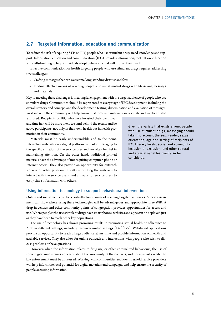#### <span id="page-38-0"></span>**2.7 Targeted information, education and communication**

To reduce the risk of acquiring STIs or HIV, people who use stimulant drugs need knowledge and support. Information, education and communication (IEC) provides information, motivation, education and skills-building to help individuals adopt behaviours that will protect their health.

Effective communication for health targeting people who use stimulant drugs requires addressing two challenges:

- Crafting messages that can overcome long-standing distrust and fear.
- Finding effective means of reaching people who use stimulant drugs with life-saving messages and materials.

Key to meeting these challenges is meaningful engagement with the target audience of people who use stimulant drugs. Communities should be represented at every stage of IEC development, including the overall strategy and concept, and the development, testing, dissemination and evaluation of messages. Working with the community will help ensure that tools and materials are accurate and will be trusted

and used. Recipients of IEC who have invested their own ideas and time in it will be more likely to stand behind the results and be active participants, not only in their own health but in health promotion in their community.

Materials must be easily understandable and to the point. Interactive materials on a digital platform can tailor messaging to the specific situation of the service user and are often helpful in maintaining attention. On the other hand, traditional printed materials have the advantage of not requiring computer, phone or Internet access. They also provide an opportunity for outreach workers or other programme staff distributing the materials to interact with the service users, and a means for service users to easily share information with others.

Given the variety that exists among people who use stimulant drugs, messaging should take into account the sex, gender, sexual orientation, age and setting of recipients of IEC. Literacy levels, social and community inclusion or exclusion, and other cultural and societal variables must also be considered.

#### Using information technology to support behavioural interventions

Online and social media can be a cost-effective manner of reaching targeted audiences. A local assessment can show where using these technologies will be advantageous and appropriate. Free WiFi at drop-in centres and other community points of congregation provides opportunities for access and use. Where people who use stimulant drugs have smartphones, websites and apps can be deployed just as they have been to reach other key populations.

The use of technology has shown promising results in promoting sexual health or adherence to [ART in different settings, including resource-limited settings \[126\]\[127\]. Web-based applications](#page-71-0)  provide an opportunity to reach a large audience at any time and provide information on health and available services. They also allow for online outreach and interactions with people who wish to discuss problems or have questions.

However, when the information relates to drug use, or other criminalized behaviours, the use of some digital media raises concerns about the anonymity of the contacts, and possible risks related to law enforcement must be addressed. Working with communities and low-threshold service providers will help inform the local potential for digital materials and campaigns and help ensure the security of people accessing information.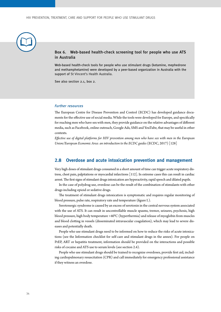<span id="page-39-0"></span>

#### Box 6. Web-based health-check screening tool for people who use ATS in Australia

Web-based health-check tools for people who use stimulant drugs (ketamine, mephedrone and methamphetamine) were developed by a peer-based organization in Australia with the support of St Vincent's Health Australia.

See also section 2.1, box 2.

#### Further resources

The European Centre for Disease Prevention and Control (ECDC) has developed guidance documents for the effective use of social media. While the tools were developed for Europe, and specifically for reaching men who have sex with men, they provide guidance on the relative advantages of different media, such as Facebook, online outreach, Google Ads, SMS and YouTube, that may be useful in other contexts.

*[Effective use of digital platforms for HIV prevention among men who have sex with men in the European](file:///C:\Users\jbaer\Documents\Jobs\UNODC\Stimulants%20guidelines\Effective%20use%20of%20digital%20platforms%20for%20HIV%20prevention%20among%20men%20who%20have%20sex%20with%20men%20in%20the%20European%20Union\European%20Economic%20Area:%20an%20introduction%20to%20the%20ECDC%20guides) [Union/European Economic Area: an introduction to the ECDC guides](file:///C:\Users\jbaer\Documents\Jobs\UNODC\Stimulants%20guidelines\Effective%20use%20of%20digital%20platforms%20for%20HIV%20prevention%20among%20men%20who%20have%20sex%20with%20men%20in%20the%20European%20Union\European%20Economic%20Area:%20an%20introduction%20to%20the%20ECDC%20guides)* [\(ECDC, 2017\) \[128\]](#page-71-0)

#### **2.8 Overdose and acute intoxication prevention and management**

Very high doses of stimulant drugs consumed in a short amount of time can trigger acute respiratory distress, chest pain, palpitations or myocardial infarctions [112]. In extreme cases this can result in cardiac arrest. The first signs of stimulant drugs intoxication are hyperactivity, rapid speech and dilated pupils.

In the case of polydrug use, overdose can be the result of the combination of stimulants with other drugs including opioid or sedative drugs.

The treatment of stimulant drugs intoxication is symptomatic and requires regular monitoring of blood pressure, pulse rate, respiratory rate and temperature (figure I.).

Serotonergic syndrome is caused by an excess of serotonin in the central nervous system associated with the use of ATS. It can result in uncontrollable muscle spasms, tremor, seizures, psychosis, high blood pressure, high body temperature >40°C (hyperthermia) and release of myoglobin from muscles and blood clotting in vessels (disseminated intravascular coagulation), which may lead to severe diseases and potentially death.

People who use stimulant drugs need to be informed on how to reduce the risks of acute intoxications (see the Information checklist for self-care and stimulant drugs in the annex). For people on PrEP, ART or hepatitis treatment, information should be provided on the interactions and possible risks of cocaine and ATS use to serum levels (see section 2.4).

People who use stimulant drugs should be trained to recognize overdoses, provide first aid, including cardiopulmonary resuscitation (CPR) and call immediately for emergency professional assistance if they witness an overdose.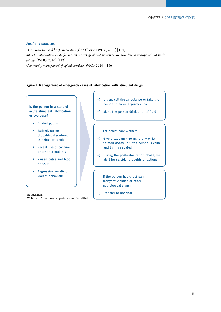#### Further resources

*[Harm reduction and brief interventions for ATS users](http://www.who.int/hiv/pub/idu/ats_brief2.pdf)* (WHO, 2011) [114] *[mhGAP intervention guide for mental, neurological and substance use disorders in non-specialized health](http://www.who.int/mental_health/publications/mhGAP_intervention_guide/en/)  [settings](http://www.who.int/mental_health/publications/mhGAP_intervention_guide/en/)* (WHO, 2010) [112] *Community management of opioid overdose* (WHO, 2014) [166]

#### **Figure I. Management of emergency cases of intoxication with stimulant drugs**

**Is the person in a state of acute stimulant intoxication or overdose?**

- Dilated pupils
- Excited, racing thoughts, disordered thinking, paranoia
- Recent use of cocaine or other stimulants
- Raised pulse and blood pressure
- Aggressive, erratic or violent behaviour

Adapted from: WHO mhGAP intervention guide - version 2.0 (2016)

- → Urgent call the ambulance or take the person to an emergency clinic
- → Make the person drink a lot of fluid

For health-care workers:

- → Give diazepam 5-10 mg orally or i.v. in titrated doses until the person is calm and lightly sedated
- → During the post-intoxication phase, be alert for suicidal thoughts or actions

If the person has chest pain, tachyarrhythmias or other neurological signs:

→ Transfer to hospital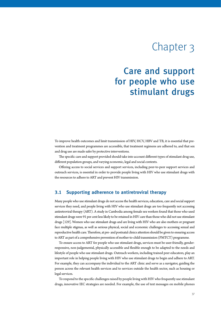# Chapter 3

## <span id="page-42-0"></span>Care and support for people who use stimulant drugs

To improve health outcomes and limit transmission of HIV, HCV, HBV and TB, it is essential that prevention and treatment programmes are accessible, that treatment regimens are adhered to, and that sex and drug use are made safer by protective interventions.

The specific care and support provided should take into account different types of stimulant drug use, different population groups, and varying economic, legal and social contexts.

Offering access to social services and support services, including peer-to-peer support services and outreach services, is essential in order to provide people living with HIV who use stimulant drugs with the resources to adhere to ART and prevent HIV transmission.

#### **3.1 Supporting adherence to antiretroviral therapy**

Many people who use stimulant drugs do not access the health services, education, care and social support services they need, and people living with HIV who use stimulant drugs are too frequently not accessing antiretroviral therapy (ART). A study in Cambodia among female sex workers found that those who used stimulant drugs were 91 per cent less likely to be retained in HIV care than those who did not use stimulant [drugs \[129\]. Women who use stimulant drugs and are living with HIV who are also mothers or pregnant](#page-71-0)  face multiple stigmas, as well as serious physical, social and economic challenges to accessing sexual and reproductive health care. Therefore, at pre- and postnatal clinics attention should be given to ensuring access to ART as part of a comprehensive prevention of mother-to-child transmission (PMTCT) programme.

To ensure access to ART for people who use stimulant drugs, services must be user-friendly, genderresponsive, non-judgemental, physically accessible and flexible enough to be adapted to the needs and lifestyle of people who use stimulant drugs. Outreach workers, including trained peer educators, play an important role in helping people living with HIV who use stimulant drugs to begin and adhere to ART. For example, they can accompany the individual to the ART clinic and serve as a navigator, guiding the person across the relevant health services and to services outside the health sector, such as housing or legal services.

To respond to the specific challenges raised by people living with HIV who frequently use stimulant drugs, innovative IEC strategies are needed. For example, the use of text messages on mobile phones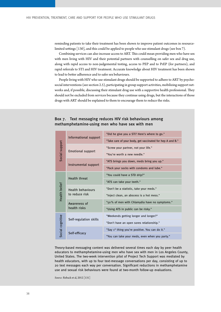<span id="page-43-0"></span>reminding patients to take their treatment has been shown to improve patient outcomes in resource[limited settings \[130\], and this could be applied to people who use stimulant drugs \(see box 7\).](#page-71-0) 

Combining services can also increase access to ART. This could mean providing men who have sex with men living with HIV and their potential partners with counselling on safer sex and drug use, along with rapid access to non-judgemental testing, access to PEP and to PrEP (for partners), and rapid referrals to STI and HIV treatment. Accurate knowledge about HIV treatment has been shown to lead to better adherence and to safer sex behaviours.

People living with HIV who use stimulant drugs should be supported to adhere to ART by psychosocial interventions (see section 2.5), participating in group support activities, mobilizing support networks and, if possible, discussing their stimulant drug use with a supportive health professional. They should not be excluded from services because they continue using drugs, but the interactions of those drugs with ART should be explained to them to encourage them to reduce the risks.

| Social support                   | Informational support                      | "Did he give you a STI? Here's where to go."                                                                                                                                                                                                                                                                                                                                                                                                                                                                                       |  |  |
|----------------------------------|--------------------------------------------|------------------------------------------------------------------------------------------------------------------------------------------------------------------------------------------------------------------------------------------------------------------------------------------------------------------------------------------------------------------------------------------------------------------------------------------------------------------------------------------------------------------------------------|--|--|
|                                  |                                            | "Take care of your body, get vaccinated for hep A and B."                                                                                                                                                                                                                                                                                                                                                                                                                                                                          |  |  |
|                                  | <b>Emotional support</b>                   | "Screw your partner, not your life."                                                                                                                                                                                                                                                                                                                                                                                                                                                                                               |  |  |
|                                  |                                            | "You're worth a new needle."                                                                                                                                                                                                                                                                                                                                                                                                                                                                                                       |  |  |
|                                  | Instrumental support                       | "ATS brings you down, meds bring you up."                                                                                                                                                                                                                                                                                                                                                                                                                                                                                          |  |  |
|                                  |                                            | "Pack your socks with condoms and lube."                                                                                                                                                                                                                                                                                                                                                                                                                                                                                           |  |  |
|                                  | <b>Health threat</b>                       | "You could have a STD drip?"                                                                                                                                                                                                                                                                                                                                                                                                                                                                                                       |  |  |
|                                  |                                            | "ATS can take your teeth."                                                                                                                                                                                                                                                                                                                                                                                                                                                                                                         |  |  |
|                                  | <b>Health behaviours</b><br>to reduce risk | "Don't be a statistic, take your meds."                                                                                                                                                                                                                                                                                                                                                                                                                                                                                            |  |  |
| Health belief                    |                                            | "Inject clean, an abscess is a hot mess."                                                                                                                                                                                                                                                                                                                                                                                                                                                                                          |  |  |
|                                  | Awareness of<br>health risks               | "50% of men with Chlamydia have no symptoms."                                                                                                                                                                                                                                                                                                                                                                                                                                                                                      |  |  |
|                                  |                                            | "Using ATS in public can be risky."                                                                                                                                                                                                                                                                                                                                                                                                                                                                                                |  |  |
|                                  | Self-regulation skills                     | "Weekends getting longer and longer?"                                                                                                                                                                                                                                                                                                                                                                                                                                                                                              |  |  |
|                                  |                                            | "Don't have an open sores relationship."                                                                                                                                                                                                                                                                                                                                                                                                                                                                                           |  |  |
| Social cognitive                 | Self-efficacy                              | "Say 1 <sup>st</sup> thing you're positive. You can do it."                                                                                                                                                                                                                                                                                                                                                                                                                                                                        |  |  |
|                                  |                                            | "You can take your meds, even when you party."                                                                                                                                                                                                                                                                                                                                                                                                                                                                                     |  |  |
|                                  |                                            | Theory-based messaging content was delivered several times each day by peer health<br>educators to methamphetamine-using men who have sex with men in Los Angeles Cour<br>United States. The two-week intervention pilot of Project Tech Support was mediated by<br>health educators, with up to four text-message conversations per day, consisting of up<br>20 text messages each way per conversation. Significant reductions in methamphetami<br>use and sexual risk behaviours were found at two-month follow-up evaluations. |  |  |
| Source: Reback et al, 2012 [131] |                                            |                                                                                                                                                                                                                                                                                                                                                                                                                                                                                                                                    |  |  |

#### Box 7. Text messaging reduces HIV risk behaviours among methamphetamine-using men who have sex with men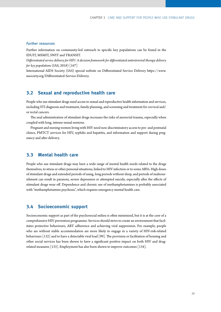#### <span id="page-44-0"></span>Further resources

Further information on community-led outreach to specific key populations can be found in the [IDUIT,](http://www.unodc.org/documents/hiv-aids/publications/Implementing_Comprehensive_HIV_and_HCV_Programmes_with_People_Who_Inject_Drugs_PRACTICAL_GUIDANCE_FOR_COLLABORATIVE_INTERVENTIONS.pdf,) [MSMIT](https://www.unfpa.org/publications/implementing-comprehensive-hiv-and-sti-programmes-men-who-have-sex-men), [SWIT](https://www.who.int/hiv/pub/sti/sex_worker_implementation/en/) and [TRANSIT.](https://www.unfpa.org/publications/implementing-comprehensive-hiv-and-sti-programmes-transgender-people-practical-guidance)

*[Differentiated service delivery for HIV: A decision framework for differentiated antiretroviral therapy delivery](http://www.differentiatedservicedelivery.org/Portals/0/adam/Content/2a0WxWUHfUKtul1mKWdmGQ/File/Decision%20Framework%20Key%20Population%20Web.pdf)  [for key populations](http://www.differentiatedservicedelivery.org/Portals/0/adam/Content/2a0WxWUHfUKtul1mKWdmGQ/File/Decision%20Framework%20Key%20Population%20Web.pdf)* (IAS, 2018) [167]

International AIDS Society (IAS) special website on Differentiated Service Delivery [https://www.](https://www.iasociety.org/Differentiated-Service-Delivery) [iasociety.org/Differentiated-Service-Delivery.](https://www.iasociety.org/Differentiated-Service-Delivery)

#### **3.2 Sexual and reproductive health care**

People who use stimulant drugs need access to sexual and reproductive health information and services, including STI diagnosis and treatment, family planning, and screening and treatment for cervical and/ or rectal cancers.

The anal administration of stimulant drugs increases the risks of anorectal trauma, especially when coupled with long, intense sexual sessions.

Pregnant and nursing women living with HIV need non-discriminatory access to pre- and postnatal clinics, PMTCT services for HIV, syphilis and hepatitis, and information and support during pregnancy and after delivery.

#### **3.3 Mental health care**

People who use stimulant drugs may have a wide range of mental health needs related to the drugs themselves, to stress or other personal situations, linked to HIV infection or to some ARVs. High doses of stimulant drugs and extended periods of using, long periods without sleep, and periods of malnourishment can result in paranoia, severe depression or attempted suicide, especially after the effects of stimulant drugs wear off. Dependence and chronic use of methamphetamines is probably associated with "methamphetamine psychosis", which requires emergency mental health care.

#### **3.4 Socioeconomic support**

Socioeconomic support as part of the psychosocial milieu is often minimized, but it is at the core of a comprehensive HIV prevention programme. Services should strive to create an environment that facilitates protective behaviours, ART adherence and achieving viral suppression. For example, people who are without stable accommodation are more likely to engage in a variety of HIV-risk-related [behaviours \[132\] and to have a detectable viral load \[99\]. The provision or facilitation of housing and](#page-71-0)  other social services has been shown to have a significant positive impact on both HIV and drug[related measures \[133\]. Employment has also been shown to improve outcomes \[134\].](#page-71-0)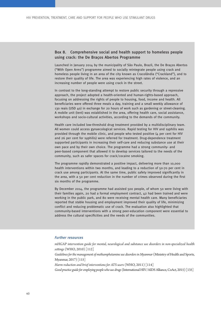#### Box 8. Comprehensive social and health support to homeless people using crack: the De Braços Abertos Programme

Launched in January 2014 by the municipality of São Paulo, Brazil, the De Braços Abertos ("With Open Arms") programme aimed to socially reintegrate people using crack and homeless people living in an area of the city known as Cracolândia ("Crackland"), and to restore their quality of life. The area was experiencing high rates of violence, and an increasing number of people were using crack in the street.

In contrast to the long-standing attempt to restore public security through a repressive approach, the project adopted a health-oriented and human-rights-based approach, focusing on addressing the rights of people to housing, food, income and health. All beneficiaries were offered three meals a day, training and a small weekly allowance of 130 reais (USD 40) in exchange for 20 hours of work such as gardening or street-cleaning. A mobile unit (tent) was established in the area, offering health care, social assistance, workshops and socio-cultural activities, according to the demands of the community.

Health care included low-threshold drug treatment provided by a multidisciplinary team. All women could access gynaecological services. Rapid testing for HIV and syphilis was provided through the mobile clinic, and people who tested positive (4 per cent for HIV and 26 per cent for syphilis) were referred for treatment. Drug-dependence treatment supported participants in increasing their self-care and reducing substance use at their own pace and by their own choice. The programme had a strong community- and peer-based component that allowed it to develop services tailored to the needs of the community, such as safer spaces for crack/cocaine smoking.

The programme rapidly demonstrated a positive impact, delivering more than 10,000 health interventions within two months, and leading to a reduction of 50-70 per cent in crack use among participants. At the same time, public safety improved significantly in the area, with a 50 per cent reduction in the number of crimes observed during the first six months of the programme.

By December 2014, the programme had assisted 500 people, of whom 50 were living with their families again, 20 had a formal employment contract, 42 had been trained and were working in the public park, and 80 were receiving mental health care. Many beneficiaries reported that stable housing and employment improved their quality of life, minimizing conflict and reducing problematic use of crack. The evaluation also highlighted that community-based interventions with a strong peer-education component were essential to address the cultural specificities and the needs of the communities.

#### Further resources

*[mHGAP intervention guide for mental, neurological and substance use disorders in non-specialized health](http://www.who.int/mental_health/publications/mhGAP_intervention_guide/en/) [settings](http://www.who.int/mental_health/publications/mhGAP_intervention_guide/en/)* (WHO, 2010) [112]

*[Guidelines for the management of methamphetamine use disorders in Myanmar](https://idpc.net/publications/2018/01/guidelines-for-the-management-of-methamphetamine-use-disorders-in-myanmar)* (Ministry of Health and Sports, Myanmar, 2017) [115]

*[Harm reduction and brief interventions for ATS users](http://www.who.int/hiv/pub/idu/ats_brief2.pdf)* (WHO, 2011) [114]

*[Good practice guide for employing people who use drugs](https://www.aidsalliance.org/assets/000/001/840/Employing_FINAL_original.pdf?1445009816)* [\(International HIV/AIDS Alliance, CoAct, 2015\) \[135\]](#page-72-0)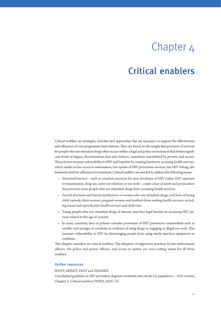# Chapter 4

## Critical enablers

Critical enablers are strategies, activities and approaches that are necessary to support the effectiveness and efficiency of core programme interventions. They are based on the insight that provision of services for people who use stimulant drugs often occurs within a legal and policy environment that fosters significant levels of stigma, discrimination, fear and violence, sometimes exacerbated by poverty and racism. These factors increase vulnerability to HIV and hepatitis by creating barriers to accessing health services, which results in low access to information, low uptake of HIV prevention services, late HIV testing, late treatment and low adherence to treatment. Critical enablers are needed to address the following issues:

- Structural barriers such as criminal sanctions for non-disclosure of HIV status, HIV exposure or transmission, drug use, same-sex relations or sex work – create a fear of arrest and prosecution that prevents some people who use stimulant drugs from accessing health services.
- Forced abortions and forced sterilization of women who use stimulant drugs, and fears of losing child custody, deter women, pregnant women and mothers from seeking health services, including sexual and reproductive health services and child care.
- Young people who use stimulant drugs, if minors, may face legal barriers to accessing HIV services related to the age of consent.
- In many countries, laws or policies consider possession of HIV prevention commodities such as needles and syringes or condoms as evidence of using drugs or engaging in illegal sex work. This increases vulnerability to HIV by discouraging people from using sterile injection equipment or condoms.

This chapter considers six critical enablers. The adoption of supportive practices by law enforcement officers, the police and prison officers, and access to justice are cross-cutting issues for all these enablers.

#### Further resources

[IDUIT](http://www.unodc.org/documents/hiv-aids/publications/Implementing_Comprehensive_HIV_and_HCV_Programmes_with_People_Who_Inject_Drugs_PRACTICAL_GUIDANCE_FOR_COLLABORATIVE_INTERVENTIONS.pdf), [MSMIT,](https://www.unfpa.org/publications/implementing-comprehensive-hiv-and-sti-programmes-men-who-have-sex-men) [SWIT](https://www.who.int/hiv/pub/sti/sex_worker_implementation/en/) and [TRANSIT](https://www.unfpa.org/publications/implementing-comprehensive-hiv-and-sti-programmes-transgender-people-practical-guidance)

*[Consolidated guidelines on HIV prevention, diagnosis, treatment and care for key populations – 2016 revision,](https://www.who.int/hiv/pub/guidelines/keypopulations-2016/en/)*  Chapter 5: Critical enablers (WHO, 2016) [8]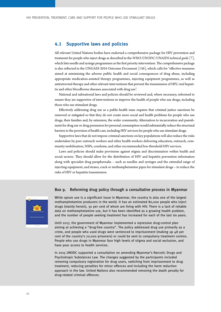#### **4.1 Supportive laws and policies**

All relevant United Nations bodies have endorsed a comprehensive package for HIV prevention and treatment for people who inject drugs as described in the *WHO/UNODC/UNAIDS technical guide* [7], which lists needle and syringe programmes as the first priority intervention. The comprehensive package [is also reflected in the UNGASS 2016 Outcome Document \[136\], which calls for "effective measures](#page-72-0)  aimed at minimizing the adverse public health and social consequences of drug abuse, including appropriate medication-assisted therapy programmes, injecting equipment programmes, as well as antiretroviral therapy and other relevant interventions that prevent the transmission of HIV, viral hepatitis and other bloodborne diseases associated with drug use".

National and subnational laws and policies should be reviewed and, where necessary, reformed to ensure they are supportive of interventions to improve the health of people who use drugs, including those who use stimulant drugs.

Effectively addressing drug use as a public-health issue requires that criminal justice sanctions be removed or mitigated so that they do not create more social and health problems for people who use drugs, their families and, by extension, the wider community. Alternatives to incarceration and punishment for drug use or drug possession for personal consumption would substantially reduce the structural barriers to the provision of health care, including HIV services for people who use stimulant drugs.

Supportive laws that do not impose criminal sanctions on key populations will also reduce the risks undertaken by peer outreach workers and other health workers delivering education, outreach, community mobilization, NSPs, condoms, and other recommended low-threshold HIV services.

Laws and policies should make provisions against stigma and discrimination within health and social sectors. They should allow for the distribution of HIV and hepatitis prevention information along with specialist drug paraphernalia – such as needles and syringes and the extended range of injecting equipment, and straws, crack or methamphetamine pipes for stimulant drugs – to reduce the risks of HIV or hepatitis transmission.

#### Box 9. Reforming drug policy through a consultative process in Myanmar



While opium use is a significant issue in Myanmar, the country is also one of the largest methamphetamine producers in the world. It has an estimated 80,000 people who inject drugs (mainly heroin), 30 per cent of whom are living with HIV. There is a lack of reliable data on methamphetamine use, but it has been identified as a growing health problem, and the number of people seeking treatment has increased for each of the last six years.

Until 2017, the government of Myanmar implemented a repressive drug-control plan aiming at achieving a "drug-free country". The policy addressed drug use primarily as a crime, and people who used drugs were sentenced to imprisonment (making up 48 per cent of the country's 70,000 prisoners) or could be sent to compulsory treatment centres. People who use drugs in Myanmar face high levels of stigma and social exclusion, and have poor access to health services.

In 2015 UNODC supported a consultation on amending Myanmar's Narcotic Drugs and Psychotropic Substances Law. The changes suggested by the participants included removing compulsory registration for drug users, switching from imprisonment to drug treatment, reducing penalties for minor offences and including the harm reduction approach in the law. United Nations also recommended removing the death penalty for drug-related criminal offences.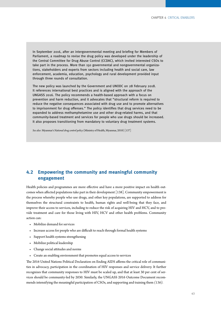In September 2016, after an intergovernmental meeting and briefing for Members of Parliament, a roadmap to revise the drug policy was developed under the leadership of the Central Committee for Drug Abuse Control (CCDAC), which invited interested CSOs to take part in the process. More than 150 governmental and nongovernmental organizations, stakeholders and experts from sectors including health and social care, law enforcement, academia, education, psychology and rural development provided input through three rounds of consultation.

The new policy was launched by the Government and UNODC on 28 February 2018. It references international best practices and is aligned with the approach of the UNGASS 2016. The policy recommends a health-based approach with a focus on prevention and harm reduction, and it advocates that "structural reform is required to reduce the negative consequences associated with drug use and to promote alternatives to imprisonment for drug offenses." The policy identifies that drug services need to be expanded to address methamphetamine use and other drug-related harms, and that community-based treatment and services for people who use drugs should be increased. It also proposes transitioning from mandatory to voluntary drug treatment systems.

*See also:* Myanmar's *[National drug control policy](https://www.unodc.org/documents/southeastasiaandpacific/2018/02/Myanmar_Drug_Control_Policy.pdf)* [\(Ministry of Health, Myanmar, 2018\) \[137\]](#page-72-0)

### **4.2 Empowering the community and meaningful community engagement**

Health policies and programmes are more effective and have a more positive impact on health out[comes when affected populations take part in their development \[138\]. Community empowerment is](#page-72-0)  the process whereby people who use drugs, and other key populations, are supported to address for themselves the structural constraints to health, human rights and well-being that they face, and improve their access to services, including to reduce the risk of acquiring HIV and HCV, and to provide treatment and care for those living with HIV, HCV and other health problems. Community action can:

- Mobilize demand for services
- Increase access for people who are difficult to reach through formal health systems
- Support health systems strengthening
- Mobilize political leadership
- Change social attitudes and norms
- Create an enabling environment that promotes equal access to services

The 2016 United Nations Political Declaration on Ending AIDS affirms the critical role of communities in advocacy, participation in the coordination of HIV responses and service delivery. It further recognizes that community responses to HIV must be scaled up, and that at least 30 per cent of services should be community-led by 2030. Similarly, the UNGASS 2016 Outcome Document recommends intensifying the meaningful participation of CSOs, and supporting and training them *(136)*.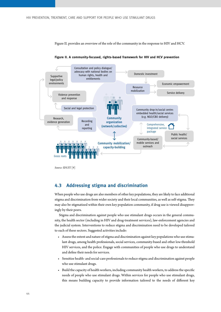Figure II. provides an overview of the role of the community in the response to HIV and HCV.



**Figure II. A community-focused, rights-based framework for HIV and HCV prevention**

#### **4.3 Addressing stigma and discrimination**

When people who use drugs are also members of other key populations, they are likely to face additional stigma and discrimination from wider society and their local communities, as well as self-stigma. They may also be stigmatized within their own key population community, if drug use is viewed disapprovingly by their peers.

Stigma and discrimination against people who use stimulant drugs occurs in the general community, the health sector (including in HIV and drug-treatment services), law-enforcement agencies and the judicial system. Interventions to reduce stigma and discrimination need to be developed tailored to each of these sectors. Suggested activities include:

- Assess the extent and nature of stigma and discrimination against key populations who use stimulant drugs, among health professionals, social services, community-based and other low-threshold HIV services, and the police. Engage with communities of people who use drugs to understand and define their needs for services.
- Sensitize health- and social-care professionals to reduce stigma and discrimination against people who use stimulant drugs.
- Build the capacity of health workers, including community health workers, to address the specific needs of people who use stimulant drugs. Within services for people who use stimulant drugs, this means building capacity to provide information tailored to the needs of different key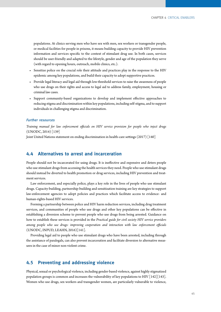populations. At clinics serving men who have sex with men, sex workers or transgender people, or medical facilities for people in prisons, it means building capacity to provide HIV prevention information and services specific to the context of stimulant drug use. In both cases, services should be user-friendly and adapted to the lifestyle, gender and age of the population they serve (with regard to opening hours, outreach, mobile clinics, etc.).

- Sensitize police on the crucial role their attitude and practices play in the response to the HIV epidemic among key populations, and build their capacity to adopt supportive practices.
- Provide legal literacy and legal aid through low-threshold services to raise the awareness of people who use drugs on their rights and access to legal aid to address family, employment, housing or criminal law cases.
- Support community-based organizations to develop and implement effective approaches to reducing stigma and discrimination within key populations, including self-stigma, and to support individuals in challenging stigma and discrimination.

#### Further resources

*[Training manual for law enforcement officials on HIV service provision for people who inject drugs](https://www.unodc.org/documents/hiv-aids/Lemanual/LE_Manual_presentations_and_annexes.pdf)* [\(UNODC, 2014\) \[139\]](#page-72-0)

[Joint United Nations statement on ending discrimination in health-care settings](https://www.who.int/news-room/detail/27-06-2017-joint-united-nations-statement-on-ending-discrimination-in-health-care-settings) (2017) [\[140\]](#page-72-0)

### **4.4 Alternatives to arrest and incarceration**

People should not be incarcerated for using drugs. It is ineffective and expensive and deters people who use stimulant drugs from accessing the health services they need. People who use stimulant drugs should instead be diverted to health promotion or drug services, including HIV prevention and treatment services.

Law enforcement, and especially police, plays a key role in the lives of people who use stimulant drugs. Capacity-building, partnership-building and sensitization training are key strategies to support law-enforcement agencies to adopt policies and practices which facilitate access to evidence- and human-rights-based HIV services.

Forming a partnership between police and HIV harm reduction services, including drug treatment services, and communities of people who use drugs and other key populations can be effective in establishing a diversion scheme to prevent people who use drugs from being arrested. Guidance on how to establish these services is provided in the *[Practical guide for civil society HIV service providers](https://www.unodc.org/documents/hiv-aids/2016/Practical_Guide_for_Civil_Society_HIV_Service_Providers.pdf)  [among people who use drugs: improving cooperation and interaction with law enforcement officials](https://www.unodc.org/documents/hiv-aids/2016/Practical_Guide_for_Civil_Society_HIV_Service_Providers.pdf)* [\(UNODC, INPUD, LEAHN, 2016\)\[141\].](#page-72-0)

Providing legal aid to people who use stimulant drugs who have been arrested, including through the assistance of paralegals, can also prevent incarceration and facilitate diversion to alternative measures in the case of minor non-violent crime.

### **4.5 Preventing and addressing violence**

Physical, sexual or psychological violence, including gender-based violence, against highly stigmatized population groups is common and increases the vulnerability of key populations to HIV  $\lceil 142 \rceil \lceil 143 \rceil$ . Women who use drugs, sex workers and transgender women, are particularly vulnerable to violence,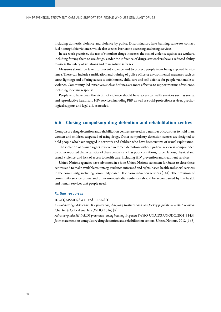including domestic violence and violence by police. Discriminatory laws banning same-sex contact fuel homophobic violence, which also creates barriers to accessing and using services.

In sex-work premises, the use of stimulant drugs increases the risk of violence against sex workers, including forcing them to use drugs. Under the influence of drugs, sex workers have a reduced ability to assess the safety of situations and to negotiate safer sex.

Measures should be taken to prevent violence and to protect people from being exposed to violence. These can include sensitization and training of police officers; environmental measures such as street lighting; and offering access to safe houses, child care and self-defence for people vulnerable to violence. Community-led initiatives, such as hotlines, are more effective to support victims of violence, including for crisis response.

People who have been the victim of violence should have access to health services such as sexual and reproductive health and HIV services, including PEP, as well as social-protection services, psychological support and legal aid, as needed.

#### **4.6 Closing compulsory drug detention and rehabilitation centres**

Compulsory drug detention and rehabilitation centres are used in a number of countries to hold men, women and children suspected of using drugs. Other compulsory detention centres are designed to hold people who have engaged in sex work and children who have been victims of sexual exploitation.

The violation of human rights involved in forced detention without judicial review is compounded by other reported characteristics of these centres, such as poor conditions, forced labour, physical and sexual violence, and lack of access to health care, including HIV prevention and treatment services.

United Nations agencies have advocated in a joint United Nations statement for States to close these centres and to make available voluntary, evidence-informed and rights-based health and social services [in the community, including community-based HIV harm reduction services \[144\]. The provision of](#page-72-0)  community service orders and other non-custodial sentences should be accompanied by the health and human services that people need.

#### Further resources

[IDUIT](http://www.unodc.org/documents/hiv-aids/publications/Implementing_Comprehensive_HIV_and_HCV_Programmes_with_People_Who_Inject_Drugs_PRACTICAL_GUIDANCE_FOR_COLLABORATIVE_INTERVENTIONS.pdf), [MSMIT,](https://www.unfpa.org/publications/implementing-comprehensive-hiv-and-sti-programmes-men-who-have-sex-men) [SWIT](https://www.who.int/hiv/pub/sti/sex_worker_implementation/en/) and [TRANSIT](https://www.unfpa.org/publications/implementing-comprehensive-hiv-and-sti-programmes-transgender-people-practical-guidance)

*[Consolidated guidelines on HIV prevention, diagnosis, treatment and care for key populations – 2016 revision,](https://www.who.int/hiv/pub/guidelines/keypopulations-2016/en/)*  Chapter 5: Critical enablers (WHO, 2016) [8]

*[Advocacy guide: HIV/AIDS prevention among injecting drug users](https://www.who.int/hiv/pub/idu/iduadvocacyguide/en/)* [\(WHO, UNAIDS, UNODC, 2004\) \[145\]](#page-72-0) Joint statement on compulsory drug detention and rehabilitation centers. United Nations, 2012 [168]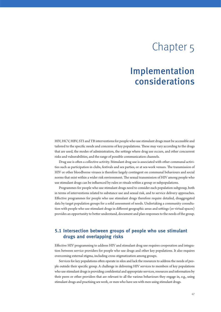# Chapter 5

## Implementation considerations

HIV, HCV, HBV, STI and TB interventions for people who use stimulant drugs must be accessible and tailored to the specific needs and concerns of key populations. These may vary according to the drugs that are used, the modes of administration, the settings where drug use occurs, and other concurrent risks and vulnerabilities, and the range of possible communication channels.

Drug use is often a collective activity. Stimulant drug use is associated with other communal activities such as participation in clubs, festivals and sex parties, or at sex-work venues. The transmission of HIV or other bloodborne viruses is therefore largely contingent on communal behaviours and social norms that exist within a wider risk environment. The sexual transmission of HIV among people who use stimulant drugs can be influenced by rules or rituals within a group or subpopulations.

Programmes for people who use stimulant drugs need to consider each population subgroup, both in terms of interventions related to substance use and sexual risk, and to service delivery approaches. Effective programmes for people who use stimulant drugs therefore require detailed, disaggregated data by target population groups for a solid assessment of needs. Undertaking a community consultation with people who use stimulant drugs in different geographic areas and settings (or virtual spaces) provides an opportunity to better understand, document and plan responses to the needs of the group.

## **5.1 Intersection between groups of people who use stimulant drugs and overlapping risks**

Effective HIV programming to address HIV and stimulant drug use requires cooperation and integration between service providers for people who use drugs and other key populations. It also requires overcoming external stigma, including cross-stigmatization among groups.

Services for key populations often operate in silos and lack the resources to address the needs of people outside their specific group. A challenge in delivering HIV services to members of key populations who use stimulant drugs is providing confidential and appropriate services, resources and information by their peers or other providers that are relevant to all the various behaviours they engage in, e.g., using stimulant drugs and practising sex work, or men who have sex with men using stimulant drugs.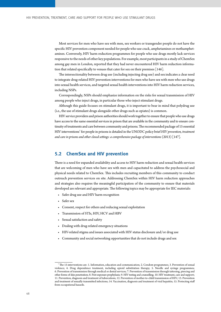Most services for men who have sex with men, sex workers or transgender people do not have the specific HIV prevention component needed for people who use crack, amphetamines or methamphetamines. Conversely, HIV harm reduction programmes for people who use drugs mostly lack services responsive to the needs of other key populations. For example, most participants in a study of ChemSex among gay men in London, reported that they had never encountered HIV harm reduction informa[tion that related specifically to venues that cater for sex on their premises \[146\].](#page-72-0) 

The intersectionality between drug use (including injecting drug use) and sex indicates a clear need to integrate drug-related HIV prevention interventions for men who have sex with men who use drugs into sexual health services, and targeted sexual health interventions into HIV harm reduction services, including NSPs.

Correspondingly, NSPs should emphasize information on the risks for sexual transmission of HIV among people who inject drugs, in particular those who inject stimulant drugs.

Although this guide focuses on stimulant drugs, it is important to bear in mind that polydrug use (i.e., the use of stimulant drugs alongside other drugs such as opiates) is common.

HIV service providers and prison authorities should work together to ensure that people who use drugs have access to the same essential services in prison that are available in the community and to ensure continuity of treatments and care between community and prisons. The recommended package of 15 essential HIV interventions<sup>7</sup> for people in prisons is detailed in the UNODC policy brief *[HIV prevention, treatment](http://www.who.int/hiv/pub/prisons/interventions_package/en/) [and care in prisons and other closed settings: a comprehensive package of interventions](http://www.who.int/hiv/pub/prisons/interventions_package/en/)* [\(2013\) \[147\].](#page-72-0)

#### **5.2 ChemSex and HIV prevention**

There is a need for expanded availability and access to HIV harm reduction and sexual health services that are welcoming of men who have sex with men and capacitated to address the psychosocial and physical needs related to ChemSex. This includes recruiting members of this community to conduct outreach prevention services on site. Addressing ChemSex within HIV harm reduction approaches and strategies also requires the meaningful participation of the community to ensure that materials developed are relevant and appropriate. The following topics may be appropriate for IEC materials:

- Safer drug use and HIV harm recognition
- Safer sex
- Consent, respect for others and reducing sexual exploitation
- Transmission of STIs, HIV, HCV and HBV
- Sexual satisfaction and safety
- Dealing with drug-related emergency situations
- HIV-related stigma and issues associated with HIV status disclosure and/or drug use
- Community and social networking opportunities that do not include drugs and sex

The 15 interventions are: 1. Information, education and communication; 2. Condom programmes; 3. Prevention of sexual violence; 4. Drug dependence treatment, including opioid substitution therapy; 5. Needle and syringe programmes; 6. Prevention of transmission through medical or dental services; 7. Prevention of transmission through tattooing, piercing and other forms of skin penetration; 8. Post-exposure prophylaxis; 9. HIV testing and counselling; 10. HIV treatment, care and support; 11. Prevention, diagnosis and treatment of tuberculosis; 12. Prevention of mother-to-child transmission of HIV; 13. Prevention and treatment of sexually transmitted infections; 14. Vaccination, diagnosis and treatment of viral hepatitis; 15. Protecting staff from occupational hazards.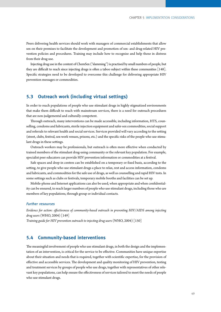Peers delivering health services should work with managers of commercial establishments that allow sex on their premises to facilitate the development and promotion of sex- and drug-related HIV prevention policies and procedures. Training may include how to recognize and help those in distress from their drug use.

Injecting drug use in the context of ChemSex ("slamming") is practised by small numbers of people, but [they are difficult to reach since injecting drugs is often a taboo subject within these communities \[148\].](#page-72-0)  Specific strategies need to be developed to overcome this challenge for delivering appropriate HIV prevention messages or commodities.

### **5.3 Outreach work (including virtual settings)**

In order to reach populations of people who use stimulant drugs in highly stigmatized environments that make them difficult to reach with mainstream services, there is a need for outreach procedures that are non-judgemental and culturally competent.

Through outreach, many interventions can be made accessible, including information, HTS, counselling, condoms and lubricants, sterile injection equipment and safer-sex commodities, social support and referrals to relevant health and social services. Services provided will vary according to the setting (street, clubs, festival, sex-work venues, prisons, etc.) and the specific risks of the people who use stimulant drugs in these settings.

Outreach workers may be professionals, but outreach is often more effective when conducted by trained members of the stimulant drug-using community or the relevant key population. For example, specialist peer educators can provide HIV prevention information or commodities at a festival.

Safe spaces and drop-in centres can be established on a temporary or fixed basis, according to the setting, to give people who use stimulant drugs a place to relax, rest and access information, condoms and lubricants, and commodities for the safe use of drugs, as well as counselling and rapid HIV tests. In some settings such as clubs or festivals, temporary mobile booths and facilities can be set up.

Mobile-phone and Internet applications can also be used, when appropriate and when confidentiality can be ensured, to reach larger numbers of people who use stimulant drugs, including those who are members of key populations, through group or individual contacts.

#### Further resources

*[Evidence for action: effectiveness of community-based outreach in preventing HIV/AIDS among injecting](https://www.who.int/hiv/pub/idu/e4a-outreach/en/)  [drug users](https://www.who.int/hiv/pub/idu/e4a-outreach/en/)* [\(WHO, 2004\) \[149\]](#page-72-0)

*[Training guide for HIV prevention outreach to injecting drug users](https://www.who.int/hiv/pub/idu/hivpubidu/en/)* [\(WHO, 2004\) \[150\]](#page-72-0)

### **5.4 Community-based interventions**

The meaningful involvement of people who use stimulant drugs, in both the design and the implementation of an intervention, is critical for the service to be effective. Communities have unique expertise about their situation and needs that is required, together with scientific expertise, for the provision of effective and accessible services. The development and quality monitoring of HIV prevention, testing and treatment services by groups of people who use drugs, together with representatives of other relevant key populations, can help ensure the effectiveness of services tailored to meet the needs of people who use stimulant drugs.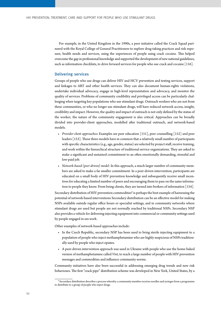For example, in the United Kingdom in the 1990s, a peer initiative called the Crack Squad partnered with the Royal College of General Practitioners to explore drug-taking practices and risk exposure, health needs and services, using the experiences of people using crack cocaine. This helped overcome the gap in professional knowledge and supported the development of new national guidelines, such as information checklists, to drive forward services for people who use crack and cocaine [116].

#### Delivering services

Groups of people who use drugs can deliver HIV and HCV prevention and testing services, support and linkages to ART and other health services. They can also document human-rights violations, undertake individual advocacy, engage in high-level representation and advocacy, and monitor the quality of services. Problems of community credibility and privileged access can be particularly challenging when targeting key populations who use stimulant drugs. Outreach workers who are not from these communities, or who no longer use stimulant drugs, will have reduced network access, insight, credibility and impact. However, the quality and impact of outreach is not only defined by the status of the worker; the nature of the community engagement is also critical. Approaches can be broadly divided into provider-client approaches, modelled after traditional outreach, and network-based models.

- *Provider-client approaches***:** [Examples are peer education \[151\], peer counselling \[152\] and peer](#page-72-0)  [leaders \[153\]. These three models have in common that a relatively small number of participants](#page-73-0)  with specific characteristics (e.g., age, gender, status) are selected by project staff, receive training, and work within the hierarchical structure of traditional service organizations. They are asked to make a significant and sustained commitment to an often emotionally demanding, stressful and low-paid job.
- *Network-based (peer-driven) model:* In this approach, a much larger number of community members are asked to make a far smaller commitment. In a peer-driven intervention, participants are educated on a small body of HIV prevention knowledge and subsequently receive small incentives for educating a limited number of peers and encouraging them to pass on the same informa[tion to people they know. From being clients, they are turned into brokers of information \[154\].](#page-73-0)

Secondary distribution of HIV prevention commodities<sup>8</sup> is perhaps the best example of harnessing the potential of network-based interventions Secondary distribution can be an effective model for making NSPs available outside regular office hours or specialist settings, and in community networks where stimulant drugs are used but people are not normally reached by traditional NSPs. Secondary NSP also provides a vehicle for delivering injecting equipment into commercial or community settings used by people engaged in sex work.

Other examples of network-based approaches include:

- In the Czech Republic, secondary NSP has been used to bring sterile injecting equipment to a population of people who inject methamphetamine who are highly suspicious of NSPs traditionally used by people who inject opiates.
- A peer-driven intervention approach was used in Ukraine with people who use the home-baked version of methamphetamine called *Vint*, to reach a large number of people with HIV prevention messages and commodities and influence community norms.

Community initiatives have also been successful in addressing emerging drug trends and new risk behaviours. The first "crack pipe" distribution scheme was developed in New York, United States, by a

<sup>8</sup> Secondary distribution describes a process whereby a community member receives needles and syringes from a programme to distribute to a group of people who inject drugs.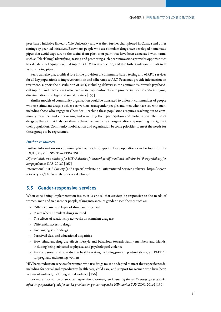peer-based initiative linked to Yale University, and was then further championed in Canada and other settings by peer-led initiatives. Elsewhere, people who use stimulant drugs have developed homemade pipes that avoid exposure to the toxins from plastics or paint that have been associated with harms such as "black lung". Identifying, testing and promoting such peer innovations provides opportunities to validate street equipment that supports HIV harm reduction, and also fosters rules and rituals such as not sharing pipes.

Peers can also play a critical role in the provision of community-based testing and of ART services for all key populations to improve retention and adherence to ART. Peers may provide information on treatment, support the distribution of ART, including delivery in the community, provide psychosocial support and trace clients who have missed appointments, and provide support to address stigma, [discrimination, and legal and social barriers \[155\]](#page-73-0)*.*

Similar models of community organization could be translated to different communities of people who use stimulant drugs, such as sex workers, transgender people, and men who have sex with men, including those who engage in ChemSex. Reaching these populations requires reaching out to community members and empowering and rewarding their participation and mobilization. The use of drugs by these individuals can alienate them from mainstream organizations representing the rights of their population. Community mobilization and organization become priorities to meet the needs for these groups to be represented.

#### Further resources

Further information on community-led outreach to specific key populations can be found in the [IDUIT,](http://www.unodc.org/documents/hiv-aids/publications/Implementing_Comprehensive_HIV_and_HCV_Programmes_with_People_Who_Inject_Drugs_PRACTICAL_GUIDANCE_FOR_COLLABORATIVE_INTERVENTIONS.pdf,) [MSMIT](https://www.unfpa.org/publications/implementing-comprehensive-hiv-and-sti-programmes-men-who-have-sex-men), [SWIT](https://www.who.int/hiv/pub/sti/sex_worker_implementation/en/) and [TRANSIT.](https://www.unfpa.org/publications/implementing-comprehensive-hiv-and-sti-programmes-transgender-people-practical-guidance)

*[Differentiated service delivery for HIV: A decision framework for differentiated antiretroviral therapy delivery for](http://www.differentiatedservicedelivery.org/Portals/0/adam/Content/2a0WxWUHfUKtul1mKWdmGQ/File/Decision%20Framework%20Key%20Population%20Web.pdf)  [key](http://www.differentiatedservicedelivery.org/Portals/0/adam/Content/2a0WxWUHfUKtul1mKWdmGQ/File/Decision%20Framework%20Key%20Population%20Web.pdf) populations* (IAS, 2018) [167]

International AIDS Society (IAS) special website on Differentiated Service Delivery [https://www.](https://www.iasociety.org/Differentiated-Service-Delivery) [iasociety.org/Differentiated-Service-Delivery](https://www.iasociety.org/Differentiated-Service-Delivery)

#### **5.5 Gender-responsive services**

When considering implementation issues, it is critical that services be responsive to the needs of women, men and transgender people, taking into account gender-based themes such as:

- Patterns of use, and types of stimulant drug used
- Places where stimulant drugs are used
- The effects of relationship networks on stimulant drug use
- Differential access to drugs
- Exchanging sex for drugs
- Perceived class and educational disparities
- How stimulant drug use affects lifestyle and behaviour towards family members and friends, including being subjected to physical and psychological violence
- Access to sexual and reproductive health services, including pre- and post-natal care, and PMTCT for pregnant and nursing women

HIV harm reduction services for women who use drugs must be adapted to meet their specific needs, including for sexual and reproductive health care, child care, and support for women who have been [victims of violence, including sexual violence \[156\]](#page-73-0)*.*

For more information on services responsive to women, see *[Addressing the specific needs of women who](https://www.unodc.org/documents/hiv-aids/2016/Addressing_the_specific_needs_of_women_who_inject_drugs_Practical_guide_for_service_providers_on_gender-responsive_HIV_services.pdf)  [inject drugs: practical guide for service providers on gender-responsive HIV services](https://www.unodc.org/documents/hiv-aids/2016/Addressing_the_specific_needs_of_women_who_inject_drugs_Practical_guide_for_service_providers_on_gender-responsive_HIV_services.pdf)* (UNODC, 2016) [156].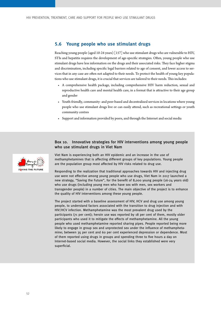#### **5.6 Young people who use stimulant drugs**

Reaching young people (aged 10-24 years) [\[157\] who use stimulant drugs who are vulnerable to HIV,](#page-73-0)  STIs and hepatitis requires the development of age-specific strategies. Often, young people who use stimulant drugs have less information on the drugs and their associated risks. They face higher stigma and discrimination, including specific legal barriers related to age of consent, and lower access to services that in any case are often not adapted to their needs. To protect the health of young key populations who use stimulant drugs, it is crucial that services are tailored to their needs. This includes:

- A comprehensive health package, including comprehensive HIV harm reduction, sexual and reproductive health care and mental health care, in a format that is attractive to their age group and gender
- Youth-friendly, community- and peer-based and decentralized services in locations where young people who use stimulant drugs live or can easily attend, such as recreational settings or youth community centres
- Support and information provided by peers, and through the Internet and social media

#### Box 10. Innovative strategies for HIV interventions among young people who use stimulant drugs in Viet Nam

Viet Nam is experiencing both an HIV epidemic and an increase in the use of methamphetamines that is affecting different groups of key populations. Young people are the population group most affected by HIV risks related to drug use.

Responding to the realization that traditional approaches towards HIV and injecting drug use were not effective among young people who use drugs, Viet Nam in 2017 launched a new strategy, "Saving the Future", for the benefit of 8,000 young people (16-24 years old) who use drugs (including young men who have sex with men, sex workers and transgender people) in a number of cities. The main objective of the project is to enhance the quality of HIV interventions among these young people.

The project started with a baseline assessment of HIV, HCV and drug use among young people, to understand factors associated with the transition to drug injection and with HIV/HCV infection. Methamphetamine was the most prevalent drug used by the participants (71 per cent); heroin use was reported by 18 per cent of them, mostly older participants who used it to mitigate the effects of methamphetamine. All the young people who used methamphetamine reported sharing pipes. People reported being more likely to engage in group sex and unprotected sex under the influence of methamphetamine; between 35 per cent and 60 per cent experienced depression or dependence. Most of them reported using drugs in groups and spending three to five hours a day on Internet-based social media. However, the social links they established were very superficial.

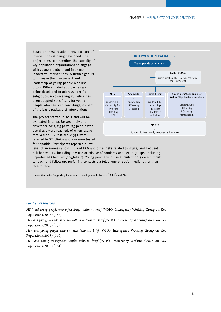Based on these results a new package of interventions is being developed. The project aims to strengthen the capacity of key population organizations to engage with young members and implement innovative interventions. A further goal is to increase the involvement and leadership of young people who use drugs. Differentiated approaches are being developed to address specific subgroups. A counselling guideline has been adapted specifically for young people who use stimulant drugs, as part of the basic package of interventions.

The project started in 2017 and will be evaluated in 2019. Between July and November 2017, 2,750 young people who use drugs were reached, of whom 2,270 received an HIV test, while 397 were referred to STI clinics and 120 were tested for hepatitis. Participants reported a low



level of awareness about HIV and HCV and other risks related to drugs, and frequent risk behaviours, including low use or misuse of condoms and sex in groups, including unprotected ChemSex ("high-fun"). Young people who use stimulant drugs are difficult to reach and follow up, preferring contacts via telephone or social media rather than face to face.

*Source:* Centre for Supporting Community Development Initiatives (SCDI), Viet Nam

#### Further resources

*[HIV and young people who inject drugs: technical brief](http://apps.who.int/iris/bitstream/handle/10665/179865/WHO_HIV_2015.10_eng.pdf?sequence=1)* (WHO, Interagency Working Group on Key [Populations, 2015\) \[158\]](#page-73-0)

*[HIV and young men who have sex with men: technical brief](http://apps.who.int/iris/bitstream/handle/10665/179867/WHO_HIV_2015.8_eng.pdf?sequence=1)* (WHO, Interagency Working Group on Key [Populations, 2015\) \[159\]](#page-73-0)

*[HIV and young people who sell sex: technical brief](http://apps.who.int/iris/bitstream/handle/10665/179868/WHO_HIV_2015.7_eng.pdf?sequence=1)* (WHO, Interagency Working Group on Key Populations, 2015) [\[160\]](#page-73-0)

*[HIV and young transgender people: technical brief](http://apps.who.int/iris/bitstream/handle/10665/179866/WHO_HIV_2015.9_eng.pdf?sequence=1)* (WHO, Interagency Working Group on Key Populations, 2015) [\[161\]](#page-73-0)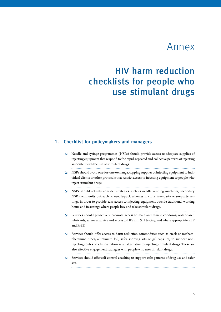## Annex

## HIV harm reduction checklists for people who use stimulant drugs

#### **1. Checklist for policymakers and managers**

- **↘** Needle and syringe programmes (NSPs) should provide access to adequate supplies of injecting equipment that respond to the rapid, repeated and collective patterns of injecting associated with the use of stimulant drugs.
- **↘** NSPs should avoid one-for-one exchange, capping supplies of injecting equipment to individual clients or other protocols that restrict access to injecting equipment to people who inject stimulant drugs.
- **↘** NSPs should actively consider strategies such as needle vending machines, secondary NSP, community outreach or needle-pack schemes in clubs, free-party or sex-party settings, in order to provide easy access to injecting equipment outside traditional working hours and in settings where people buy and take stimulant drugs.
- **↘** Services should proactively promote access to male and female condoms, water-based lubricants, safer-sex advice and access to HIV and STI testing, and where appropriate PEP and PrEP.
- **↘** Services should offer access to harm reduction commodities such as crack or methamphetamine pipes, aluminium foil, safer snorting kits or gel capsules, to support noninjecting routes of administration as an alternative to injecting stimulant drugs. These are also effective engagement strategies with people who use stimulant drugs.
- **↘** Services should offer self-control coaching to support safer patterns of drug use and safer sex.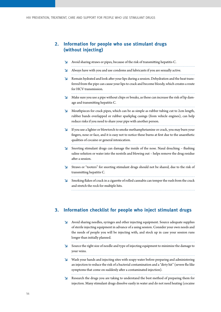## **2. Information for people who use stimulant drugs (without injecting)**

| لا | Avoid sharing straws or pipes, because of the risk of transmitting hepatitis C.                                                                                                                                                                     |
|----|-----------------------------------------------------------------------------------------------------------------------------------------------------------------------------------------------------------------------------------------------------|
| צ  | Always have with you and use condoms and lubricants if you are sexually active.                                                                                                                                                                     |
| N  | Remain hydrated and look after your lips during a session. Dehydration and the heat trans-<br>ferred from the pipe can cause your lips to crack and become bloody, which creates a route<br>for HCV transmission.                                   |
| צ  | Make sure you use a pipe without chips or breaks, as these can increase the risk of lip dam-<br>age and transmitting hepatitis C.                                                                                                                   |
| N  | Mouthpieces for crack pipes, which can be as simple as rubber tubing cut to 2cm length,<br>rubber bands overlapped or rubber sparkplug casings (from vehicle engines), can help<br>reduce risks if you need to share your pipe with another person. |
| צ  | If you use a lighter or blowtorch to smoke methamphetamine or crack, you may burn your<br>fingers, nose or face, and it is easy not to notice these burns at first due to the anaesthetic<br>qualities of cocaine or general intoxication.          |
| צ  | Snorting stimulant drugs can damage the inside of the nose. Nasal douching - flushing<br>saline solution or water into the nostrils and blowing out - helps remove the drug residue<br>after a session.                                             |
| N  | Straws or "tooters" for snorting stimulant drugs should not be shared, due to the risk of<br>transmitting hepatitis C.                                                                                                                              |
| צ  | Smoking flakes of crack in a cigarette of rolled cannabis can temper the rush from the crack<br>and stretch the rock for multiple hits.                                                                                                             |

## **3. Information checklist for people who inject stimulant drugs**

| N                       | Avoid sharing needles, syringes and other injecting equipment. Source adequate supplies<br>of sterile injecting equipment in advance of a using session. Consider your own needs and<br>the needs of people you will be injecting with, and stock up in case your session runs<br>longer than initially planned. |
|-------------------------|------------------------------------------------------------------------------------------------------------------------------------------------------------------------------------------------------------------------------------------------------------------------------------------------------------------|
| $\Delta$                | Source the right size of needle and type of injecting equipment to minimize the damage to<br>your veins.                                                                                                                                                                                                         |
| $\overline{\mathbf{v}}$ | Wash your hands and injecting sites with soapy water before preparing and administering<br>an injection to reduce the risk of a bacterial contamination and a "dirty hit" (severe flu-like<br>symptoms that come on suddenly after a contaminated injection).                                                    |
| $\Delta$                | Research the drugs you are taking to understand the best method of preparing them for<br>injection. Many stimulant drugs dissolve easily in water and do not need heating (cocaine                                                                                                                               |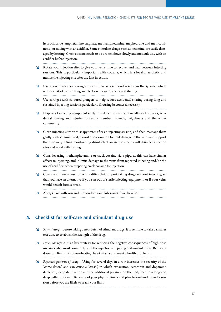hydrochloride, amphetamine sulphate, methamphetamine, mephedrone and methcathinone) or mixing with an acidifier. Some stimulant drugs, such as ketamine, are easily damaged by heating. Crack cocaine needs to be broken down slowly and meticulously with an acidifier before injection. 

- **↘** Rotate your injection sites to give your veins time to recover and heal between injecting sessions. This is particularly important with cocaine, which is a local anaesthetic and numbs the injecting site after the first injection.
- **↘** Using low dead-space syringes means there is less blood residue in the syringe, which reduces risk of transmitting an infection in case of accidental sharing.
- **↘** Use syringes with coloured plungers to help reduce accidental sharing during long and sustained injecting sessions, particularly if reusing becomes a necessity.
- **↘** Dispose of injecting equipment safely to reduce the chance of needle-stick injuries, accidental sharing and injuries to family members, friends, neighbours and the wider community.

**↘** Clean injecting sites with soapy water after an injecting session, and then massage them gently with Vitamin E oil, bio-oil or coconut oil to limit damage to the veins and support their recovery. Using moisturizing disinfectant antiseptic creams will disinfect injection sites and assist with healing.

- **↘** Consider using methamphetamine or crack cocaine via a pipe, as this can have similar effects to injecting, and it limits damage to the veins from repeated injecting and/or the use of acidifiers when preparing crack cocaine for injection.
- **↘** Check you have access to commodities that support taking drugs without injecting, so that you have an alternative if you run out of sterile injecting equipment, or if your veins would benefit from a break.
- **↘** Always have with you and use condoms and lubricants if you have sex.

#### **4. Checklist for self-care and stimulant drug use**

- **↘** *Safer dosing* Before taking a new batch of stimulant drugs, it is sensible to take a smaller test dose to establish the strength of the drug.
- **↘** *Dose management* is a key strategy for reducing the negative consequences of high-dose use associated most commonly with the injection and piping of stimulant drugs. Reducing doses can limit risks of overheating, heart attacks and mental health problems.
- **↘** *Repeated patterns of using*  Using for several days in a row increases the severity of the "come-down" and can cause a "crash", in which exhaustion, serotonin and dopamine depletion, sleep deprivation and the additional pressure on the body lead to a long and deep pattern of sleep. Be aware of your physical limits and plan beforehand to end a session before you are likely to reach your limit.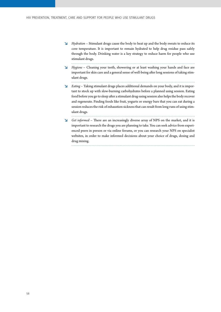. . . . . . . . . . . .

- **↘** *Hydration* Stimulant drugs cause the body to heat up and the body sweats to reduce its core temperature. It is important to remain hydrated to help drug residue pass safely through the body. Drinking water is a key strategy to reduce harm for people who use stimulant drugs. . . . . . . . . . . . . . . .
- **↘** *Hygiene* Cleaning your teeth, showering or at least washing your hands and face are important for skin care and a general sense of well-being after long sessions of taking stimulant drugs.
- **↘** *Eating* Taking stimulant drugs places additional demands on your body, and it is important to stock up with slow-burning carbohydrates before a planned using session. Eating food before you go to sleep after a stimulant drug-using session also helps the body recover and regenerate. Finding foods like fruit, yogurts or energy bars that you can eat during a session reduces the risk of exhaustion sickness that can result from long runs of using stimulant drugs.
- **↘** *Get informed* There are an increasingly diverse array of NPS on the market, and it is important to research the drugs you are planning to take. You can seek advice from experienced peers in person or via online forums, or you can research your NPS on specialist websites, in order to make informed decisions about your choice of drugs, dosing and drug mixing.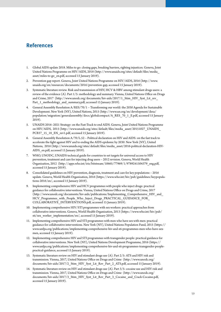## **References**

- [1](#page-13-0). Global AIDS update 2018. Miles to go: closing gaps, breaking barriers, righting injustices. Geneva, Joint United Nations Programme on HIV/AIDS, 2018 ([http://www.unaids.org/sites/default/files/media\\_](http://www.unaids.org/sites/default/files/media_asset/miles-to-go_en.pdf) [asset/miles-to-go\\_en.pdf](http://www.unaids.org/sites/default/files/media_asset/miles-to-go_en.pdf), accessed 15 January 2019).
- [2](#page-13-0). Prevention gap report. Geneva, Joint United Nations Programme on HIV/AIDS, 2016 [\(http://www.](http://www.unaids.org/en/resources/documents/2016/prevention-gap) [unaids.org/en/resources/documents/2016/prevention-gap,](http://www.unaids.org/en/resources/documents/2016/prevention-gap) accessed 15 January 2019).
- [3](#page-13-0). Systematic literature review. Risk and transmission of HIV, HCV & HBV among stimulant drugs users: a review of the evidence (A). Part 1/5: methodology and summary. Vienna, United Nations Office on Drugs and Crime, 2017 (http://www.unodc.org/documents/hiv-aids/2017/1\_Stim\_HIV\_Syst\_Lit\_rev [Part\\_1\\_methodology\\_and\\_summary.pdf](http://www.unodc.org/documents/hiv-aids/2017/1_Stim_HIV_Syst_Lit_rev_Part_1_methodology_and_summary.pdf), accessed 15 January 2019).
- [4](#page-13-0). General Assembly Resolution A/RES/70/1 Transforming our world: the 2030 Agenda for Sustainable Development. New York (NY), United Nations, 2015 ([http://www.un.org/en/development/desa/](http://www.un.org/en/development/desa/population/migration/generalassembly/docs/globalcompact/A_RES_70_1_E.pdf) [population/migration/generalassembly/docs/globalcompact/A\\_RES\\_70\\_1\\_E.pdf](http://www.un.org/en/development/desa/population/migration/generalassembly/docs/globalcompact/A_RES_70_1_E.pdf), accessed 15 January 2019).
- [5](#page-13-0). UNAIDS 2016–2021 Strategy: on the Fast-Track to end AIDS. Geneva, Joint United Nations Programme on HIV/AIDS, 2015 ([http://www.unaids.org/sites/default/files/media\\_asset/20151027\\_UNAIDS\\_](http://www.unaids.org/sites/default/files/media_asset/20151027_UNAIDS_PCB37_15_18_EN_rev1.pdf) [PCB37\\_15\\_18\\_EN\\_rev1.pdf](http://www.unaids.org/sites/default/files/media_asset/20151027_UNAIDS_PCB37_15_18_EN_rev1.pdf), accessed 15 January 2019).
- [6](#page-13-0). General Assembly Resolution A/70/L.52 Political declaration on HIV and AIDS: on the fast track to accelerate the fight against HIV and to ending the AIDS epidemic by 2030. New York (NY), United Nations, 2016 [\(http://www.unaids.org/sites/default/files/media\\_asset/2016-political-declaration-HIV-](http://www.unaids.org/sites/default/files/media_asset/2016-political-declaration-HIV-AIDS_en.pdf)[AIDS\\_en.pdf,](http://www.unaids.org/sites/default/files/media_asset/2016-political-declaration-HIV-AIDS_en.pdf) accessed 15 January 2019).
- [7](#page-14-0). WHO, UNODC, UNAIDS technical guide for countries to set targets for universal access to HIV prevention, treatment and care for injecting drug users – 2012 revision. Geneva, World Health Organization, 2012 [\(http://apps.who.int/iris/bitstream/10665/77969/1/9789241504379\\_eng.pdf,](http://apps.who.int/iris/bitstream/10665/77969/1/9789241504379_eng.pdf) accessed 15 January 2019).
- [8](#page-14-0). Consolidated guidelines on HIV prevention, diagnosis, treatment and care for key populations 2016 update. Geneva, World Health Organization, 2016 ([https://www.who.int/hiv/pub/guidelines/keypopula](https://www.who.int/hiv/pub/guidelines/keypopulations-2016/en/)[tions-2016/en/,](https://www.who.int/hiv/pub/guidelines/keypopulations-2016/en/) accessed 15 January 2019).
- [9](#page-14-0). Implementing comprehensive HIV and HCV programmes with people who inject drugs: practical guidance for collaborative interventions. Vienna, United Nations Office on Drugs and Crime, 2017 ([http://www.unodc.org/documents/hiv-aids/publications/Implementing\\_Comprehensive\\_HIV\\_and\\_](http://www.unodc.org/documents/hiv-aids/publications/Implementing_Comprehensive_HIV_and_HCV_Programmes_with_People_Who_Inject_Drugs_PRACTICAL_GUIDANCE_FOR_COLLABORATIVE_INTERVENTIONS.pdf) HCV Programmes with People Who Inject Drugs PRACTICAL GUIDANCE FOR [COLLABORATIVE\\_INTERVENTIONS.pdf,](http://www.unodc.org/documents/hiv-aids/publications/Implementing_Comprehensive_HIV_and_HCV_Programmes_with_People_Who_Inject_Drugs_PRACTICAL_GUIDANCE_FOR_COLLABORATIVE_INTERVENTIONS.pdf) accessed 15 January 2019).
- [10](#page-14-0). Implementing comprehensive HIV/STI programmes with sex workers: practical approaches from collaborative interventions. Geneva, World Health Organization, 2013 ([https://www.who.int/hiv/pub/](https://www.who.int/hiv/pub/sti/sex_worker_implementation/en/) [sti/sex\\_worker\\_implementation/en/](https://www.who.int/hiv/pub/sti/sex_worker_implementation/en/), accessed 15 January 2019).
- [11](#page-14-0). Implementing comprehensive HIV and STI programmes with men who have sex with men: practical guidance for collaborative interventions. New York (NY), United Nations Population Fund, 2015 ([https://](https://www.unfpa.org/publications/implementing-comprehensive-hiv-and-sti-programmes-men-who-have-sex-men) [www.unfpa.org/publications/implementing-comprehensive-hiv-and-sti-programmes-men-who-have-sex](https://www.unfpa.org/publications/implementing-comprehensive-hiv-and-sti-programmes-men-who-have-sex-men)[men,](https://www.unfpa.org/publications/implementing-comprehensive-hiv-and-sti-programmes-men-who-have-sex-men) accessed 15 January 2019).
- [12](#page-14-0). Implementing comprehensive HIV and STI programmes with transgender people: practical guidance for collaborative interventions. New York (NY), United Nations Development Programme, 2016 ([https://](https://www.unfpa.org/publications/implementing-comprehensive-hiv-and-sti-programmes-transgender-people-practical-guidance) [www.unfpa.org/publications/implementing-comprehensive-hiv-and-sti-programmes-transgender-people](https://www.unfpa.org/publications/implementing-comprehensive-hiv-and-sti-programmes-transgender-people-practical-guidance)[practical-guidance,](https://www.unfpa.org/publications/implementing-comprehensive-hiv-and-sti-programmes-transgender-people-practical-guidance) accessed 15 January 2019).
- [13](#page-16-0). Systematic literature review on HIV and stimulant drugs use (A). Part 2/5: ATS and HIV risk and transmission. Vienna, 2017, United Nations Office on Drugs and Crime ([http://www.unodc.org/](http://www.unodc.org/documents/hiv-aids/2017/2_Stim_HIV_Syst_Lit_Rev_Part_2_ATS.pdf) [documents/hiv-aids/2017/2\\_Stim\\_HIV\\_Syst\\_Lit\\_Rev\\_Part\\_2\\_ATS.pdf](http://www.unodc.org/documents/hiv-aids/2017/2_Stim_HIV_Syst_Lit_Rev_Part_2_ATS.pdf), accessed 15 January 2019).
- [14](#page-16-0). Systematic literature review on HIV and stimulant drugs use (A). Part 3/5: cocaine use and HIV risk and transmission. Vienna, 2017, United Nations Office on Drugs and Crime ([http://www.unodc.org/](http://www.unodc.org/documents/hiv-aids/2017/3_Stim_HIV_Syst_Lit_Rev_Part_3_Cocaine_and_Crack-Cocaine.pdf) [documents/hiv-aids/2017/3\\_Stim\\_HIV\\_Syst\\_Lit\\_Rev\\_Part\\_3\\_Cocaine\\_and\\_Crack-Cocaine.pdf,](http://www.unodc.org/documents/hiv-aids/2017/3_Stim_HIV_Syst_Lit_Rev_Part_3_Cocaine_and_Crack-Cocaine.pdf) accessed 15 January 2019).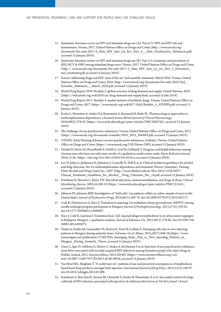- [15.](#page-16-0) Systematic literature review on HIV and stimulant drugs use (A). Part 4/5: NPS and HIV risk and transmission. Vienna, 2017, United Nations Office on Drugs and Crime ([http://www.unodc.org/](http://www.unodc.org/documents/hiv-aids/2017/4_Stim_HIV_Syst_Lit_Rev_Part_4_-_New_Psychoactive_Substances.pdf) [documents/hiv-aids/2017/4\\_Stim\\_HIV\\_Syst\\_Lit\\_Rev\\_Part\\_4\\_-\\_New\\_Psychoactive\\_Substances.pdf](http://www.unodc.org/documents/hiv-aids/2017/4_Stim_HIV_Syst_Lit_Rev_Part_4_-_New_Psychoactive_Substances.pdf), accessed 15 January 2019).
- [16.](#page-16-0) Systematic literature review on HIV and stimulant drugs use (B). Part 5/5: [treatment and prevention of](http://www.unodc.org/documents/hiv-aids/2017/5_Stim_HIV_Syst_Lit_rev_Part_5_Prevention_and_treatment.pdf)  [HIV, HCV & HBV among stimulant drugs users.](http://www.unodc.org/documents/hiv-aids/2017/5_Stim_HIV_Syst_Lit_rev_Part_5_Prevention_and_treatment.pdf) Vienna, 2017, United Nations Office on Drugs and Crime (http:// [www.unodc.org/documents/hiv-aids/2017/5\\_Stim\\_HIV\\_Syst\\_Lit\\_rev\\_Part\\_5\\_Prevention\\_](file:///C:\Users\jbaer\Documents\Jobs\UNODC\Stimulants%20guidelines\www.unodc.org\documents\hiv-aids\2017\5_Stim_HIV_Syst_Lit_rev_Part_5_Prevention_and_treatment.pdf) and treatment.pdf, accessed 15 January 2019).
- [17.](#page-16-0) Science addressing drugs and HIV: state of the art. 2nd scientific statement: March 2016. Vienna, United Nations Office on Drugs and Crime, 2016 [\(http://www.unodc.org/documents/hiv-aids/2016/2nd\\_](http://www.unodc.org/documents/hiv-aids/2016/2nd_Scientific_Statement_-_March_2016.pdf) Scientific Statement - March 2016.pdf, accessed 15 January 2019).
- [18.](#page-18-0) World Drug Report 2019. Booklet 2: global overview of drug demand and supply. United Nations, 2019 (https://wdr.unodc.org/wdr2019/en/drug-demand-and-supply.html, accessed 15 July 2019).
- [19.](#page-18-0) World Drug Report 2017. Booklet 4: market analysis of synthetic drugs. Vienna, United Nations Office on Drugs and Crime, 2017 ([https://www.unodc.org/wdr2017/field/Booklet\\_4\\_ATSNPS.pdf,](https://www.unodc.org/wdr2017/field/Booklet_4_ATSNPS.pdf) accessed 15 January 2019).
- [20.](#page-19-0) Karila L, Weinstein A, Aubin H-J, Benyamina A, Reynaud M, Batki SL. Pharmacological approaches to methamphetamine dependence: a focused review. *British Journal of Clinical Pharmacology*. 2010;69(6):578-92 ([https://www.ncbi.nlm.nih.gov/pmc/articles/PMC2883750/,](https://www.ncbi.nlm.nih.gov/pmc/articles/PMC2883750/) accessed 15 January 2019).
- [21.](#page-19-0) The challenge of new psychoactive substances. Vienna, United Nations Office on Drugs and Crime, 2013 [\(https://www.unodc.org/documents/scientific/NPS\\_2013\\_SMART.pdf](https://www.unodc.org/documents/scientific/NPS_2013_SMART.pdf), accessed 15 January 2019).
- [22.](#page-19-0) UNODC Early Warning Advisory on new psychoactive substances [website]. Vienna, United Nations Office on Drugs and Crime (<https://www.unodc.org/LSS/Home/NPS>, accessed 15 January 2019).
- [23.](#page-19-0) Deimel D, Stöver H, Hösselbarth S, Dichtl A, Graf N, Gebhardt V. Drug use and health behaviour among German men who have sex with men: results of a qualitative, multi-centre study. *Harm Reduction Journal*. 2016;13:36. ([https://doi.org/10.1186/s12954-016-0125-y,](https://doi.org/10.1186/s12954-016-0125-y) accessed 15 January 2019).
- [24.](#page-20-0) Lee N, Johns L, Jenkinson R, Johnston J, Connolly K, Hall K et al. Clinical treatment guidelines for alcohol and drug clinicians. No 14: methamphetamine dependence and treatment. Fitzroy (Australia), Turning Point Alcohol and Drug Centre Inc., 2007 [\(http://nceta.flinders.edu.au/files/2814/3130/6037/](http://nceta.flinders.edu.au/files/2814/3130/6037/Clinical_Treatment_Guidelines_for_Alcohol__Drug_Clinicians_No._14.pdf) [Clinical\\_Treatment\\_Guidelines\\_for\\_Alcohol\\_\\_Drug\\_Clinicians\\_No.\\_14.pdf](http://nceta.flinders.edu.au/files/2814/3130/6037/Clinical_Treatment_Guidelines_for_Alcohol__Drug_Clinicians_No._14.pdf), accessed 15 January 2019).
- [25.](#page-20-0) Friedman H, Newton C, Klein TW. Microbial infections, immunomodulation, and drugs of abuse. *Clinical Microbiology Review.* 2003;16:209-19 (<https://www.ncbi.nlm.nih.gov/pmc/articles/PMC153143/>, accessed 15 January 2019).
- [26.](#page-20-0) Johnson PS, Johnson MW. Investigation of "bath salts" use patterns within an online sample of users in the United States. *Journal of Psychoactive Drugs.* 2014;46(5):369-78. doi:10.1080/02791072.2014.962717.
- [27.](#page-20-0) Csák R, Demetrovics Z, Rácz J. Transition to injecting 3,4-methylene-dioxy-pyrovalerone (MDPV) among needle exchange program participants in Hungary. *Journal of Psychopharmacology*. 2013;27(6):559-63. doi:10.1177/0269881113480987.
- [28.](#page-20-0) Rácz J, Csák R, Lisznyai S. Transition from "old" injected drugs to mephedrone in an urban micro segregate in Budapest, Hungary: a qualitative analysis. *Journal of Substance Use*. 2015;20(3):178-86. doi:10.3109/146 59891.2014.895872.
- [29.](#page-20-0) Tarján A, Dudás M, Gyarmathy VA, Rusvai E, Tresó B, Csohán Á. Emerging risks due to new injecting patterns in Hungary during austerity times. *Substance Use & Misuse*. 2015;50(7):848-58 ([https://www.](https://www.researchgate.net/publication/273637824_Emerging_Risks_Due_to_New_Injecting_Patterns_in_Hungary_During_Austerity_Times) researchgate.net/publication/273637824 Emerging Risks Due to New Injecting Patterns in Hungary During Austerity Times, accessed 15 January 2019).
- [30.](#page-20-0) Giese C, Igoe D, Gibbons Z, Hurley C, Stokes S, McNamara S et al. Injection of new psychoactive substance snow blow associated with recently acquired HIV infections among homeless people who inject drugs in Dublin, Ireland, 2015. *Eurosurveillance*. 2015;20(40) [\(https://www.eurosurveillance.org/con](https://www.eurosurveillance.org/content/10.2807/1560-7917.ES.2015.20.40.30036)[tent/10.2807/1560-7917.ES.2015.20.40.30036](https://www.eurosurveillance.org/content/10.2807/1560-7917.ES.2015.20.40.30036), accessed 15 January 2019).
- [31.](#page-20-0) Van Hout MC, Bingham T. "A costly turn on": patterns of use and perceived consequences of mephedrone based head shop products amongst Irish injectors. *International Journal of Drug Policy*. 2012;23(3):188-97. doi:10.1016/j.drugpo.2012.01.008.
- [32.](#page-20-0) Katchman E, Ben-Ami R, Savyon M, Chemtob T, Avidor B, Wasserman A et al. Successful control of a large outbreak of HIV infection associated with injection of cathinone derivatives in Tel Aviv, Israel. *Clinical*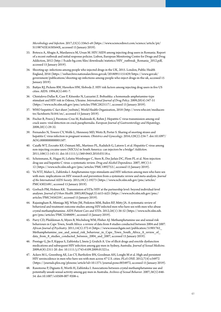*Microbiology and Infection.* 2017;23(5):336e5-e8 ([https://www.sciencedirect.com/science/article/pii/](https://www.sciencedirect.com/science/article/pii/S1198743X1630564X) [S1198743X1630564X,](https://www.sciencedirect.com/science/article/pii/S1198743X1630564X) accessed 15 January 2019).

- [33](#page-20-0). Botescu A, Abagiu A, Mardarescu M, Ursan M. HIV/AIDS among injecting drug users in Romania. Report of a recent outbreak and initial response policies. Lisbon, European Monitoring Centre for Drugs and Drug Addiction, 2012 ([http://b.aids-bg.com/files/downloads/statistics/HIV\\_outbreak\\_Romania\\_2012.pdf,](http://b.aids-bg.com/files/downloads/statistics/HIV_outbreak_Romania_2012.pdf) accessed 15 January 2019).
- [34](#page-20-0). Shooting up: infections among people who injected drugs in the UK, 2015. London, Public Health England, 2016 ([https://webarchive.nationalarchives.gov.uk/20180911151429/https://www.gov.uk/](https://webarchive.nationalarchives.gov.uk/20180911151429/https:/www.gov.uk/government/publications/shooting-up-infections-among-people-who-inject-drugs-in-the-uk) [government/publications/shooting-up-infections-among-people-who-inject-drugs-in-the-uk](https://webarchive.nationalarchives.gov.uk/20180911151429/https:/www.gov.uk/government/publications/shooting-up-infections-among-people-who-inject-drugs-in-the-uk), accessed 15 January 2019).
- [35](#page-20-0). Battjes RJ, Pickens RW, Haverkos HW, Sloboda Z. HIV risk factors among injecting drug users in five US cities. AIDS. 1994;8(5):681-7.
- [36](#page-21-0). Chintalova-Dallas R, Case P, Kitsenko N, Lazzarini Z. Boltushka: a homemade amphetamine-type stimulant and HIV risk in Odessa, Ukraine. *International Journal of Drug Policy*. 2009;20(4):347-51 (<https://www.ncbi.nlm.nih.gov/pmc/articles/PMC2823117/>, accessed 15 January 2019).
- [37](#page-21-0). WHO hepatitis C fact sheet [website]. World Health Organization, 2018 [\(http://www.who.int/mediacen](http://www.who.int/mediacentre/factsheets/fs164/en/)[tre/factsheets/fs164/en/](http://www.who.int/mediacentre/factsheets/fs164/en/), accessed 15 January 2019).
- [38](#page-21-0). Fischer B, Powis J, Firestone-Cruz M, Rudzinski K, Rehm J. Hepatitis C virus transmission among oral crack users: viral detection on crack paraphernalia. *European Journal of Gastroenterology and Hepatology*. 2008;20(1):29-32.
- [39](#page-21-0). [Fernandez N](https://www.ncbi.nlm.nih.gov/pubmed/?term=Fernandez%20N%5BAuthor%5D&cauthor=true&cauthor_uid=27400008), Towers CV, Wolfe L, Hennessy MD, Weitz B, Porter S. Sharing of snorting straws and hepatitis C virus infection in pregnant women. *[Obstetrics and Gynecology](https://www.ncbi.nlm.nih.gov/pubmed/27400008)*. 2016;128(2):234-7. doi:10.1097/ AOG.0000000000001507.
- [40](#page-21-0). Caiaffa WT, Zocratto KF, Osimani ML, Martinez PL, Radulich G, Latorre L et al. Hepatitis C virus among non-injecting cocaine users (NICUs) in South America: can injectors be a bridge? *Addiction*. 2011;106(1):143-51. doi:10.1111/j.1360-0443.2010.03118.x.
- [41](#page-21-0). Scheinmann, R, Hagan H, Lelutiu-Weinberger C, Stern R, Des Jarlais DC, Flom PL et al. Non-injection drug use and hepatitis C virus: a systematic review. *Drug and Alcohol Dependence*. 2007; 89(1):1- 12 ([https://www.ncbi.nlm.nih.gov/pmc/articles/PMC1892753/,](https://www.ncbi.nlm.nih.gov/pmc/articles/PMC1892753/) accessed 15 January 2019).
- [42](#page-21-0). Vu NTT, Maher L, Zablotska I. Amphetamine-type stimulants and HIV infection among men who have sex with men: implications on HIV research and prevention from a systematic review and meta-analysis. *Journal of the International AIDS Society*. 2015;18(1):19273 ([https://www.ncbi.nlm.nih.gov/pmc/articles/](https://www.ncbi.nlm.nih.gov/pmc/articles/PMC4302169/) [PMC4302169/,](https://www.ncbi.nlm.nih.gov/pmc/articles/PMC4302169/) accessed 15 January 2019).
- [43](#page-21-0). Gorbach PM, Holmes KK. Transmission of STIs/HIV at the partnership level: beyond individual-level analyses. *Journal of Urban Health*. 2003;80(Suppl.3):iii15-iii25 ([https://www.ncbi.nlm.nih.gov/pmc/](https://www.ncbi.nlm.nih.gov/pmc/articles/PMC3456259/) [articles/PMC3456259/,](https://www.ncbi.nlm.nih.gov/pmc/articles/PMC3456259/) accessed 15 January 2019).
- [44](#page-21-0). Rajasingham R, Mimiaga MJ, White JM, Pinkston MM, Baden RP, Mitty JA. A systematic review of behavioral and treatment outcome studies among HIV-infected men who have sex with men who abuse crystal methamphetamine. *AIDS Patient Care and STDs*. 2012;26(1):36-52 [\(https://www.ncbi.nlm.nih.](https://www.ncbi.nlm.nih.gov/pmc/articles/PMC3248609/) [gov/pmc/articles/PMC3248609/,](https://www.ncbi.nlm.nih.gov/pmc/articles/PMC3248609/) accessed 15 January 2019).
- [45](#page-21-0). Parry CD, Plüddeman A, Myers B, Wechsberg WM, Flisher AJ. Methamphetamine use and sexual risk behaviours in Cape Town, South Africa: a review of data from 8 studies conducted between 2004 and 2007. *African Journal of Psychiatry*. 2011;14(5):372-6 [\(https://www.researchgate.net/publication/51901762\\_](https://www.researchgate.net/publication/51901762_Methamphetamine_use_and_sexual_risk_behaviour_in_Cape_Town_South_Africa_A_review_of_data_from_8_studies_conducted_between_2004_and_2007) Methamphetamine\_use\_and\_sexual\_risk\_behaviour\_in\_Cape\_Town\_South\_Africa\_A\_review\_of [data\\_from\\_8\\_studies\\_conducted\\_between\\_2004\\_and\\_2007,](https://www.researchgate.net/publication/51901762_Methamphetamine_use_and_sexual_risk_behaviour_in_Cape_Town_South_Africa_A_review_of_data_from_8_studies_conducted_between_2004_and_2007) accessed 15 January 2019).
- [46](#page-21-0). Prestage G, Jin F, Kippax S, Zablotska I, Imrie J, Grulich A. Use of illicit drugs and erectile dysfunction medications and subsequent HIV infection among gay men in Sydney, Australia. *Journal of Sexual Medicine*. 2009;6(8):2311-20. doi: 10.1111/j.1743-6109.2009.01323.x.
- [47](#page-21-0). Ackers M-L, Greenberg AE, Lin CY, Bartholow BN, Goodman AH, Longhi M et al. High and persistent HIV seroincidence in men who have sex with men across 47 U.S. cities. *PLoS ONE*. 2012;7(4):e34972 (<https://journals.plos.org/plosone/article?id=10.1371/journal.pone.0034972>, accessed 15 January 2019).
- [48](#page-21-0). Rawstorne P, Digiusto E, Worth H, Zablotska I. Associations between crystal methamphetamine use and potentially unsafe sexual activity among gay men in Australia. *Archives of Sexual Behavior*. 2007;36(5):646- 54. doi:10.1007/s10508-007-9206-z.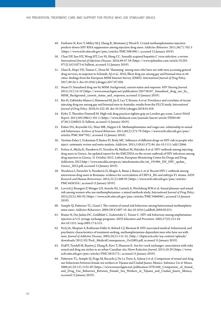- [49.](#page-21-0) Fairbairn N, Kerr T, Milloy M-J, Zhang R, Montaner J, Wood E. Crystal methamphetamine injection predicts slower HIV RNA suppression among injection drug users. *Addictive Behaviors*. 2011;36(7):762-3 [\(https://www.ncbi.nlm.nih.gov/pmc/articles/PMC3081981/](https://www.ncbi.nlm.nih.gov/pmc/articles/PMC3081981/), accessed 15 January 2019).
- [50.](#page-21-0) Chan DP, Sun HY, Wong HT, Lee SS, Hung CC. Sexually acquired hepatitis C virus infection: a review. *International Journal of Infectious Diseases*. 2016;49:47-58 ([https://www.ijidonline.com/article/S1201-](https://www.ijidonline.com/article/S1201-9712(16)31073-6/fulltext) [9712\(16\)31073-6/fulltext,](https://www.ijidonline.com/article/S1201-9712(16)31073-6/fulltext) accessed 15 January 2019).
- [51.](#page-22-0) Glass R, Hope VD, Tanner C, Desai M. 'Slamming' among men who have sex with men accessing general drug services, in response to Schmidt, AJ et al., 2016, Illicit drug use among gay and bisexual men in 44 cities: findings from the European MSM Internet Survey (EMIS). *International Journal of Drug Policy*. 2017;49:24-5. doi:10.1016/j.drugpo.2017.07.028.
- [52.](#page-22-0) Stuart D. Sexualised drug use by MSM: background, current status and response. *HIV Nursing Journal*. 2013;13(1):6-10 [\(https://www.researchgate.net/publication/285738167\\_Sexualised\\_drug\\_use\\_by\\_](https://www.researchgate.net/publication/285738167_Sexualised_drug_use_by_MSM_Background_current_status_and_response) [MSM\\_Background\\_current\\_status\\_and\\_response](https://www.researchgate.net/publication/285738167_Sexualised_drug_use_by_MSM_Background_current_status_and_response), accessed 15 January 2019).
- [53.](#page-22-0) Bui H, Zablotska-Manos I, Hammoud M, Jin F, Lea T, Bourne A et al. Prevalence and correlates of recent injecting drug use among gay and bisexual men in Australia: results from the FLUX study. *International Journal of Drug Policy*. 2018;55:222-30. [doi:10.1016/j.drugpo.2018.01.018.](https://doi.org/10.1016/j.drugpo.2018.01.018)
- [54.](#page-22-0) Kirby T, Thornber-Dunwell M. High-risk drug practices tighten grip on London gay scene. *Lancet World Report*. 2013;381(9861):101-2 [\(https://www.thelancet.com/journals/lancet/article/PIIS0140-](https://www.thelancet.com/journals/lancet/article/PIIS0140-6736(13)60032-X/fulltext) [6736\(13\)60032-X/fulltext,](https://www.thelancet.com/journals/lancet/article/PIIS0140-6736(13)60032-X/fulltext) accessed 15 January 2019).
- [55.](#page-22-0) Fisher DG, Reynolds GL, Ware MR, Napper LE. Methamphetamine and viagra use: relationship to sexual risk behaviours. *Archives of Sexual Behaviour*. 2011;40(2):273-79 [\(https://www.ncbi.nlm.nih.gov/pmc/](https://www.ncbi.nlm.nih.gov/pmc/articles/PMC3047702/) [articles/PMC3047702/](https://www.ncbi.nlm.nih.gov/pmc/articles/PMC3047702/), accessed 15 January 2018).
- [56.](#page-22-0) Tavitian-Exley I, Vickerman P, Bastos FI, Boily MC. Influence of different drugs on HIV risk in people who inject: systematic review and meta-analysis. *Addiction*. 2015;110(4):572-84. doi:10.1111/add.12846.
- [57.](#page-22-0) Fotiou A, Micha K, Paraskevis D, Terzidou M, Malliori M, Hatzakis A et al. HIV outbreak among injecting drug users in Greece. An updated report for the EMCDDA on the recent outbreak of HIV infections among drug injectors in Greece, 31 October 2012. Lisbon, European Monitoring Centre for Drugs and Drug Addiction, 2012 [http://www.emcdda.europa.eu/attachements.cfm/att\\_191984\\_EN\\_HIV\\_update\\_](http://www.emcdda.europa.eu/attachements.cfm/att_191984_EN_HIV_update_Greece_2012.pdf) Greece 2012.pdf, accessed 15 January 2019).
- [58.](#page-22-0) Niculescu I, Paraschiv S, Paraskevis D, Abagiu A, Batan I, Banica L et al. Recent HIV-1 outbreak among intravenous drug users in Romania: evidence for cocirculation of CRF14\_BG and subtype F1 strains. *AIDS Research and Human Retroviruses*. 2015;31(5):488-95 ([https://www.ncbi.nlm.nih.gov/pmc/articles/](https://www.ncbi.nlm.nih.gov/pmc/articles/PMC4426324/) [PMC4426324/](https://www.ncbi.nlm.nih.gov/pmc/articles/PMC4426324/), accessed 15 January 2019).
- [59.](#page-22-0) Lorvick J, Bourgois P, Wenger LD, Arreola SG, Lutnick A, Wechsberg WM et al. Sexual pleasure and sexual risk among women who use methamphetamine: a mixed methods study. *International Journal of Drug Policy*. 2012;23(5):385-92 ([https://www.ncbi.nlm.nih.gov/pmc/articles/PMC3466046/,](https://www.ncbi.nlm.nih.gov/pmc/articles/PMC3466046/) accessed 15 January 2019).
- [60.](#page-22-0) Semple SJ, Patterson TL, Grant I. The context of sexual risk behaviour among heterosexual methamphetamine users. *Addictive Behaviours.* 2004:29(4):807-10. doi:10.1016/j.addbeh.2004.02.013.
- [61.](#page-22-0) Braine N, Des Jarlais DC, Goldblatt C, Zadoretzky C, Turner C. HIV risk behaviour among amphetamine injectors at U.S. syringe exchange programs. *AIDS Education and Prevention*. 2005;17(6):515-24. doi:10.1521/aeap.2005.17.6.515.
- [62.](#page-22-0) Peck JA, Shoptaw S, Rotheram-Fuller E, Reback CJ, Bierman B. HIV-associated medical, behavioural, and psychiatric characteristics of treatment-seeking, methamphetamine-dependent men who have sex with men. *Journal of Addictive Diseases*. 2005;24(3):115-32, [\(http://chipts.ucla.edu/wp-content/uploads/](http://chipts.ucla.edu/wp-content/uploads/downloads/2012/02/Peck_MedicalConsequences_Oct2005.pdf) [downloads/2012/02/Peck\\_MedicalConsequences\\_Oct2005.pdf,](http://chipts.ucla.edu/wp-content/uploads/downloads/2012/02/Peck_MedicalConsequences_Oct2005.pdf) accessed 15 January 2019).
- [63.](#page-22-0) Duff P, Tyndall M, Buxton J, Zhang R, Kerr T, Shannon K. Sex-for-crack exchanges: associations with risky sexual and drug use niches in an urban Canadian city. *Harm Reduction Journal*. 2013;10:29 ([https://www.](https://www.ncbi.nlm.nih.gov/pmc/articles/PMC3833173/) [ncbi.nlm.nih.gov/pmc/articles/PMC3833173/,](https://www.ncbi.nlm.nih.gov/pmc/articles/PMC3833173/) accessed 15 January 2019).
- [64.](#page-22-0) Patterson TL, Semple SJ, Fraga M, Bucardo J, De La Torre A, Salazar J et al. Comparison of sexual and drug use behaviours between female sex workers in Tijuana and Ciudad Juarez, Mexico. *Substance Use & Misuse*. 2006;41(10-12):1535-49 ([https://www.researchgate.net/publication/6791560\\_Comparison\\_of\\_Sexual\\_](https://www.researchgate.net/publication/6791560_Comparison_of_Sexual_and_Drug_Use_Behaviors_Between_Female_Sex_Workers_in_Tijuana_and_Ciudad_Juarez_Mexico) and Drug Use Behaviors Between Female Sex Workers in Tijuana and Ciudad Juarez Mexico, accessed 15 January 2019).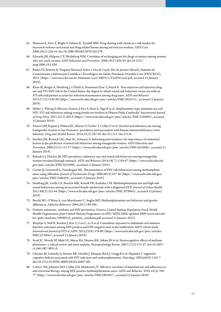- [65](#page-22-0). Shannon K, Kerr T, Bright V, Gibson K, Tyndall MW. Drug sharing with clients as a risk marker for increased violence and sexual and drug-related harms among survival sex workers. *AIDS Care*. 2008:20(2):228-34. doi:10.1080/09540120701561270.
- [66](#page-22-0). Edwards JM, Halpern CT, Wechsberg WM. Correlates of exchanging sex for drugs or money among women who use crack cocaine. *AIDS Education and Prevention*. 2006;18(5):420-29. doi:10.1521/ aeap.2006.18.5.420.
- [67](#page-22-0). Bastos FI, Bertoni N. Pesquisa Nacional Sobre o Uso de Crack. Rio de Janeiro (Brazil), Instituto de Comunicação e Informação Científica e Tecnológica em Saúde/Fundação Oswaldo Cruz (FIOCRUZ), 2014 [\(https://www.arca.fiocruz.br/bitstream/icict/10019/2/UsoDeCrack.pdf](https://www.arca.fiocruz.br/bitstream/icict/10019/2/UsoDeCrack.pdf), accessed 15 January 2019).
- [68](#page-22-0). Khan M, Berger A, Hemberg J, O'Neill A, Penniman Dyer T, Smyrk K. Non-injection and injection drug use and STI/HIV risk in the United States: the degree to which sexual risk behaviors versus sex with an STI-infected partner account for infection transmission among drug users. *AIDS and Behavior.* 2013;17(3):1185-94 ([https://www.ncbi.nlm.nih.gov/pmc/articles/PMC3923515/,](https://www.ncbi.nlm.nih.gov/pmc/articles/PMC3923515/) accessed 15 January 2019).
- [69](#page-22-0). Maher L, Phlong P, Mooney-Somers J, Keo S, Stein E, Page K et al. Amphetamine-type stimulant use and HIV/STI risk behaviour among young female sex workers in Phnom Penh, Cambodia. *International Journal of Drug Policy.* 2011;22(3):203-9 [\(https://www.ncbi.nlm.nih.gov/pmc/articles/PMC3104095/](https://www.ncbi.nlm.nih.gov/pmc/articles/PMC3104095/), accessed 15 January 2019).
- [70](#page-22-0). Santos GM, Rapues J, Wilson EC, Macias O, Packer T, Colfax G et al. Alcohol and substance use among transgender women in San Francisco: prevalence and association with human immunodeficiency virus infection. *Drug and Alcohol Review.* 2014;33(3):287-95. doi:10.1111/dar.12116.
- [71](#page-22-0). Sevelius JM, Reznick OG, Hart SL, Schwarcz S. Informing interventions: the importance of contextual factors in the prediction of sexual risk behaviors among transgender women. *AIDS Education and Prevention.* 2009;21(2):113-27 ([https://www.ncbi.nlm.nih.gov/pmc/articles/PMC4535696/,](https://www.ncbi.nlm.nih.gov/pmc/articles/PMC4535696/) accessed 15 January 2019).
- [72](#page-22-0). Reback CJ, Fletcher JB. HIV prevalence, substance use, and sexual risk behaviors among transgender women recruited through outreach. *AIDS and Behavior.* 2014;18(7):1359-67 [\(https://www.ncbi.nlm.nih.](https://www.ncbi.nlm.nih.gov/pmc/articles/PMC4535696/) [gov/pmc/articles/PMC4535696/,](https://www.ncbi.nlm.nih.gov/pmc/articles/PMC4535696/) accessed 15 January 2019).
- [73](#page-22-0). Cartier JJ, Greenwell L, Prendergast ML. The persistence of HIV risk behaviours among methamphetamine-using offenders. *Journal of Psychoactive Drugs*. 2008;40(4):437-46 [\(https://www.ncbi.nlm.nih.gov/](https://www.ncbi.nlm.nih.gov/pmc/articles/PMC3286359/) [pmc/articles/PMC3286359/,](https://www.ncbi.nlm.nih.gov/pmc/articles/PMC3286359/) accessed 15 January 2019).
- [74](#page-22-0). Steinberg JK, Grella CE, Boudov MR, Kerndt PR, Kadrnka CM. Methamphetamine use and high-risk sexual behaviours among incarcerated female adolescents with a diagnosed STD. *Journal of Urban Health.* 2011:88(2):352-64 [\(https://www.ncbi.nlm.nih.gov/pmc/articles/PMC3079043/](https://www.ncbi.nlm.nih.gov/pmc/articles/PMC3079043/), accessed 15 January 2019).
- [75](#page-23-0). Brecht ML, O'Brien A, von Mayrhauser C, Anglin MD. Methamphetamine use behaviors and gender differences. *Addictive Behaviors.* 2004;29(1):89-106.
- [76](#page-23-0). Position statement: condoms and HIV prevention. Geneva, United Nations Population Fund, World Health Organization, Joint United Nations Programme on HIV/AIDS, 2004, updated 2009 ([www.who.int/](file:///C:\Users\jbaer\Documents\Jobs\UNODC\Stimulants%20guidelines\www.who.int\hiv\pub\condoms\20090318_position_condoms.pdf) [hiv/pub/condoms/20090318\\_position\\_condoms.pdf,](file:///C:\Users\jbaer\Documents\Jobs\UNODC\Stimulants%20guidelines\www.who.int\hiv\pub\condoms\20090318_position_condoms.pdf) accessed 15 January 2015).
- [77](#page-23-0). Shoptaw S, Stall R, Bordon J, Kao U, Cox C, Li X et al. Cumulative exposure to stimulants and immune function outcomes among HIV-positive and HIV-negative men in the multicenter AIDS cohort study. *International Journal of STD & AIDS*. 2012;23(8):576-80 ([https://www.ncbi.nlm.nih.gov/pmc/articles/](https://www.ncbi.nlm.nih.gov/pmc/articles/PMC3576843/) [PMC3576843/,](https://www.ncbi.nlm.nih.gov/pmc/articles/PMC3576843/) accessed 15 January 2019).
- [78](#page-23-0). Scott JC, Woods SP, Matt GE, Meyer RA, Heaton RK, Atkins JH et al. Neurocognitive effects of methamphetamine: a critical review and meta-analysis. *Neuropsychology Review.* 2007;17(3):275-97. doi[:10.1007/](https://doi.org/10.1007/s11065-007-9031-0) [s11065-007-9031-0](https://doi.org/10.1007/s11065-007-9031-0).
- [79](#page-23-0). Cherner M, Letendre S, Heaton RK, Durelle J, Marquie-Beck J, Gragg B et al. Hepatitis C augments cognitive deficits associated with HIV infection and methamphetamine. *Neurology*. 2005;64(8):1343-7. doi:10.1212/01.WNL.0000158328.26897.0D.
- [80](#page-23-0). Carrico AW, Johnson MO, Colfax GN, Moskowitz JT. Affective correlates of stimulant use and adherence to anti-retroviral therapy among HIV-positive methamphetamine users. *AIDS and Behavior*. 2010;14(4):769- 77 ([https://www.ncbi.nlm.nih.gov/pmc/articles/PMC2891867/,](https://www.ncbi.nlm.nih.gov/pmc/articles/PMC2891867/) accessed 15 January 2019).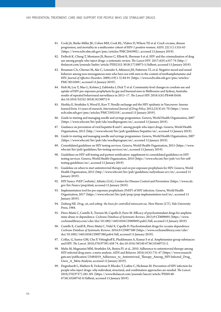- [81.](#page-23-0) Cook JA, Burke-Miller JK, Cohen MH, Cook RL, Vlahov D, Wilson TE et al. Crack cocaine, disease progression, and mortality in a multicenter cohort of HIV-1 positive women. *AIDS*. 22(11):1355-63 [\(https://www.ncbi.nlm.nih.gov/pmc/articles/PMC2645902/](https://www.ncbi.nlm.nih.gov/pmc/articles/PMC2645902/), accessed 15 January 2019).
- [82.](#page-24-0) [DeBeck](file:///G:/docs/ODC/DRUGS/19-04568_HIV_Prevention_Treatment_Care_Guide/19-04568-Client/javascript:void(0);) K, Cheng T, Montaner JS, Beyrer C, Elliott R, Sherman S et al. HIV and the criminalisation of drug use among people who inject drugs: a systematic review. *The Lancet HIV*. 2017;4(8):e357-74 ([http://](http://thelancet.com/journals/lanhiv/article/PIIS2352-3018(17)30073-5/fulltext) [thelancet.com/journals/lanhiv/article/PIIS2352-3018\(17\)30073-5/fulltext,](http://thelancet.com/journals/lanhiv/article/PIIS2352-3018(17)30073-5/fulltext) accessed 15 January 2019).
- [83.](#page-26-0) Bousman CA, Cherner M, Ake C, Letendre S, Atkinson JH, Patterson TL et al. Negative mood and sexual behavior among non-monogamous men who have sex with men in the context of methamphetamine and HIV. *Journal of Affective Disorders.* 2009;119(1-3):84-91 [\(https://www.ncbi.nlm.nih.gov/pmc/articles/](https://www.ncbi.nlm.nih.gov/pmc/articles/PMC3051049/) [PMC3051049/](https://www.ncbi.nlm.nih.gov/pmc/articles/PMC3051049/), accessed 15 January 2019).
- [84.](#page-27-0) Holt M, Lea T, Mao L, Kolstee J, Zablotska I, Dick T et al. Community-level changes in condom use and uptake of HIV pre-exposure prophylaxis by gay and bisexual men in Melbourne and Sydney, Australia: results of repeated behavioural surveillance in 2013–17. *The Lancet HIV.* 2018:5(8):PE448-E456. doi:10.1016/S2352-3018(18)30072-9.
- [85.](#page-28-0) Hyshka E, [Strathdee](https://www.ncbi.nlm.nih.gov/pubmed/?term=Strathdee%20S%5BAuthor%5D&cauthor=true&cauthor_uid=22579215) S, [Wood](https://www.ncbi.nlm.nih.gov/pubmed/?term=Wood%20E%5BAuthor%5D&cauthor=true&cauthor_uid=22579215) E, [Kerr](https://www.ncbi.nlm.nih.gov/pubmed/?term=Kerr%20T%5BAuthor%5D&cauthor=true&cauthor_uid=22579215) T. Needle exchange and the HIV epidemic in Vancouver: lessons learned from 15 years of research. *International Journal of Drug Policy.* 2012;23(4):61-70 ([https://www.](https://www.ncbi.nlm.nih.gov/pmc/articles/PMC3392518/) [ncbi.nlm.nih.gov/pmc/articles/PMC3392518/,](https://www.ncbi.nlm.nih.gov/pmc/articles/PMC3392518/) accessed 15 January 2019).
- [86.](#page-28-0) Guide to starting and managing needle and syringe programmes. Geneva, World Health Organization, 2007 [\(https://www.who.int/hiv/pub/idu/needleprogram/en/,](https://www.who.int/hiv/pub/idu/needleprogram/en/) accessed 15 January 2019).
- [87.](#page-28-0) Guidance on prevention of viral hepatitis B and C among people who inject drugs. Geneva, World Health Organization, 2012 (<http://www.who.int/hiv/pub/guidelines/hepatitis/en/>, accessed 15 January 2019).
- [88.](#page-29-0) Guide to starting and managing needle and syringe programmes. Geneva, World Health Organization, 2007 [\(https://www.who.int/hiv/pub/idu/needleprogram/en/,](https://www.who.int/hiv/pub/idu/needleprogram/en/) accessed 15 January 2019).
- [89.](#page-30-0) Consolidated guidelines on HIV testing services. Geneva, World Health Organization, 2015 ([https://www.](https://www.who.int/hiv/pub/guidelines/hiv-testing-services/en/) [who.int/hiv/pub/guidelines/hiv-testing-services/en/](https://www.who.int/hiv/pub/guidelines/hiv-testing-services/en/), accessed 15 January 2019).
- [90.](#page-31-0) Guidelines on HIV self-testing and partner notification: supplement to consolidated guidelines on HIV testing services. Geneva, World Health Organization, 2016 [\(https://www.who.int/hiv/pub/vct/hiv-self](https://www.who.int/hiv/pub/vct/hiv-self-testing-guidelines/en/)[testing-guidelines/en/](https://www.who.int/hiv/pub/vct/hiv-self-testing-guidelines/en/), accessed 15 January 2019).
- [91.](#page-32-0) Guideline on when to start antiretroviral therapy and on pre-exposure prophylaxis for HIV. Geneva, World Health Organization, 2015 ([http://www.who.int/hiv/pub/guidelines/earlyrelease-arv/en/,](http://www.who.int/hiv/pub/guidelines/earlyrelease-arv/en/) accessed 15 January 2019).
- [92.](#page-32-0) HIV basics: PrEP [website]. Atlanta (GA), Centers for Disease Control and Prevention [\(https://www.cdc.](https://www.cdc.gov/hiv/basics/prep.html) [gov/hiv/basics/prep.html,](https://www.cdc.gov/hiv/basics/prep.html) accessed 15 January 2019).
- [93.](#page-33-0) Implementation tool for pre-exposure prophylaxis (PrEP) of HIV infection. Geneva, World Health Organization, 2017 ([https://www.who.int/hiv/pub/prep/prep-implementation-tool/en/,](https://www.who.int/hiv/pub/prep/prep-implementation-tool/en/) accessed 15 January 2019).
- [94.](#page-33-0) Zinberg NE. *Drug, set, and setting: the basis for controlled intoxicant use*. New Haven (CT), Yale University Press, 1984.
- [95.](#page-34-0) Pérez-Mañá C, Castells X, Torrens M, Capellà D, Farre M. Efficacy of psychostimulant drugs for amphetamine abuse or dependence. *Cochrane Database of Systematic Reviews.* 2013;9:CD009695 [\(https://www.](https://www.cochranelibrary.com/cdsr/doi/10.1002/14651858.CD009695.pub2/full) [cochranelibrary.com/cdsr/doi/10.1002/14651858.CD009695.pub2/full,](https://www.cochranelibrary.com/cdsr/doi/10.1002/14651858.CD009695.pub2/full) accessed 15 January 2019).
- [96.](#page-34-0) Castells X, Cunill R, Pérez-Mañá C, Vidal X, Capellà D. Psychostimulant drugs for cocaine dependence. *Cochrane Database of Systematic Reviews.* 2016;9:CD007380 [\(https://www.cochranelibrary.com/cdsr/](https://www.cochranelibrary.com/cdsr/doi/10.1002/14651858.CD007380.pub4/full) [doi/10.1002/14651858.CD007380.pub4/full,](https://www.cochranelibrary.com/cdsr/doi/10.1002/14651858.CD007380.pub4/full) accessed 15 January 2019).
- [97.](#page-34-0) Colfax, G, Santos GM, Chu P, Vittinghoff E, Pluddemann A, Kumar S et al. Amphetamine-group substances and HIV. *The Lancet.* 2010;376(9739):458-74. doi:10.1016/S0140-6736(10)60753-2.
- [98.](#page-34-0) Malta M, Magnanini MM, Strathdee SA, Bastos FI. et al., 2010. Adherence to antiretroviral therapy among HIV-infected drug users: a meta-analysis. *AIDS and Behavior.* 2010;14(4):731-47 ([https://www.research](https://www.researchgate.net/publication/23485019_Adherence_to_Antiretroviral_Therapy_Among_HIV-Infected_Drug_Users_A_Meta-Analysis)gate.net/publication/23485019\_Adherence\_to\_Antiretroviral\_Therapy\_Among\_HIV-Infected\_Drug Users A Meta-Analysis, accessed 15 January 2019).
- [99.](#page-34-0) Degenhardt L, Mathers B, Vickerman P, Rhodes T, Latkin C, Hickman M. Prevention of HIV infection for people who inject drugs: why individual, structural, and combination approaches are needed. *The Lancet.*  2010;376(9737):285-301 [\(https://www.thelancet.com/journals/lancet/article/PIIS0140-](https://www.thelancet.com/journals/lancet/article/PIIS0140-6736(10)60742-8/fulltext) [6736\(10\)60742-8/fulltext,](https://www.thelancet.com/journals/lancet/article/PIIS0140-6736(10)60742-8/fulltext) accessed 15 January 2019).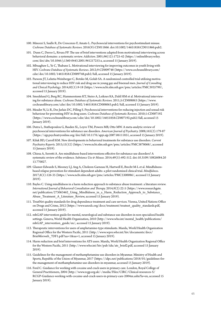- [100.](#page-34-0) Minozzi S, Saulle R, De Crescenzo F, Amato L. Psychosocial interventions for psychostimulant misuse. *Cochrane Database of Systematic Reviews*. 2016(9):CD011866. doi:10.1002/14651858.CD011866.pub2.
- [101.](#page-34-0) Dunn C, Deroo L, Rivara FP. The use of brief interventions adapted from motivational interviewing across behavioral domains: a systematic review. *Addiction.* 2001;96(12):1725-42 [\(https://onlinelibrary.wiley.](https://onlinelibrary.wiley.com/doi/abs/10.1046/j.1360-0443.2001.961217253.x) [com/doi/abs/10.1046/j.1360-0443.2001.961217253.x,](https://onlinelibrary.wiley.com/doi/abs/10.1046/j.1360-0443.2001.961217253.x) accessed 15 January 2019).
- [102.](#page-34-0) Mbuagbaw L, Ye C, Thabane L. Motivational interviewing for improving outcomes in youth living with HIV. *Cochrane Database of Systematic Reviews*. 2012;9:CD009748 ([https://www.cochranelibrary.com/](https://www.cochranelibrary.com/cdsr/doi/10.1002/14651858.CD009748.pub2/full) [cdsr/doi/10.1002/14651858.CD009748.pub2/full](https://www.cochranelibrary.com/cdsr/doi/10.1002/14651858.CD009748.pub2/full), accessed 15 January 2019).
- [103.](#page-34-0) Parsons JT, Lelutiu-Weinberger C, Botsko M, Golub SA. A randomized controlled trial utilizing motivational interviewing to reduce HIV risk and drug use in young gay and bisexual men. *Journal of Consulting and Clinical Psychology*. 2014;82(1):9-18 ([https://www.ncbi.nlm.nih.gov/pmc/articles/PMC3935799/,](https://www.ncbi.nlm.nih.gov/pmc/articles/PMC3935799/) accessed 15 January 2019).
- [104.](#page-34-0) Smedslund G, Berg RC, Hammerstrøm KT, Steiro A, Leiknes KA, Dahl HM et al. Motivational interviewing for substance abuse. *Cochrane Database of Systematic Reviews.* 2011;5:CD008063 ([https://www.](https://www.cochranelibrary.com/cdsr/doi/10.1002/14651858.CD008063.pub2/full) [cochranelibrary.com/cdsr/doi/10.1002/14651858.CD008063.pub2/full](https://www.cochranelibrary.com/cdsr/doi/10.1002/14651858.CD008063.pub2/full), accessed 15 January 2019).
- [105.](#page-34-0) Meader N, Li R, Des Jarlais DC, Pilling S. Psychosocial interventions for reducing injection and sexual risk behaviour for preventing HIV in drug users. *Cochrane Database of Systematic Reviews*. 2010;1:CD007192 (<https://www.cochranelibrary.com/cdsr/doi/10.1002/14651858.CD007192.pub2/full>, accessed 15 January 2019).
- [106.](#page-35-0) Dutra L, Stathopoulou G, Basden SL, Leyro TM, Powers MB, Otto MW. A meta-analytic review of psychosocial interventions for substance use disorders. *American Journal of Psychiatry.* 2008;165(2):179-87 (<https://ajp.psychiatryonline.org/doi/full/10.1176/appi.ajp.2007.06111851>, accessed 15 January 2019).
- [107.](#page-35-0) Kiluk BD, Carroll KM. New developments in behavioral treatments for substance use disorders. *Current Psychiatry Reports.* 2013;15(12) [\(https://www.ncbi.nlm.nih.gov/pmc/articles/PMC3878068/](https://www.ncbi.nlm.nih.gov/pmc/articles/PMC3878068/), accessed 15 January 2019).
- [108.](#page-35-0) Chiesa A, Serretti A. Are mindfulness-based interventions effective for substance use disorders? A systematic review of the evidence. *Substance Use & Misuse*. 2014;49(5):492-512. doi:10.3109/10826084.20 13.770027.
- [109.](#page-35-0) Glasner-Edwards S, Mooney LJ, Ang A, Chokron Garneau H, Hartwell E, Brecht M-L et al. Mindfulnessbased relapse prevention for stimulant dependent adults: a pilot randomized clinical trial. *Mindfulness*. 2017;8(1):126-35 [\(https://www.ncbi.nlm.nih.gov/pmc/articles/PMC5300086/](https://www.ncbi.nlm.nih.gov/pmc/articles/PMC5300086/), accessed 15 January 2019).
- [110.](#page-35-0) Bayles C. Using mindfulness in a harm reduction approach to substance abuse treatment: a literature review. *International Journal of Behavioral Consultation and Therapy.* 2014;9(2):22-5 [\(https://www.researchgate.](https://www.researchgate.net/publication/273063462_Using_Mindfulness_in_a_Harm_Reduction_Approach_to_Substance_Abuse_Treatment_A_Literature_Review) net/publication/273063462\_Using\_Mindfulness\_in\_a\_Harm\_Reduction\_Approach\_to\_Substance [Abuse\\_Treatment\\_A\\_Literature\\_Review,](https://www.researchgate.net/publication/273063462_Using_Mindfulness_in_a_Harm_Reduction_Approach_to_Substance_Abuse_Treatment_A_Literature_Review) accessed 15 January 2019).
- [111.](#page-35-0) TreatNet quality standards for drug dependence treatment and care services. Vienna, United Nations Office on Drugs and Crime, 2012 ([https://www.unodc.org/docs/treatment/treatnet\\_quality\\_standards.pdf](https://www.unodc.org/docs/treatment/treatnet_quality_standards.pdf), accessed 15 January 2019).
- [112.](#page-35-0) mhGAP intervention guide for mental, neurological and substance use disorders in non-specialized health settings. Geneva, World Health Organization, 2010 [\(http://www.who.int/mental\\_health/publications/](http://www.who.int/mental_health/publications/mhGAP_intervention_guide/en/) mhGAP intervention guide/en/, accessed 15 January 2019).
- [113.](#page-35-0) Therapeutic interventions for users of amphetamine-type stimulants. Manila, World Health Organization Regional Office for the Western Pacific, 2011 ([http://www.wpro.who.int/hiv/documents/docs/](http://www.wpro.who.int/hiv/documents/docs/Brief4forweb_7DF1.pdf?ua=1&ua=1) Brief4forweb 7DF1.pdf?ua=1&ua=1, accessed 15 January 2019).
- [114.](#page-35-0) Harm reduction and brief interventions for ATS users. Manila, World Health Organization Regional Office for the Western Pacific, 2011 ([http://www.who.int/hiv/pub/idu/ats\\_brief2.pdf,](http://www.who.int/hiv/pub/idu/ats_brief2.pdf) accessed 15 January 2019).
- [115.](#page-35-0) Guidelines for the management of methamphetamine use disorders in Myanmar. Ministry of Health and Sports, Republic of the Union of Myanmar, 2017 ([https://idpc.net/publications/2018/01/guidelines-for](https://idpc.net/publications/2018/01/guidelines-for-the-management-of-methamphetamine-use-disorders-in-myanmar)[the-management-of-methamphetamine-use-disorders-in-myanmar,](https://idpc.net/publications/2018/01/guidelines-for-the-management-of-methamphetamine-use-disorders-in-myanmar) accessed 15 January 2019).
- [116.](#page-35-0) Ford C. Guidance for working with cocaine and crack users in primary care. London, Royal College of General Practitioners, 2004 ([http://www.rcgp.org.uk/-/media/Files/CIRC/Clinical-resources-S/](http://www.rcgp.org.uk/-/media/Files/CIRC/Clinical-resources-S/RCGP-Guidance-working-with-cocaine-and-crack-users-in-primary-care-2004xx.ashx?la=en) [RCGP-Guidance-working-with-cocaine-and-crack-users-in-primary-care-2004xx.ashx?la=en](http://www.rcgp.org.uk/-/media/Files/CIRC/Clinical-resources-S/RCGP-Guidance-working-with-cocaine-and-crack-users-in-primary-care-2004xx.ashx?la=en), accessed 15 January 2019).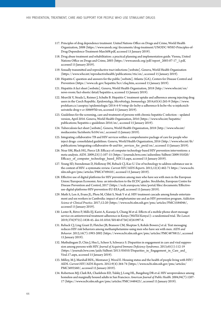- <span id="page-71-0"></span>[117](#page-35-0). Principles of drug dependence treatment. United Nations Office on Drugs and Crime, World Health Organization, 2008 ([https://www.unodc.org/documents/drug-treatment/UNODC-WHO-Principles-of-](https://www.unodc.org/documents/drug-treatment/UNODC-WHO-Principles-of-Drug-Dependence-Treatment-March08.pdf)[Drug-Dependence-Treatment-March08.pdf,](https://www.unodc.org/documents/drug-treatment/UNODC-WHO-Principles-of-Drug-Dependence-Treatment-March08.pdf) accessed 15 January 2019).
- [118](#page-35-0). [Drug abuse treatment and rehabilitation: a practical planning and implementation guide.](https://www.unodc.org/pdf/report_2003-07-17_1.pdf) Vienna, United Nations Office on Drugs and Crime, 2003 [\(https://www.unodc.org/pdf/report\\_2003-07-17\\_1.pdf](https://www.unodc.org/pdf/report_2003-07-17_1.pdf), accessed 15 January 2019).
- [119](#page-36-0). Sexually transmitted and reproductive tract infections [website]. Geneva, World Health Organization [\(https://www.who.int/reproductivehealth/publications/rtis/en/](https://www.who.int/reproductivehealth/publications/rtis/en/), accessed 15 January 2019).
- [120](#page-36-0). Hepatitis C question and answers for the public [website]. Atlanta (GA), Centers for Disease Control and Prevention (<https://www.cdc.gov/hepatitis/hcv/cfaq.htm>, accessed 15 January 2019).
- [121](#page-36-0). Hepatitis A fact sheet [website]. Geneva, World Health Organization, 2018 ([http://www.who.int/en/](http://www.who.int/en/news-room/fact-sheets/detail/hepatitis-a) [news-room/fact-sheets/detail/hepatitis-a,](http://www.who.int/en/news-room/fact-sheets/detail/hepatitis-a) accessed 15 January 2019).
- [122](#page-37-0). [Mravčík V](https://www.ncbi.nlm.nih.gov/pubmed/?term=Mrav%C4%8D%C3%ADk%20V%5BAuthor%5D&cauthor=true&cauthor_uid=25523218), [Strada L](https://www.ncbi.nlm.nih.gov/pubmed/?term=Strada%20L%5BAuthor%5D&cauthor=true&cauthor_uid=25523218), [Reimer J,](https://www.ncbi.nlm.nih.gov/pubmed/?term=Reimer%20J%5BAuthor%5D&cauthor=true&cauthor_uid=25523218) [Schulte B](https://www.ncbi.nlm.nih.gov/pubmed/?term=Schulte%20B%5BAuthor%5D&cauthor=true&cauthor_uid=25523218). Hepatitis C treatment uptake and adherence among injecting drug users in the Czech Republic. *[Epidemiology, Microbiology, Immunology.](https://www.ncbi.nlm.nih.gov/pubmed/25523218)* 2014;63(4):265-9 [\(https://www.](https://www.prolekare.cz/casopisy/epidemiologie/2014-4-9/vstup-do-lecby-a-adherence-k-lecbe-vhc-u-injekcnich-uzivatelu-drog-v-cr-50669?hl=en) [prolekare.cz/casopisy/epidemiologie/2014-4-9/vstup-do-lecby-a-adherence-k-lecbe-vhc-u-injekcnich](https://www.prolekare.cz/casopisy/epidemiologie/2014-4-9/vstup-do-lecby-a-adherence-k-lecbe-vhc-u-injekcnich-uzivatelu-drog-v-cr-50669?hl=en)[uzivatelu-drog-v-cr-50669?hl=en,](https://www.prolekare.cz/casopisy/epidemiologie/2014-4-9/vstup-do-lecby-a-adherence-k-lecbe-vhc-u-injekcnich-uzivatelu-drog-v-cr-50669?hl=en) accessed 15 January 2019).
- [123](#page-37-0). Guidelines for the screening, care and treatment of persons with chronic hepatitis C infection updated version, April 2016. Geneva, World Health Organization, 2016 ([https://www.who.int/hepatitis/](https://www.who.int/hepatitis/publications/hepatitis-c-guidelines-2016/en/) [publications/hepatitis-c-guidelines-2016/en/](https://www.who.int/hepatitis/publications/hepatitis-c-guidelines-2016/en/), accessed 15 January 2019).
- [124](#page-37-0). Tuberculosis fact sheet [website]. Geneva, World Health Organization, 2018 ([http://www.who.int/](http://www.who.int/mediacentre/factsheets/fs104/en/) [mediacentre/factsheets/fs104/en/](http://www.who.int/mediacentre/factsheets/fs104/en/), accessed 15 January 2019).
- [125](#page-37-0). Integrating collaborative TB and HIV services within a comprehensive package of care for people who inject drugs: consolidated guidelines. Geneva, World Health Organization, 2016 ([http://www.who.int/tb/](http://www.who.int/tb/publications/integrating-collaborative-tb-and-hiv_services_for_pwid/en/) [publications/integrating-collaborative-tb-and-hiv\\_services\\_for\\_pwid/en/,](http://www.who.int/tb/publications/integrating-collaborative-tb-and-hiv_services_for_pwid/en/) accessed 15 January 2019).
- [126](#page-38-0). Noar SM, Black HG, Pierce LB. Efficacy of computer technology-based HIV prevention interventions: a meta-analysis. *AIDS.* 2009;23(1):107-15 ([https://journals.lww.com/aidsonline/fulltext/2009/01020/](https://journals.lww.com/aidsonline/fulltext/2009/01020/Efficacy_of_computer_technology_based_HIV.15.aspx) [Efficacy\\_of\\_computer\\_technology\\_based\\_HIV.15.aspx](https://journals.lww.com/aidsonline/fulltext/2009/01020/Efficacy_of_computer_technology_based_HIV.15.aspx), accessed 15 January 2019).
- [127](#page-38-0). Young SD, Swendeman D, Holloway IW, Reback CJ, Kao U. Use of technology to address substance use in the context of HIV: a systematic review. *Current HIV/AIDS Reports.* 2015;12(4):462-71 [https://www.ncbi.](https://www.ncbi.nlm.nih.gov/pmc/articles/PMC4749410/) [nlm.nih.gov/pmc/articles/PMC4749410/](https://www.ncbi.nlm.nih.gov/pmc/articles/PMC4749410/), accessed 15 January 2019).
- [128](#page-39-0). [Effective use of digital platforms for HIV prevention among men who have sex with men in the European](https://ecdc.europa.eu/sites/portal/files/documents/Effective-use-digital-platforms-HIV-prevention-EU-EEA.pdf)  [Union/European Economic Area: an introduction to the ECDC guides.](https://ecdc.europa.eu/sites/portal/files/documents/Effective-use-digital-platforms-HIV-prevention-EU-EEA.pdf) Stockholm, European Centre for Disease Prevention and Control, 2017 ([https://ecdc.europa.eu/sites/portal/files/documents/Effective](https://ecdc.europa.eu/sites/portal/files/documents/Effective-use-digital-platforms-HIV-prevention-EU-EEA.pdf)[use-digital-platforms-HIV-prevention-EU-EEA.pdf,](https://ecdc.europa.eu/sites/portal/files/documents/Effective-use-digital-platforms-HIV-prevention-EU-EEA.pdf) accessed 15 January 2019).
- [129](#page-42-0). Muth S, Len A, Evans JL, Phou M, Chhit S, Neak Y et al. HIV treatment cascade among female entertainment and sex workers in Cambodia: impact of amphetamine use and an HIV prevention program. *Addiction Science & Clinical Practice.* 2017;12:20 ([https://www.ncbi.nlm.nih.gov/pmc/articles/PMC5584046/,](https://www.ncbi.nlm.nih.gov/pmc/articles/PMC5584046/) accessed 15 January 2019).
- [130](#page-43-0). Lester R, Ritvo P, Mills EJ, Kariri A, Karanja S, Chung M et al. Effects of a mobile phone short message service on antiretroviral treatment adherence in Kenya (WelTel Kenya1): a randomised trial. *The Lancet.* 2019;376(9755):1838-45. doi:10.1016/S0140-6736(10)61997-6.
- [131](#page-43-0). Reback CJ, Ling Grant D, Fletcher JB, Branson CM, Shoptaw S, Rohde Bowers J et al. Text messaging reduces HIV risk behaviors among methamphetamine-using men who have sex with men. *AIDS and Behavior*. 2012;16(7):1993-2002 ([https://www.ncbi.nlm.nih.gov/pmc/articles/PMC4878815/,](https://www.ncbi.nlm.nih.gov/pmc/articles/PMC4878815/) accessed 15 January 2019).
- [132](#page-44-0). Muthulingam D, Chin J, Hsu L, Scheer S, Schwarcz S. Disparities in engagement in care and viral suppression among persons with HIV. *Journal of Acquired Immune Deficiency Syndromes*. 2013;65(1):112-19 [\(https://journals.lww.com/jaids/fulltext/2013/05010/Disparities\\_in\\_Engagement\\_in\\_Care\\_and\\_](https://journals.lww.com/jaids/fulltext/2013/05010/Disparities_in_Engagement_in_Care_and_Viral.17.aspx) [Viral.17.aspx,](https://journals.lww.com/jaids/fulltext/2013/05010/Disparities_in_Engagement_in_Care_and_Viral.17.aspx) accessed 15 January 2019).
- [133](#page-44-0). Milloy, M-J, Marshall BDL, Montaner J, Wood E. Housing status and the health of people living with HIV/ AIDS. *Current HIV/AIDS Reports*. 2012:9(4):364-74 ([https://www.ncbi.nlm.nih.gov/pmc/articles/](https://www.ncbi.nlm.nih.gov/pmc/articles/PMC3693560/) [PMC3693560/](https://www.ncbi.nlm.nih.gov/pmc/articles/PMC3693560/), accessed 15 January 2019).
- [134](#page-44-0). Robertson MJ, Clark RA, Charlebois ED, Tulsky J, Long HL, Bangsberg DR et al. HIV seroprevalence among homeless and marginally housed adults in San Francisco. *American Journal of Public Health.* 2004;94(7):1207- 17 [\(https://www.ncbi.nlm.nih.gov/pmc/articles/PMC1448423/](https://www.ncbi.nlm.nih.gov/pmc/articles/PMC1448423/), accessed 15 January 2019).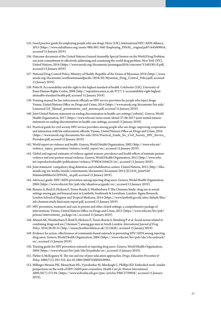- [135.](#page-45-0) [Good practice guide for employing people who use drugs](https://www.aidsalliance.org/assets/000/001/840/Employing_FINAL_original.pdf?1445009816). Hove (UK), International HIV/AIDS Alliance, 2015 [\(https://www.aidsalliance.org/assets/000/001/840/Employing\\_FINAL\\_original.pdf?1445009816,](https://www.aidsalliance.org/assets/000/001/840/Employing_FINAL_original.pdf?1445009816) accessed 15 January 2019).
- [136.](#page-47-0) Outcome document of the United Nations General Assembly Special Session on the World Drug Problem: our joint commitment to effectively addressing and countering the world drug problem. New York (NY), United Nations, 2016 ([https://www.unodc.org/documents/postungass2016/outcome/V1603301-E.pdf,](https://www.unodc.org/documents/postungass2016/outcome/V1603301-E.pdf) accessed 15 January 2019).
- [137.](#page-48-0) National Drug Control Policy. Ministry of Health, Republic of the Union of Myanmar, 2018 [\(https://www.](https://www.unodc.org/documents/southeastasiaandpacific/2018/02/Myanmar_Drug_Control_Policy.pdf) [unodc.org/documents/southeastasiaandpacific/2018/02/Myanmar\\_Drug\\_Control\\_Policy.pdf](https://www.unodc.org/documents/southeastasiaandpacific/2018/02/Myanmar_Drug_Control_Policy.pdf), accessed 15 January 2019).
- [138.](#page-48-0) Potts H. Accountability and the right to the highest standard of health. Colchester (UK), University of Essex Human Rights Centre, 2008 [\(http://repository.essex.ac.uk/9717/1/accountability-right-highest](http://repository.essex.ac.uk/9717/1/accountability-right-highest-attainable-standard-health.pdf)[attainable-standard-health.pdf,](http://repository.essex.ac.uk/9717/1/accountability-right-highest-attainable-standard-health.pdf) accessed 15 January 2019).
- [139.](#page-50-0) Training manual for law enforcement officials on HIV service provision for people who inject drugs. Vienna, United Nations Office on Drugs and Crime, 2014 ([https://www.unodc.org/documents/hiv-aids/](https://www.unodc.org/documents/hiv-aids/Lemanual/LE_Manual_presentations_and_annexes.pdf) [Lemanual/LE\\_Manual\\_presentations\\_and\\_annexes.pdf](https://www.unodc.org/documents/hiv-aids/Lemanual/LE_Manual_presentations_and_annexes.pdf), accessed 15 January 2019).
- [140.](#page-50-0) Joint United Nations statement on ending discrimination in health care settings [website]. Geneva, World Health Organization, 2017 [\(https://www.who.int/news-room/detail/27-06-2017-joint-united-nations](https://www.who.int/news-room/detail/27-06-2017-joint-united-nations-statement-on-ending-discrimination-in-health-care-settings)[statement-on-ending-discrimination-in-health-care-settings](https://www.who.int/news-room/detail/27-06-2017-joint-united-nations-statement-on-ending-discrimination-in-health-care-settings), accessed 15 January 2019).
- [141.](#page-50-0) Practical guide for civil society HIV service providers among people who use drugs: improving cooperation and interaction with law enforcement officials. Vienna, United Nations Office on Drugs and Crime, 2016 ([https://www.unodc.org/documents/hiv-aids/2016/Practical\\_Guide\\_for\\_Civil\\_Society\\_HIV\\_Service\\_](https://www.unodc.org/documents/hiv-aids/2016/Practical_Guide_for_Civil_Society_HIV_Service_Providers.pdf) [Providers.pdf](https://www.unodc.org/documents/hiv-aids/2016/Practical_Guide_for_Civil_Society_HIV_Service_Providers.pdf), accessed 15 January 2019).
- [142.](#page-50-0) World report on violence and health. Geneva, World Health Organization, 2002 [\(http://www.who.int/](http://www​.who.int/violence​_injury_prevention​/violence/world_report/en/) [violence\\_injury\\_prevention/violence/world\\_report/en/,](http://www​.who.int/violence​_injury_prevention​/violence/world_report/en/) accessed 15 January 2019).
- [143.](#page-50-0) Global and regional estimates of violence against women: prevalence and health effects of intimate partner violence and non-partner sexual violence. Geneva, World Health Organization, 2013 [\(http://www.who.](http://www​.who.int/reproductivehealth​/publications​/violence/9789241564625/en/) [int/reproductivehealth/publications/violence/9789241564625/en/](http://www​.who.int/reproductivehealth​/publications​/violence/9789241564625/en/), accessed 15 January 2019).
- [144.](#page-51-0) Joint statement: compulsory drug detention and rehabilitation centers. United Nations, 2012 [\(http://files.](http://files.unaids.org/en/media/unaids/contentassets/documents/document/2012/JC2310_Joint%20Statement6March12FINAL_en.pdf) [unaids.org/en/media/unaids/contentassets/documents/document/2012/JC2310\\_Joint%20](http://files.unaids.org/en/media/unaids/contentassets/documents/document/2012/JC2310_Joint%20Statement6March12FINAL_en.pdf) [Statement6March12FINAL\\_en.pdf](http://files.unaids.org/en/media/unaids/contentassets/documents/document/2012/JC2310_Joint%20Statement6March12FINAL_en.pdf), accessed 15 January 2019).
- [145.](#page-51-0) Advocacy guide: HIV/AIDS prevention among injecting drug users. Geneva, World Health Organization, 2004 [\(https://www.who.int/hiv/pub/idu/iduadvocacyguide/en/,](https://www.who.int/hiv/pub/idu/iduadvocacyguide/en/) accessed 15 January 2019).
- [146.](#page-53-0) Bourne A, Reid D, Hickson F, Torres Rueda S, Weatherburn P. The Chemsex Study: drug use in sexual settings among gay and bisexual men in Lambeth, Southwark & Lewisham. London: Sigma Research, London School of Hygiene and Tropical Medicine, 2014 ([https://www.lambeth.gov.uk/sites/default/files/](https://www.lambeth.gov.uk/sites/default/files/ssh-chemsex-study-final-main-report.pdf) [ssh-chemsex-study-final-main-report.pdf,](https://www.lambeth.gov.uk/sites/default/files/ssh-chemsex-study-final-main-report.pdf) accessed 15 January 2019).
- [147.](#page-53-0) HIV prevention, treatment and care in prisons and other closed settings: a comprehensive package of interventions. Vienna, United Nations Office on Drugs and Crime, 2013 ([https://www.who.int/hiv/pub/](https://www.who.int/hiv/pub/prisons/interventions_package/en/) [prisons/interventions\\_package/en/,](https://www.who.int/hiv/pub/prisons/interventions_package/en/) accessed 15 January 2019).
- [148.](#page-54-0) Ahmed AK, Weatherburn P, Reid D, Hickson F, Torres-Rueda S, Steinberg P et al. Social norms related to combining drugs and sex ("chemsex") among gay men in South London. *International Journal of Drug Policy*. 2016;38:29-35 [\(http://researchonline.lshtm.ac.uk/3112628/,](http://researchonline.lshtm.ac.uk/3112628/) accessed 15 January 2019).
- [149.](#page-54-0) Evidence for action: effectiveness of community-based outreach in preventing HIV/AIDS among injecting drug users. Geneva, World Health Organization, 2004 ([https://www.who.int/hiv/pub/idu/e4a-outreach/](https://www.who.int/hiv/pub/idu/e4a-outreach/en/) [en/](https://www.who.int/hiv/pub/idu/e4a-outreach/en/), accessed 15 January 2019).
- [150.](#page-54-0) Training guide for HIV prevention outreach to injecting drug users. Geneva, World Health Organization, 2004 [\(https://www.who.int/hiv/pub/idu/hivpubidu/en/,](https://www.who.int/hiv/pub/idu/hivpubidu/en/) accessed 15 January 2019).
- [151.](#page-55-0) Parkin S, McKeganey N. The rise and rise of peer education approaches. *Drugs: Education Prevention & Policy.* 2000;7(3):293-310. doi:10.1080/09687630050109961.
- [152.](#page-55-0) Hilfinger Messias DK, Moneyham HL, Vyavaharkar M, Murdaugh C, Phillips KD. Embodied work: insider perspectives on the work of HIV/AIDS peer counselors. *Health Care for Women International.* 2009;30(7):572-94. [\(https://www.ncbi.nlm.nih.gov/pmc/articles/PMC2729058/](https://www.ncbi.nlm.nih.gov/pmc/articles/PMC2729058/), accessed 15 January 2019).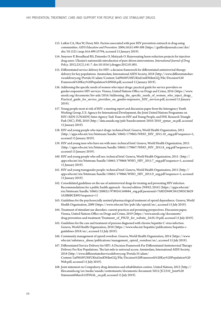- [153](#page-55-0). Latkin CA, Hua W, Davey MA. Factors associated with peer HIV prevention outreach in drug-using communities. *AIDS Education and Prevention*. 2004;16(6):499-508 [\(https://guilfordjournals.com/doi/](https://guilfordjournals.com/doi/abs/10.1521/aeap.16.6.499.53794) [abs/10.1521/aeap.16.6.499.53794,](https://guilfordjournals.com/doi/abs/10.1521/aeap.16.6.499.53794) accessed 15 January 2019).
- [154](#page-55-0). Smyrnov P, Broadhead RS, Datsenko O, Matiyash O. Rejuvenating harm reduction projects for injection drug users: Ukraine's nationwide introduction of peer-driven interventions. *International Journal of Drug Policy*. 2012;23(2),141-7. doi:10.1016/j.drugpo.2012.01.001.
- [155](#page-56-0). Differentiated service delivery for HIV: a decision framework for differentiated antiretroviral therapy delivery for key populations. Amsterdam, International AIDS Society, 2018 [\(http://www.differentiatedser](http://www.differentiatedservicedelivery.org/Portals/0/adam/Content/2a0WxWUHfUKtul1mKWdmGQ/File/Decision%20Framework%20Key%20Population%20Web.pdf)[vicedelivery.org/Portals/0/adam/Content/2a0WxWUHf UKtul1mKWdmGQ/File/Decision%20](http://www.differentiatedservicedelivery.org/Portals/0/adam/Content/2a0WxWUHfUKtul1mKWdmGQ/File/Decision%20Framework%20Key%20Population%20Web.pdf) [Framework%20Key%20Population%20Web.pdf](http://www.differentiatedservicedelivery.org/Portals/0/adam/Content/2a0WxWUHfUKtul1mKWdmGQ/File/Decision%20Framework%20Key%20Population%20Web.pdf), accessed 15 January 2019).
- [156](#page-56-0). Addressing the specific needs of women who inject drugs: practical guide for service providers on gender-responsive HIV services. Vienna, United Nations Office on Drugs and Crime, 2016 [\(https://www.](https://www.unodc.org/documents/hiv-aids/2016/Addressing_the_specific_needs_of_women_who_inject_drugs_Practical_guide_for_service_providers_on_gender-responsive_HIV_services.pdf) [unodc.org/documents/hiv-aids/2016/Addressing\\_the\\_specific\\_needs\\_of\\_women\\_who\\_inject\\_drugs\\_](https://www.unodc.org/documents/hiv-aids/2016/Addressing_the_specific_needs_of_women_who_inject_drugs_Practical_guide_for_service_providers_on_gender-responsive_HIV_services.pdf) Practical guide for service providers on gender-responsive HIV services.pdf, accessed 15 January 2019).
- [157](#page-57-0). Young people most at risk of HIV: a meeting report and discussion paper from the Interagency Youth Working Group, U.S. Agency for International Development, the Joint United Nations Programme on HIV/AIDS (UNAIDS) Inter-Agency Task Team on HIV and Young People, and FHI. Research Triangle Park (NC), FHI, 2010 ([http://data.unaids.org/pub/basedocument/2010/2010\\_ypmar\\_en.pdf,](http://data.unaids.org/pub/basedocument/2010/2010_ypmar_en.pdf) accessed 15 January 2019).
- [158](#page-58-0). HIV and young people who inject drugs: technical brief. Geneva, World Health Organization, 2015 [\(http://apps.who.int/iris/bitstream/handle/10665/179865/WHO\\_HIV\\_2015.10\\_eng.pdf?sequence=1](http://apps.who.int/iris/bitstream/handle/10665/179865/WHO_HIV_2015.10_eng.pdf?sequence=1), accessed 15 January 2019).
- [159](#page-58-0). HIV and young men who have sex with men: technical brief. Geneva, World Health Organization, 2015 [\(http://apps.who.int/iris/bitstream/handle/10665/179867/WHO\\_HIV\\_2015.8\\_eng.pdf?sequence=1](http://apps.who.int/iris/bitstream/handle/10665/179867/WHO_HIV_2015.8_eng.pdf?sequence=1), accessed 15 January 2019).
- [160](#page-58-0). HIV and young people who sell sex: technical brief. Geneva, World Health Organization, 2015 ([http://](http://apps.who.int/iris/bitstream/handle/10665/179868/WHO_HIV_2015.7_eng.pdf?sequence=1) [apps.who.int/iris/bitstream/handle/10665/179868/WHO\\_HIV\\_2015.7\\_eng.pdf?sequence=1,](http://apps.who.int/iris/bitstream/handle/10665/179868/WHO_HIV_2015.7_eng.pdf?sequence=1) accessed 15 January 2019).
- [161](#page-58-0). HIV and young transgender people: technical brief. Geneva, World Health Organization, 2015 ([http://](http://apps.who.int/iris/bitstream/handle/10665/179866/WHO_HIV_2015.9_eng.pdf?sequence=1) [apps.who.int/iris/bitstream/handle/10665/179866/WHO\\_HIV\\_2015.9\\_eng.pdf?sequence=1,](http://apps.who.int/iris/bitstream/handle/10665/179866/WHO_HIV_2015.9_eng.pdf?sequence=1) accessed 15 January 2019).
- 162. Consolidated guidelines on the use of antiretroviral drugs for treating and preventing HIV infection. Recommendations for a public health approach - Second edition (WHO, 2016) (https://apps.who.int/ iris/bitstream/handle/10665/208825/9789241549684\_eng.pdf;jsessionid=7A8D2949C0412903C8629 5A3B6BCE893?sequence=1)
- 163. Guidelines for the psychosocially assisted pharmacological treatment of opioid dependence. Geneva, World Health Organization, 2009 (https://www.who.int/hiv/pub/idu/opioid/en/, accessed 15 July 2019).
- 164. Treatment of stimulant use disorders: current practices and promising perspectives. Discussion paper, Vienna, United Nations Office on Drugs and Crime, 2019 (https://www.unodc.org/documents/ drug-prevention-and-treatment/Treatment\_of\_PSUD\_for\_website\_24.05.19.pdf, accessed 15 July 2019).
- 165. Guidelines for the care and treatment of persons diagnosed with chronic hepatitis C virus infection. Geneva, World Health Organization, 2018 (https://www.who.int/hepatitis/publications/hepatitis-cguidelines-2018/en/, accessed 15 July 2019).
- 166. Community management of opioid overdose. Geneva, World Health Organization, 2014 (https://www. who.int/substance\_abuse/publications/management\_opioid\_overdose/en/, accessed 15 July 2019).
- 167. Differentiated Service Delivery for HIV: A Decision Framework For Differentiated Antiretroviral Therapy Delivery For Key Populations. The last mile to universal access. Amsterdam, International AIDS Society, 2018 (http://www.differentiatedservicedelivery.org/Portals/0/adam/ Content/2a0WxWUHf UKtul1mKWdmGQ/File/Decision%20Framework%20Key%20Population%20 Web.pdf, accessed 15 July 2019).
- 168. Joint statement on Compulsory drug detention and rehabilitation centres. United Nations, 2012 (http:// files.unaids.org/en/media/unaids/contentassets/documents/document/2012/JC2310\_Joint%20 Statement6March12FINAL\_en.pdf, accessed 15 July 2019).